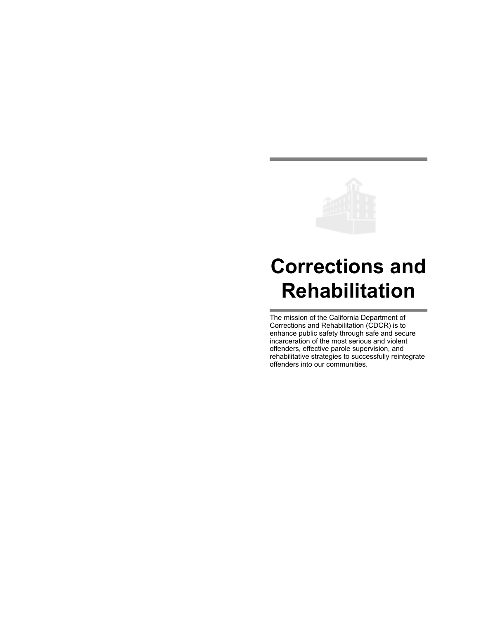

# **Corrections and Rehabilitation**

The mission of the California Department of Corrections and Rehabilitation (CDCR) is to enhance public safety through safe and secure incarceration of the most serious and violent offenders, effective parole supervision, and rehabilitative strategies to successfully reintegrate offenders into our communities.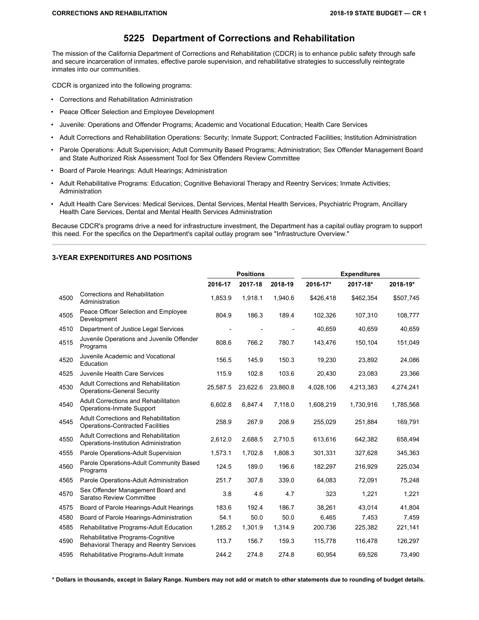### **5225 Department of Corrections and Rehabilitation**

The mission of the California Department of Corrections and Rehabilitation (CDCR) is to enhance public safety through safe and secure incarceration of inmates, effective parole supervision, and rehabilitative strategies to successfully reintegrate inmates into our communities.

CDCR is organized into the following programs:

- Corrections and Rehabilitation Administration
- Peace Officer Selection and Employee Development
- Juvenile: Operations and Offender Programs; Academic and Vocational Education; Health Care Services
- Adult Corrections and Rehabilitation Operations: Security; Inmate Support; Contracted Facilities; Institution Administration
- Parole Operations: Adult Supervision; Adult Community Based Programs; Administration; Sex Offender Management Board and State Authorized Risk Assessment Tool for Sex Offenders Review Committee
- Board of Parole Hearings: Adult Hearings; Administration
- Adult Rehabilitative Programs: Education; Cognitive Behavioral Therapy and Reentry Services; Inmate Activities; Administration
- Adult Health Care Services: Medical Services, Dental Services, Mental Health Services, Psychiatric Program, Ancillary Health Care Services, Dental and Mental Health Services Administration

Because CDCR's programs drive a need for infrastructure investment, the Department has a capital outlay program to support this need. For the specifics on the Department's capital outlay program see "Infrastructure Overview."

#### **3-YEAR EXPENDITURES AND POSITIONS**

|      |                                                                                 |          | <b>Positions</b><br><b>Expenditures</b> |          |           |           |           |
|------|---------------------------------------------------------------------------------|----------|-----------------------------------------|----------|-----------|-----------|-----------|
|      |                                                                                 | 2016-17  | 2017-18                                 | 2018-19  | 2016-17*  | 2017-18*  | 2018-19*  |
| 4500 | Corrections and Rehabilitation<br>Administration                                | 1,853.9  | 1,918.1                                 | 1,940.6  | \$426,418 | \$462,354 | \$507,745 |
| 4505 | Peace Officer Selection and Employee<br>Development                             | 804.9    | 186.3                                   | 189.4    | 102,326   | 107,310   | 108,777   |
| 4510 | Department of Justice Legal Services                                            |          |                                         |          | 40,659    | 40,659    | 40,659    |
| 4515 | Juvenile Operations and Juvenile Offender<br>Programs                           | 808.6    | 766.2                                   | 780.7    | 143,476   | 150.104   | 151,049   |
| 4520 | Juvenile Academic and Vocational<br>Education                                   | 156.5    | 145.9                                   | 150.3    | 19,230    | 23,892    | 24,086    |
| 4525 | Juvenile Health Care Services                                                   | 115.9    | 102.8                                   | 103.6    | 20,430    | 23,083    | 23,366    |
| 4530 | Adult Corrections and Rehabilitation<br><b>Operations-General Security</b>      | 25,587.5 | 23,622.6                                | 23.860.8 | 4,028,106 | 4,213,383 | 4,274,241 |
| 4540 | Adult Corrections and Rehabilitation<br>Operations-Inmate Support               | 6,602.8  | 6,847.4                                 | 7,118.0  | 1,608,219 | 1,730,916 | 1,785,568 |
| 4545 | Adult Corrections and Rehabilitation<br><b>Operations-Contracted Facilities</b> | 258.9    | 267.9                                   | 208.9    | 255,029   | 251,884   | 169,791   |
| 4550 | Adult Corrections and Rehabilitation<br>Operations-Institution Administration   | 2,612.0  | 2,688.5                                 | 2,710.5  | 613,616   | 642,382   | 658,494   |
| 4555 | Parole Operations-Adult Supervision                                             | 1,573.1  | 1,702.8                                 | 1,808.3  | 301,331   | 327,628   | 345,363   |
| 4560 | Parole Operations-Adult Community Based<br>Programs                             | 124.5    | 189.0                                   | 196.6    | 182,297   | 216,929   | 225,034   |
| 4565 | Parole Operations-Adult Administration                                          | 251.7    | 307.8                                   | 339.0    | 64,083    | 72.091    | 75,248    |
| 4570 | Sex Offender Management Board and<br>Saratso Review Committee                   | 3.8      | 4.6                                     | 4.7      | 323       | 1,221     | 1,221     |
| 4575 | Board of Parole Hearings-Adult Hearings                                         | 183.6    | 192.4                                   | 186.7    | 38,261    | 43.014    | 41,804    |
| 4580 | Board of Parole Hearings-Administration                                         | 54.1     | 50.0                                    | 50.0     | 6,465     | 7,453     | 7,459     |
| 4585 | Rehabilitative Programs-Adult Education                                         | 1,285.2  | 1,301.9                                 | 1,314.9  | 200,736   | 225,382   | 221,141   |
| 4590 | Rehabilitative Programs-Cognitive<br>Behavioral Therapy and Reentry Services    | 113.7    | 156.7                                   | 159.3    | 115,778   | 116,478   | 126,297   |
| 4595 | Rehabilitative Programs-Adult Inmate                                            | 244.2    | 274.8                                   | 274.8    | 60,954    | 69,526    | 73,490    |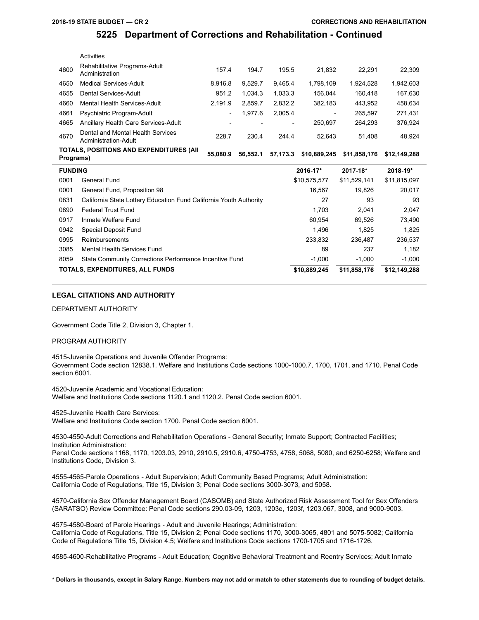| Programs) | TOTALS, POSITIONS AND EXPENDITURES (AII)                  | 55.080.9                 | 56.552.1 | 57.173.3                 | \$10,889,245 | \$11,858,176 | \$12,149,288 |
|-----------|-----------------------------------------------------------|--------------------------|----------|--------------------------|--------------|--------------|--------------|
| 4670      | Dental and Mental Health Services<br>Administration-Adult | 228.7                    | 230.4    | 244.4                    | 52.643       | 51.408       | 48.924       |
| 4665      | Ancillary Health Care Services-Adult                      | $\overline{a}$           |          | $\overline{\phantom{a}}$ | 250.697      | 264.293      | 376,924      |
| 4661      | Psychiatric Program-Adult                                 | $\overline{\phantom{a}}$ | .977.6   | 2.005.4                  |              | 265.597      | 271,431      |
| 4660      | Mental Health Services-Adult                              | 2.191.9                  | 2.859.7  | 2,832.2                  | 382,183      | 443.952      | 458,634      |
| 4655      | Dental Services-Adult                                     | 951.2                    | 1.034.3  | 1.033.3                  | 156.044      | 160.418      | 167,630      |
| 4650      | Medical Services-Adult                                    | 8.916.8                  | 9.529.7  | 9.465.4                  | 1.798.109    | 1,924,528    | 1,942,603    |
| 4600      | Rehabilitative Programs-Adult<br>Administration           | 157.4                    | 194.7    | 195.5                    | 21.832       | 22.291       | 22.309       |
|           | <b>Activities</b>                                         |                          |          |                          |              |              |              |

| <b>FUNDING</b> |                                                                    | 2016-17*     | 2017-18*     | 2018-19*     |
|----------------|--------------------------------------------------------------------|--------------|--------------|--------------|
| 0001           | General Fund                                                       | \$10,575,577 | \$11,529,141 | \$11,815,097 |
| 0001           | General Fund, Proposition 98                                       | 16.567       | 19.826       | 20.017       |
| 0831           | California State Lottery Education Fund California Youth Authority | 27           | 93           | 93           |
| 0890           | Federal Trust Fund                                                 | 1.703        | 2.041        | 2,047        |
| 0917           | Inmate Welfare Fund                                                | 60.954       | 69.526       | 73,490       |
| 0942           | Special Deposit Fund                                               | 1.496        | 1.825        | 1.825        |
| 0995           | Reimbursements                                                     | 233.832      | 236.487      | 236.537      |
| 3085           | Mental Health Services Fund                                        | 89           | 237          | 1.182        |
| 8059           | State Community Corrections Performance Incentive Fund             | $-1.000$     | $-1.000$     | $-1.000$     |
|                | TOTALS, EXPENDITURES, ALL FUNDS                                    | \$10,889,245 | \$11,858,176 | \$12,149,288 |

#### **LEGAL CITATIONS AND AUTHORITY**

DEPARTMENT AUTHORITY

Government Code Title 2, Division 3, Chapter 1.

PROGRAM AUTHORITY

4515-Juvenile Operations and Juvenile Offender Programs: Government Code section 12838.1. Welfare and Institutions Code sections 1000-1000.7, 1700, 1701, and 1710. Penal Code section 6001.

4520-Juvenile Academic and Vocational Education: Welfare and Institutions Code sections 1120.1 and 1120.2. Penal Code section 6001.

4525-Juvenile Health Care Services: Welfare and Institutions Code section 1700. Penal Code section 6001.

4530-4550-Adult Corrections and Rehabilitation Operations - General Security; Inmate Support; Contracted Facilities; Institution Administration:

Penal Code sections 1168, 1170, 1203.03, 2910, 2910.5, 2910.6, 4750-4753, 4758, 5068, 5080, and 6250-6258; Welfare and Institutions Code, Division 3.

4555-4565-Parole Operations - Adult Supervision; Adult Community Based Programs; Adult Administration: California Code of Regulations, Title 15, Division 3; Penal Code sections 3000-3073, and 5058.

4570-California Sex Offender Management Board (CASOMB) and State Authorized Risk Assessment Tool for Sex Offenders (SARATSO) Review Committee: Penal Code sections 290.03-09, 1203, 1203e, 1203f, 1203.067, 3008, and 9000-9003.

4575-4580-Board of Parole Hearings - Adult and Juvenile Hearings; Administration: California Code of Regulations, Title 15, Division 2; Penal Code sections 1170, 3000-3065, 4801 and 5075-5082; California Code of Regulations Title 15, Division 4.5; Welfare and Institutions Code sections 1700-1705 and 1716-1726.

4585-4600-Rehabilitative Programs - Adult Education; Cognitive Behavioral Treatment and Reentry Services; Adult Inmate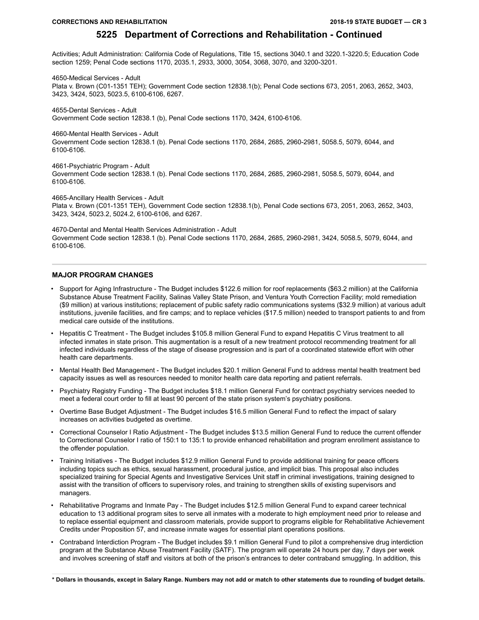Activities; Adult Administration: California Code of Regulations, Title 15, sections 3040.1 and 3220.1-3220.5; Education Code section 1259; Penal Code sections 1170, 2035.1, 2933, 3000, 3054, 3068, 3070, and 3200-3201.

4650-Medical Services - Adult Plata v. Brown (C01-1351 TEH); Government Code section 12838.1(b); Penal Code sections 673, 2051, 2063, 2652, 3403, 3423, 3424, 5023, 5023.5, 6100-6106, 6267.

4655-Dental Services - Adult Government Code section 12838.1 (b), Penal Code sections 1170, 3424, 6100-6106.

4660-Mental Health Services - Adult

Government Code section 12838.1 (b). Penal Code sections 1170, 2684, 2685, 2960-2981, 5058.5, 5079, 6044, and 6100-6106.

4661-Psychiatric Program - Adult Government Code section 12838.1 (b). Penal Code sections 1170, 2684, 2685, 2960-2981, 5058.5, 5079, 6044, and 6100-6106.

4665-Ancillary Health Services - Adult Plata v. Brown (C01-1351 TEH), Government Code section 12838.1(b), Penal Code sections 673, 2051, 2063, 2652, 3403, 3423, 3424, 5023.2, 5024.2, 6100-6106, and 6267.

4670-Dental and Mental Health Services Administration - Adult Government Code section 12838.1 (b). Penal Code sections 1170, 2684, 2685, 2960-2981, 3424, 5058.5, 5079, 6044, and 6100-6106.

#### **MAJOR PROGRAM CHANGES**

- Support for Aging Infrastructure The Budget includes \$122.6 million for roof replacements (\$63.2 million) at the California Substance Abuse Treatment Facility, Salinas Valley State Prison, and Ventura Youth Correction Facility; mold remediation (\$9 million) at various institutions; replacement of public safety radio communications systems (\$32.9 million) at various adult institutions, juvenile facilities, and fire camps; and to replace vehicles (\$17.5 million) needed to transport patients to and from medical care outside of the institutions.
- Hepatitis C Treatment The Budget includes \$105.8 million General Fund to expand Hepatitis C Virus treatment to all infected inmates in state prison. This augmentation is a result of a new treatment protocol recommending treatment for all infected individuals regardless of the stage of disease progression and is part of a coordinated statewide effort with other health care departments.
- Mental Health Bed Management The Budget includes \$20.1 million General Fund to address mental health treatment bed capacity issues as well as resources needed to monitor health care data reporting and patient referrals.
- Psychiatry Registry Funding The Budget includes \$18.1 million General Fund for contract psychiatry services needed to meet a federal court order to fill at least 90 percent of the state prison system's psychiatry positions.
- Overtime Base Budget Adjustment The Budget includes \$16.5 million General Fund to reflect the impact of salary increases on activities budgeted as overtime.
- Correctional Counselor I Ratio Adjustment The Budget includes \$13.5 million General Fund to reduce the current offender to Correctional Counselor I ratio of 150:1 to 135:1 to provide enhanced rehabilitation and program enrollment assistance to the offender population.
- Training Initiatives The Budget includes \$12.9 million General Fund to provide additional training for peace officers including topics such as ethics, sexual harassment, procedural justice, and implicit bias. This proposal also includes specialized training for Special Agents and Investigative Services Unit staff in criminal investigations, training designed to assist with the transition of officers to supervisory roles, and training to strengthen skills of existing supervisors and managers.
- Rehabilitative Programs and Inmate Pay The Budget includes \$12.5 million General Fund to expand career technical education to 13 additional program sites to serve all inmates with a moderate to high employment need prior to release and to replace essential equipment and classroom materials, provide support to programs eligible for Rehabilitative Achievement Credits under Proposition 57, and increase inmate wages for essential plant operations positions.
- Contraband Interdiction Program The Budget includes \$9.1 million General Fund to pilot a comprehensive drug interdiction program at the Substance Abuse Treatment Facility (SATF). The program will operate 24 hours per day, 7 days per week and involves screening of staff and visitors at both of the prison's entrances to deter contraband smuggling. In addition, this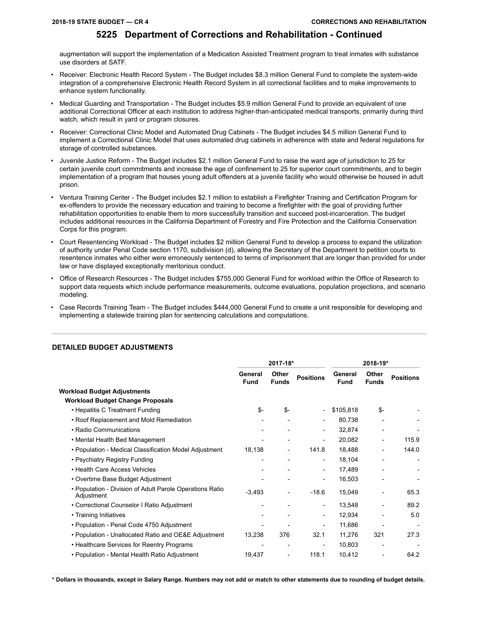augmentation will support the implementation of a Medication Assisted Treatment program to treat inmates with substance use disorders at SATF.

- Receiver: Electronic Health Record System The Budget includes \$8.3 million General Fund to complete the system-wide integration of a comprehensive Electronic Health Record System in all correctional facilities and to make improvements to enhance system functionality.
- Medical Guarding and Transportation The Budget includes \$5.9 million General Fund to provide an equivalent of one additional Correctional Officer at each institution to address higher-than-anticipated medical transports, primarily during third watch, which result in yard or program closures.
- Receiver: Correctional Clinic Model and Automated Drug Cabinets The Budget includes \$4.5 million General Fund to implement a Correctional Clinic Model that uses automated drug cabinets in adherence with state and federal regulations for storage of controlled substances.
- Juvenile Justice Reform The Budget includes \$2.1 million General Fund to raise the ward age of jurisdiction to 25 for certain juvenile court commitments and increase the age of confinement to 25 for superior court commitments, and to begin implementation of a program that houses young adult offenders at a juvenile facility who would otherwise be housed in adult prison.
- Ventura Training Center The Budget includes \$2.1 million to establish a Firefighter Training and Certification Program for ex-offenders to provide the necessary education and training to become a firefighter with the goal of providing further rehabilitation opportunities to enable them to more successfully transition and succeed post-incarceration. The budget includes additional resources in the California Department of Forestry and Fire Protection and the California Conservation Corps for this program.
- Court Resentencing Workload The Budget includes \$2 million General Fund to develop a process to expand the utilization of authority under Penal Code section 1170, subdivision (d), allowing the Secretary of the Department to petition courts to resentence inmates who either were erroneously sentenced to terms of imprisonment that are longer than provided for under law or have displayed exceptionally meritorious conduct.
- Office of Research Resources The Budget includes \$755,000 General Fund for workload within the Office of Research to support data requests which include performance measurements, outcome evaluations, population projections, and scenario modeling.
- Case Records Training Team The Budget includes \$444,000 General Fund to create a unit responsible for developing and implementing a statewide training plan for sentencing calculations and computations.

|                                                                        |                        | 2017-18*                 |                  | 2018-19*               |                          |                  |
|------------------------------------------------------------------------|------------------------|--------------------------|------------------|------------------------|--------------------------|------------------|
|                                                                        | General<br><b>Fund</b> | Other<br><b>Funds</b>    | <b>Positions</b> | General<br><b>Fund</b> | Other<br><b>Funds</b>    | <b>Positions</b> |
| Workload Budget Adjustments                                            |                        |                          |                  |                        |                          |                  |
| <b>Workload Budget Change Proposals</b>                                |                        |                          |                  |                        |                          |                  |
| • Hepatitis C Treatment Funding                                        | $S-$                   | \$-                      |                  | \$105,818              | \$-                      |                  |
| • Roof Replacement and Mold Remediation                                |                        |                          | -                | 80,738                 | $\overline{\phantom{a}}$ |                  |
| • Radio Communications                                                 |                        |                          | -                | 32,874                 | $\overline{\phantom{a}}$ |                  |
| • Mental Health Bed Management                                         |                        |                          | -                | 20,082                 | -                        | 115.9            |
| • Population - Medical Classification Model Adjustment                 | 18,138                 | $\overline{\phantom{a}}$ | 141.8            | 18,488                 | $\overline{\phantom{0}}$ | 144.0            |
| • Psychiatry Registry Funding                                          |                        |                          | -                | 18,104                 |                          |                  |
| • Health Care Access Vehicles                                          |                        |                          | -                | 17,489                 | $\overline{a}$           |                  |
| • Overtime Base Budget Adjustment                                      |                        |                          | -                | 16,503                 |                          |                  |
| • Population - Division of Adult Parole Operations Ratio<br>Adjustment | $-3,493$               |                          | $-18.6$          | 15,049                 |                          | 65.3             |
| • Correctional Counselor I Ratio Adjustment                            |                        |                          | -                | 13,548                 |                          | 89.2             |
| • Training Initiatives                                                 |                        |                          | -                | 12,934                 | -                        | 5.0              |
| • Population - Penal Code 4750 Adjustment                              |                        |                          |                  | 11,686                 |                          |                  |
| • Population - Unallocated Ratio and OE&E Adjustment                   | 13,238                 | 376                      | 32.1             | 11,276                 | 321                      | 27.3             |
| • Healthcare Services for Reentry Programs                             |                        |                          |                  | 10,803                 | $\overline{\phantom{a}}$ |                  |
| • Population - Mental Health Ratio Adjustment                          | 19,437                 |                          | 118.1            | 10,412                 |                          | 64.2             |

#### **DETAILED BUDGET ADJUSTMENTS**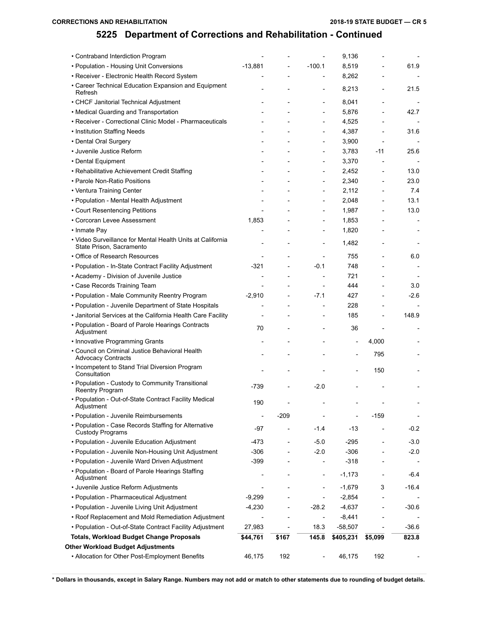#### **CORRECTIONS AND REHABILITATION**

# **5225 Department of Corrections and Rehabilitation - Continued**

| • Contraband Interdiction Program                                                      |                          |                |                          | 9,136          |                          |         |
|----------------------------------------------------------------------------------------|--------------------------|----------------|--------------------------|----------------|--------------------------|---------|
| • Population - Housing Unit Conversions                                                | $-13,881$                | $\overline{a}$ | $-100.1$                 | 8,519          |                          | 61.9    |
| • Receiver - Electronic Health Record System                                           |                          |                |                          | 8,262          |                          |         |
| • Career Technical Education Expansion and Equipment<br>Refresh                        |                          |                | $\overline{a}$           | 8,213          |                          | 21.5    |
| • CHCF Janitorial Technical Adjustment                                                 |                          |                | $\overline{a}$           | 8,041          |                          |         |
| • Medical Guarding and Transportation                                                  |                          |                | $\overline{\phantom{a}}$ | 5,876          | $\overline{\phantom{a}}$ | 42.7    |
| • Receiver - Correctional Clinic Model - Pharmaceuticals                               |                          |                |                          | 4,525          |                          |         |
| • Institution Staffing Needs                                                           |                          |                |                          | 4,387          |                          | 31.6    |
| • Dental Oral Surgery                                                                  |                          |                |                          | 3,900          |                          |         |
| • Juvenile Justice Reform                                                              |                          |                | $\overline{a}$           | 3,783          | -11                      | 25.6    |
| • Dental Equipment                                                                     |                          |                | $\overline{\phantom{a}}$ | 3,370          |                          |         |
| • Rehabilitative Achievement Credit Staffing                                           |                          |                | $\overline{a}$           | 2,452          | $\overline{a}$           | 13.0    |
| • Parole Non-Ratio Positions                                                           |                          |                | $\overline{\phantom{a}}$ | 2,340          | $\overline{\phantom{0}}$ | 23.0    |
| • Ventura Training Center                                                              |                          |                |                          | 2,112          |                          | 7.4     |
| • Population - Mental Health Adjustment                                                |                          |                | $\overline{a}$           | 2,048          | $\overline{a}$           | 13.1    |
| • Court Resentencing Petitions                                                         | $\overline{a}$           |                | $\overline{\phantom{a}}$ | 1,987          | $\overline{a}$           | 13.0    |
| • Corcoran Levee Assessment                                                            | 1,853                    |                | $\overline{a}$           | 1,853          |                          |         |
| • Inmate Pay                                                                           |                          |                | $\overline{\phantom{a}}$ | 1,820          |                          |         |
| • Video Surveillance for Mental Health Units at California<br>State Prison, Sacramento |                          |                | $\overline{a}$           | 1,482          |                          |         |
| • Office of Research Resources                                                         |                          |                |                          | 755            |                          | 6.0     |
| • Population - In-State Contract Facility Adjustment                                   | $-321$                   |                | -0.1                     | 748            |                          |         |
| • Academy - Division of Juvenile Justice                                               | $\overline{\phantom{a}}$ |                | ÷,                       | 721            |                          |         |
| • Case Records Training Team                                                           | $\overline{a}$           |                | $\overline{\phantom{a}}$ | 444            | $\overline{\phantom{a}}$ | 3.0     |
| • Population - Male Community Reentry Program                                          | $-2,910$                 |                | $-7.1$                   | 427            |                          | $-2.6$  |
| • Population - Juvenile Department of State Hospitals                                  | $\overline{a}$           |                |                          | 228            |                          |         |
| • Janitorial Services at the California Health Care Facility                           |                          |                |                          | 185            | $\overline{a}$           | 148.9   |
| • Population - Board of Parole Hearings Contracts<br>Adjustment                        | 70                       |                |                          | 36             |                          |         |
| • Innovative Programming Grants                                                        |                          |                |                          | $\overline{a}$ | 4,000                    |         |
| • Council on Criminal Justice Behavioral Health<br><b>Advocacy Contracts</b>           |                          |                |                          | $\overline{a}$ | 795                      |         |
| • Incompetent to Stand Trial Diversion Program<br>Consultation                         |                          |                |                          |                | 150                      |         |
| • Population - Custody to Community Transitional<br>Reentry Program                    | $-739$                   |                | $-2.0$                   |                |                          |         |
| • Population - Out-of-State Contract Facility Medical<br>Adjustment                    | 190                      |                |                          |                |                          |         |
| · Population - Juvenile Reimbursements                                                 |                          | $-209$         |                          |                | $-159$                   |         |
| • Population - Case Records Staffing for Alternative<br>Custody Programs               | -97                      |                | -1.4                     | $-13$          |                          | $-0.2$  |
| • Population - Juvenile Education Adjustment                                           | -473                     |                | -5.0                     | $-295$         |                          | $-3.0$  |
| • Population - Juvenile Non-Housing Unit Adjustment                                    | $-306$                   |                | $-2.0$                   | $-306$         |                          | $-2.0$  |
| • Population - Juvenile Ward Driven Adjustment                                         | $-399$                   |                |                          | $-318$         |                          |         |
| • Population - Board of Parole Hearings Staffing<br>Adjustment                         |                          |                |                          | $-1,173$       |                          | $-6.4$  |
| • Juvenile Justice Reform Adjustments                                                  |                          |                | $\overline{a}$           | $-1,679$       | 3                        | $-16.4$ |
| • Population - Pharmaceutical Adjustment                                               | $-9,299$                 |                |                          | $-2,854$       |                          |         |
| • Population - Juvenile Living Unit Adjustment                                         | $-4,230$                 |                | $-28.2$                  | $-4,637$       |                          | $-30.6$ |
| • Roof Replacement and Mold Remediation Adjustment                                     |                          |                |                          | $-8,441$       |                          |         |
| • Population - Out-of-State Contract Facility Adjustment                               | 27,983                   |                | 18.3                     | $-58,507$      |                          | $-36.6$ |
| <b>Totals, Workload Budget Change Proposals</b>                                        | \$44,761                 | \$167          | 145.8                    | \$405,231      | \$5,099                  | 823.8   |
| <b>Other Workload Budget Adjustments</b>                                               |                          |                |                          |                |                          |         |
| • Allocation for Other Post-Employment Benefits                                        | 46,175                   | 192            |                          | 46,175         | 192                      |         |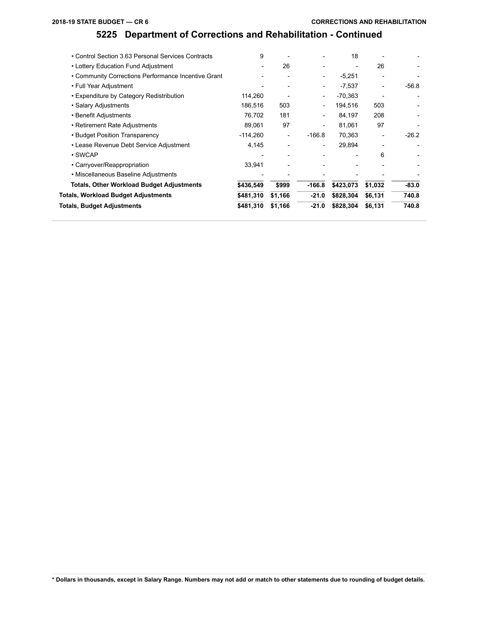| Totals, Budget Adjustments                          | \$481,310  | \$1,166                  | $-21.0$                  | \$828,304 | \$6,131 | 740.8   |
|-----------------------------------------------------|------------|--------------------------|--------------------------|-----------|---------|---------|
| <b>Totals, Workload Budget Adjustments</b>          | \$481,310  | \$1,166                  | $-21.0$                  | \$828,304 | \$6,131 | 740.8   |
| <b>Totals, Other Workload Budget Adjustments</b>    | \$436,549  | \$999                    | $-166.8$                 | \$423,073 | \$1,032 | $-83.0$ |
| • Miscellaneous Baseline Adjustments                |            |                          |                          |           |         |         |
| • Carryover/Reappropriation                         | 33,941     |                          |                          |           |         |         |
| · SWCAP                                             |            |                          |                          |           | 6       |         |
| • Lease Revenue Debt Service Adjustment             | 4,145      |                          | $\overline{\phantom{a}}$ | 29,894    |         |         |
| • Budget Position Transparency                      | $-114,260$ | $\overline{\phantom{a}}$ | $-166.8$                 | 70,363    |         | $-26.2$ |
| • Retirement Rate Adjustments                       | 89.061     | 97                       | -                        | 81,061    | 97      |         |
| • Benefit Adjustments                               | 76,702     | 181                      | $\overline{\phantom{a}}$ | 84,197    | 208     |         |
| • Salary Adjustments                                | 186,516    | 503                      | $\overline{\phantom{a}}$ | 194,516   | 503     |         |
| • Expenditure by Category Redistribution            | 114,260    |                          | $\overline{\phantom{a}}$ | $-70,363$ |         |         |
| • Full Year Adjustment                              |            |                          | $\overline{\phantom{a}}$ | $-7,537$  |         | $-56.8$ |
| • Community Corrections Performance Incentive Grant |            |                          | $\overline{\phantom{a}}$ | $-5,251$  |         |         |
| • Lottery Education Fund Adjustment                 |            | 26                       | $\overline{\phantom{0}}$ |           | 26      |         |
| • Control Section 3.63 Personal Services Contracts  | 9          |                          |                          | 18        |         |         |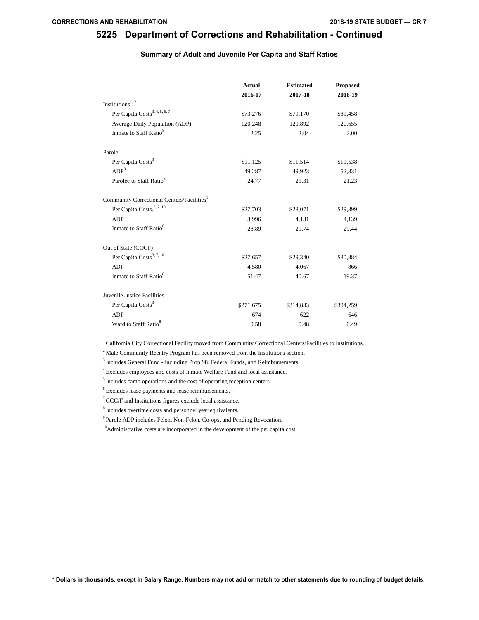#### **Summary of Adult and Juvenile Per Capita and Staff Ratios**

|                                                        | <b>Actual</b> | <b>Estimated</b> | <b>Proposed</b> |
|--------------------------------------------------------|---------------|------------------|-----------------|
|                                                        | 2016-17       | 2017-18          | 2018-19         |
| Institutions $1, 2$                                    |               |                  |                 |
| Per Capita Costs <sup>3, 4, 5, 6, 7</sup>              | \$73,276      | \$79,170         | \$81,458        |
| Average Daily Population (ADP)                         | 120,248       | 120,892          | 120,655         |
| Inmate to Staff Ratio <sup>8</sup>                     | 2.25          | 2.04             | 2.00            |
| Parole                                                 |               |                  |                 |
| Per Capita Costs <sup>3</sup>                          | \$11,125      | \$11,514         | \$11,538        |
| ADP <sup>9</sup>                                       | 49,287        | 49,923           | 52,331          |
| Parolee to Staff Ratio <sup>8</sup>                    | 24.77         | 21.31            | 21.23           |
| Community Correctional Centers/Facilities <sup>1</sup> |               |                  |                 |
| Per Capita Costs. <sup>3, 7, 10</sup>                  | \$27,703      | \$28,071         | \$29,399        |
| <b>ADP</b>                                             | 3,996         | 4,131            | 4,139           |
| Inmate to Staff Ratio <sup>8</sup>                     | 28.89         | 29.74            | 29.44           |
| Out of State (COCF)                                    |               |                  |                 |
| Per Capita Costs <sup>3, 7, 10</sup>                   | \$27,657      | \$29,340         | \$30,884        |
| <b>ADP</b>                                             | 4,580         | 4,067            | 866             |
| Inmate to Staff Ratio <sup>8</sup>                     | 51.47         | 40.67            | 19.37           |
| Juvenile Justice Facilities                            |               |                  |                 |
| Per Capita Costs <sup>3</sup>                          | \$271,675     | \$314,833        | \$304,259       |
| <b>ADP</b>                                             | 674           | 622              | 646             |
| Ward to Staff Ratio <sup>8</sup>                       | 0.58          | 0.48             | 0.49            |

 $1$  California City Correctional Facility moved from Community Correctional Centers/Facilities to Institutions.

 $2$  Male Community Reentry Program has been removed from the Institutions section.

<sup>3</sup> Includes General Fund - including Prop 98, Federal Funds, and Reimbursements.

 $^4$  Excludes employees and costs of Inmate Welfare Fund and local assistance.

5 Includes camp operations and the cost of operating reception centers.

6 Excludes lease payments and lease reimbursements.

 $7$  CCC/F and Institutions figures exclude local assistance.

8 Includes overtime costs and personnel year equivalents.

<sup>9</sup> Parole ADP includes Felon, Non-Felon, Co-ops, and Pending Revocation.

<sup>10</sup>Administrative costs are incorporated in the development of the per capita cost.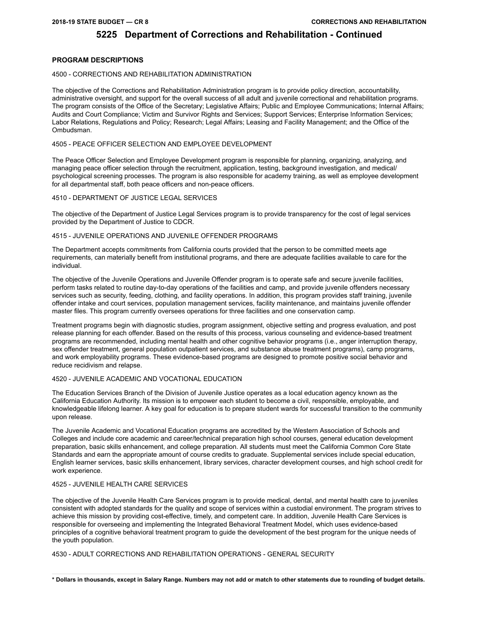#### **PROGRAM DESCRIPTIONS**

#### 4500 - CORRECTIONS AND REHABILITATION ADMINISTRATION

The objective of the Corrections and Rehabilitation Administration program is to provide policy direction, accountability, administrative oversight, and support for the overall success of all adult and juvenile correctional and rehabilitation programs. The program consists of the Office of the Secretary; Legislative Affairs; Public and Employee Communications; Internal Affairs; Audits and Court Compliance; Victim and Survivor Rights and Services; Support Services; Enterprise Information Services; Labor Relations, Regulations and Policy; Research; Legal Affairs; Leasing and Facility Management; and the Office of the Ombudsman.

#### 4505 - PEACE OFFICER SELECTION AND EMPLOYEE DEVELOPMENT

The Peace Officer Selection and Employee Development program is responsible for planning, organizing, analyzing, and managing peace officer selection through the recruitment, application, testing, background investigation, and medical/ psychological screening processes. The program is also responsible for academy training, as well as employee development for all departmental staff, both peace officers and non-peace officers.

#### 4510 - DEPARTMENT OF JUSTICE LEGAL SERVICES

The objective of the Department of Justice Legal Services program is to provide transparency for the cost of legal services provided by the Department of Justice to CDCR.

#### 4515 - JUVENILE OPERATIONS AND JUVENILE OFFENDER PROGRAMS

The Department accepts commitments from California courts provided that the person to be committed meets age requirements, can materially benefit from institutional programs, and there are adequate facilities available to care for the individual.

The objective of the Juvenile Operations and Juvenile Offender program is to operate safe and secure juvenile facilities, perform tasks related to routine day-to-day operations of the facilities and camp, and provide juvenile offenders necessary services such as security, feeding, clothing, and facility operations. In addition, this program provides staff training, juvenile offender intake and court services, population management services, facility maintenance, and maintains juvenile offender master files. This program currently oversees operations for three facilities and one conservation camp.

Treatment programs begin with diagnostic studies, program assignment, objective setting and progress evaluation, and post release planning for each offender. Based on the results of this process, various counseling and evidence-based treatment programs are recommended, including mental health and other cognitive behavior programs (i.e., anger interruption therapy, sex offender treatment, general population outpatient services, and substance abuse treatment programs), camp programs, and work employability programs. These evidence-based programs are designed to promote positive social behavior and reduce recidivism and relapse.

#### 4520 - JUVENILE ACADEMIC AND VOCATIONAL EDUCATION

The Education Services Branch of the Division of Juvenile Justice operates as a local education agency known as the California Education Authority. Its mission is to empower each student to become a civil, responsible, employable, and knowledgeable lifelong learner. A key goal for education is to prepare student wards for successful transition to the community upon release.

The Juvenile Academic and Vocational Education programs are accredited by the Western Association of Schools and Colleges and include core academic and career/technical preparation high school courses, general education development preparation, basic skills enhancement, and college preparation. All students must meet the California Common Core State Standards and earn the appropriate amount of course credits to graduate. Supplemental services include special education, English learner services, basic skills enhancement, library services, character development courses, and high school credit for work experience.

#### 4525 - JUVENILE HEALTH CARE SERVICES

The objective of the Juvenile Health Care Services program is to provide medical, dental, and mental health care to juveniles consistent with adopted standards for the quality and scope of services within a custodial environment. The program strives to achieve this mission by providing cost-effective, timely, and competent care. In addition, Juvenile Health Care Services is responsible for overseeing and implementing the Integrated Behavioral Treatment Model, which uses evidence-based principles of a cognitive behavioral treatment program to guide the development of the best program for the unique needs of the youth population.

4530 - ADULT CORRECTIONS AND REHABILITATION OPERATIONS - GENERAL SECURITY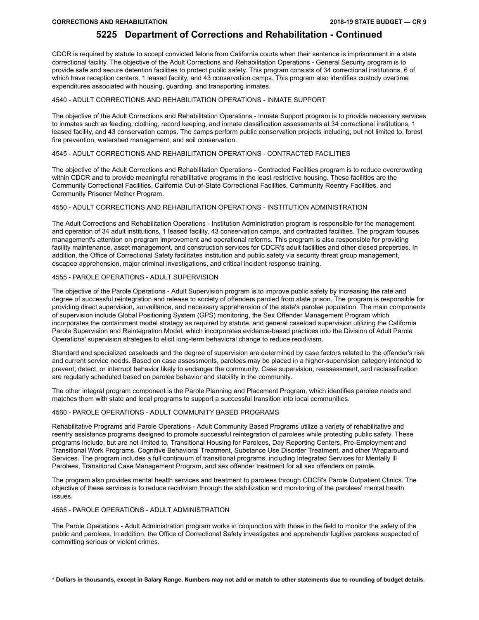CDCR is required by statute to accept convicted felons from California courts when their sentence is imprisonment in a state correctional facility. The objective of the Adult Corrections and Rehabilitation Operations - General Security program is to provide safe and secure detention facilities to protect public safety. This program consists of 34 correctional institutions, 6 of which have reception centers, 1 leased facility, and 43 conservation camps. This program also identifies custody overtime expenditures associated with housing, guarding, and transporting inmates.

#### 4540 - ADULT CORRECTIONS AND REHABILITATION OPERATIONS - INMATE SUPPORT

The objective of the Adult Corrections and Rehabilitation Operations - Inmate Support program is to provide necessary services to inmates such as feeding, clothing, record keeping, and inmate classification assessments at 34 correctional institutions, 1 leased facility, and 43 conservation camps. The camps perform public conservation projects including, but not limited to, forest fire prevention, watershed management, and soil conservation.

#### 4545 - ADULT CORRECTIONS AND REHABILITATION OPERATIONS - CONTRACTED FACILITIES

The objective of the Adult Corrections and Rehabilitation Operations - Contracted Facilities program is to reduce overcrowding within CDCR and to provide meaningful rehabilitative programs in the least restrictive housing. These facilities are the Community Correctional Facilities, California Out-of-State Correctional Facilities, Community Reentry Facilities, and Community Prisoner Mother Program.

#### 4550 - ADULT CORRECTIONS AND REHABILITATION OPERATIONS - INSTITUTION ADMINISTRATION

The Adult Corrections and Rehabilitation Operations - Institution Administration program is responsible for the management and operation of 34 adult institutions, 1 leased facility, 43 conservation camps, and contracted facilities. The program focuses management's attention on program improvement and operational reforms. This program is also responsible for providing facility maintenance, asset management, and construction services for CDCR's adult facilities and other closed properties. In addition, the Office of Correctional Safety facilitates institution and public safety via security threat group management, escapee apprehension, major criminal investigations, and critical incident response training.

#### 4555 - PAROLE OPERATIONS - ADULT SUPERVISION

The objective of the Parole Operations - Adult Supervision program is to improve public safety by increasing the rate and degree of successful reintegration and release to society of offenders paroled from state prison. The program is responsible for providing direct supervision, surveillance, and necessary apprehension of the state's parolee population. The main components of supervision include Global Positioning System (GPS) monitoring, the Sex Offender Management Program which incorporates the containment model strategy as required by statute, and general caseload supervision utilizing the California Parole Supervision and Reintegration Model, which incorporates evidence-based practices into the Division of Adult Parole Operations' supervision strategies to elicit long-term behavioral change to reduce recidivism.

Standard and specialized caseloads and the degree of supervision are determined by case factors related to the offender's risk and current service needs. Based on case assessments, parolees may be placed in a higher-supervision category intended to prevent, detect, or interrupt behavior likely to endanger the community. Case supervision, reassessment, and reclassification are regularly scheduled based on parolee behavior and stability in the community.

The other integral program component is the Parole Planning and Placement Program, which identifies parolee needs and matches them with state and local programs to support a successful transition into local communities.

#### 4560 - PAROLE OPERATIONS - ADULT COMMUNITY BASED PROGRAMS

Rehabilitative Programs and Parole Operations - Adult Community Based Programs utilize a variety of rehabilitative and reentry assistance programs designed to promote successful reintegration of parolees while protecting public safety. These programs include, but are not limited to, Transitional Housing for Parolees, Day Reporting Centers, Pre-Employment and Transitional Work Programs, Cognitive Behavioral Treatment, Substance Use Disorder Treatment, and other Wraparound Services. The program includes a full continuum of transitional programs, including Integrated Services for Mentally Ill Parolees, Transitional Case Management Program, and sex offender treatment for all sex offenders on parole.

The program also provides mental health services and treatment to parolees through CDCR's Parole Outpatient Clinics. The objective of these services is to reduce recidivism through the stabilization and monitoring of the parolees' mental health issues.

#### 4565 - PAROLE OPERATIONS - ADULT ADMINISTRATION

The Parole Operations - Adult Administration program works in conjunction with those in the field to monitor the safety of the public and parolees. In addition, the Office of Correctional Safety investigates and apprehends fugitive parolees suspected of committing serious or violent crimes.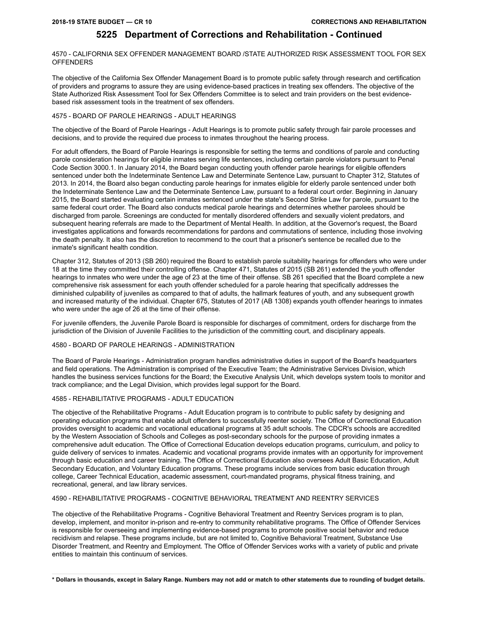4570 - CALIFORNIA SEX OFFENDER MANAGEMENT BOARD /STATE AUTHORIZED RISK ASSESSMENT TOOL FOR SEX **OFFENDERS** 

The objective of the California Sex Offender Management Board is to promote public safety through research and certification of providers and programs to assure they are using evidence-based practices in treating sex offenders. The objective of the State Authorized Risk Assessment Tool for Sex Offenders Committee is to select and train providers on the best evidencebased risk assessment tools in the treatment of sex offenders.

#### 4575 - BOARD OF PAROLE HEARINGS - ADULT HEARINGS

The objective of the Board of Parole Hearings - Adult Hearings is to promote public safety through fair parole processes and decisions, and to provide the required due process to inmates throughout the hearing process.

For adult offenders, the Board of Parole Hearings is responsible for setting the terms and conditions of parole and conducting parole consideration hearings for eligible inmates serving life sentences, including certain parole violators pursuant to Penal Code Section 3000.1. In January 2014, the Board began conducting youth offender parole hearings for eligible offenders sentenced under both the Indeterminate Sentence Law and Determinate Sentence Law, pursuant to Chapter 312, Statutes of 2013. In 2014, the Board also began conducting parole hearings for inmates eligible for elderly parole sentenced under both the Indeterminate Sentence Law and the Determinate Sentence Law, pursuant to a federal court order. Beginning in January 2015, the Board started evaluating certain inmates sentenced under the state's Second Strike Law for parole, pursuant to the same federal court order. The Board also conducts medical parole hearings and determines whether parolees should be discharged from parole. Screenings are conducted for mentally disordered offenders and sexually violent predators, and subsequent hearing referrals are made to the Department of Mental Health. In addition, at the Governor's request, the Board investigates applications and forwards recommendations for pardons and commutations of sentence, including those involving the death penalty. It also has the discretion to recommend to the court that a prisoner's sentence be recalled due to the inmate's significant health condition.

Chapter 312, Statutes of 2013 (SB 260) required the Board to establish parole suitability hearings for offenders who were under 18 at the time they committed their controlling offense. Chapter 471, Statutes of 2015 (SB 261) extended the youth offender hearings to inmates who were under the age of 23 at the time of their offense. SB 261 specified that the Board complete a new comprehensive risk assessment for each youth offender scheduled for a parole hearing that specifically addresses the diminished culpability of juveniles as compared to that of adults, the hallmark features of youth, and any subsequent growth and increased maturity of the individual. Chapter 675, Statutes of 2017 (AB 1308) expands youth offender hearings to inmates who were under the age of 26 at the time of their offense.

For juvenile offenders, the Juvenile Parole Board is responsible for discharges of commitment, orders for discharge from the jurisdiction of the Division of Juvenile Facilities to the jurisdiction of the committing court, and disciplinary appeals.

#### 4580 - BOARD OF PAROLE HEARINGS - ADMINISTRATION

The Board of Parole Hearings - Administration program handles administrative duties in support of the Board's headquarters and field operations. The Administration is comprised of the Executive Team; the Administrative Services Division, which handles the business services functions for the Board; the Executive Analysis Unit, which develops system tools to monitor and track compliance; and the Legal Division, which provides legal support for the Board.

#### 4585 - REHABILITATIVE PROGRAMS - ADULT EDUCATION

The objective of the Rehabilitative Programs - Adult Education program is to contribute to public safety by designing and operating education programs that enable adult offenders to successfully reenter society. The Office of Correctional Education provides oversight to academic and vocational educational programs at 35 adult schools. The CDCR's schools are accredited by the Western Association of Schools and Colleges as post-secondary schools for the purpose of providing inmates a comprehensive adult education. The Office of Correctional Education develops education programs, curriculum, and policy to guide delivery of services to inmates. Academic and vocational programs provide inmates with an opportunity for improvement through basic education and career training. The Office of Correctional Education also oversees Adult Basic Education, Adult Secondary Education, and Voluntary Education programs. These programs include services from basic education through college, Career Technical Education, academic assessment, court-mandated programs, physical fitness training, and recreational, general, and law library services.

#### 4590 - REHABILITATIVE PROGRAMS - COGNITIVE BEHAVIORAL TREATMENT AND REENTRY SERVICES

The objective of the Rehabilitative Programs - Cognitive Behavioral Treatment and Reentry Services program is to plan, develop, implement, and monitor in-prison and re-entry to community rehabilitative programs. The Office of Offender Services is responsible for overseeing and implementing evidence-based programs to promote positive social behavior and reduce recidivism and relapse. These programs include, but are not limited to, Cognitive Behavioral Treatment, Substance Use Disorder Treatment, and Reentry and Employment. The Office of Offender Services works with a variety of public and private entities to maintain this continuum of services.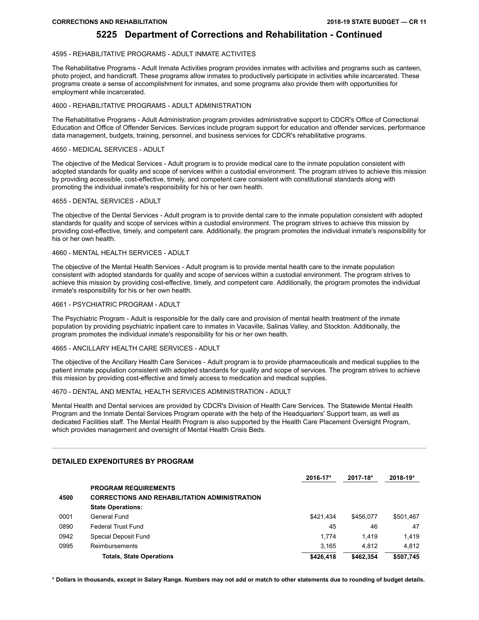#### **CORRECTIONS AND REHABILITATION**

### **5225 Department of Corrections and Rehabilitation - Continued**

#### 4595 - REHABILITATIVE PROGRAMS - ADULT INMATE ACTIVITES

The Rehabilitative Programs - Adult Inmate Activities program provides inmates with activities and programs such as canteen, photo project, and handicraft. These programs allow inmates to productively participate in activities while incarcerated. These programs create a sense of accomplishment for inmates, and some programs also provide them with opportunities for employment while incarcerated.

#### 4600 - REHABILITATIVE PROGRAMS - ADULT ADMINISTRATION

The Rehabilitative Programs - Adult Administration program provides administrative support to CDCR's Office of Correctional Education and Office of Offender Services. Services include program support for education and offender services, performance data management, budgets, training, personnel, and business services for CDCR's rehabilitative programs.

#### 4650 - MEDICAL SERVICES - ADULT

The objective of the Medical Services - Adult program is to provide medical care to the inmate population consistent with adopted standards for quality and scope of services within a custodial environment. The program strives to achieve this mission by providing accessible, cost-effective, timely, and competent care consistent with constitutional standards along with promoting the individual inmate's responsibility for his or her own health.

#### 4655 - DENTAL SERVICES - ADULT

The objective of the Dental Services - Adult program is to provide dental care to the inmate population consistent with adopted standards for quality and scope of services within a custodial environment. The program strives to achieve this mission by providing cost-effective, timely, and competent care. Additionally, the program promotes the individual inmate's responsibility for his or her own health.

#### 4660 - MENTAL HEALTH SERVICES - ADULT

The objective of the Mental Health Services - Adult program is to provide mental health care to the inmate population consistent with adopted standards for quality and scope of services within a custodial environment. The program strives to achieve this mission by providing cost-effective, timely, and competent care. Additionally, the program promotes the individual inmate's responsibility for his or her own health.

#### 4661 - PSYCHIATRIC PROGRAM - ADULT

The Psychiatric Program - Adult is responsible for the daily care and provision of mental health treatment of the inmate population by providing psychiatric inpatient care to inmates in Vacaville, Salinas Valley, and Stockton. Additionally, the program promotes the individual inmate's responsibility for his or her own health.

#### 4665 - ANCILLARY HEALTH CARE SERVICES - ADULT

The objective of the Ancillary Health Care Services - Adult program is to provide pharmaceuticals and medical supplies to the patient inmate population consistent with adopted standards for quality and scope of services. The program strives to achieve this mission by providing cost-effective and timely access to medication and medical supplies.

#### 4670 - DENTAL AND MENTAL HEALTH SERVICES ADMINISTRATION - ADULT

Mental Health and Dental services are provided by CDCR's Division of Health Care Services. The Statewide Mental Health Program and the Inmate Dental Services Program operate with the help of the Headquarters' Support team, as well as dedicated Facilities staff. The Mental Health Program is also supported by the Health Care Placement Oversight Program, which provides management and oversight of Mental Health Crisis Beds.

|      |                                                      | 2016-17*  | 2017-18*  | 2018-19*  |
|------|------------------------------------------------------|-----------|-----------|-----------|
|      | <b>PROGRAM REQUIREMENTS</b>                          |           |           |           |
| 4500 | <b>CORRECTIONS AND REHABILITATION ADMINISTRATION</b> |           |           |           |
|      | <b>State Operations:</b>                             |           |           |           |
| 0001 | General Fund                                         | \$421.434 | \$456.077 | \$501.467 |
| 0890 | <b>Federal Trust Fund</b>                            | 45        | 46        | 47        |
| 0942 | Special Deposit Fund                                 | 1.774     | 1.419     | 1,419     |
| 0995 | Reimbursements                                       | 3.165     | 4.812     | 4.812     |
|      | <b>Totals, State Operations</b>                      | \$426,418 | \$462,354 | \$507,745 |

### **DETAILED EXPENDITURES BY PROGRAM**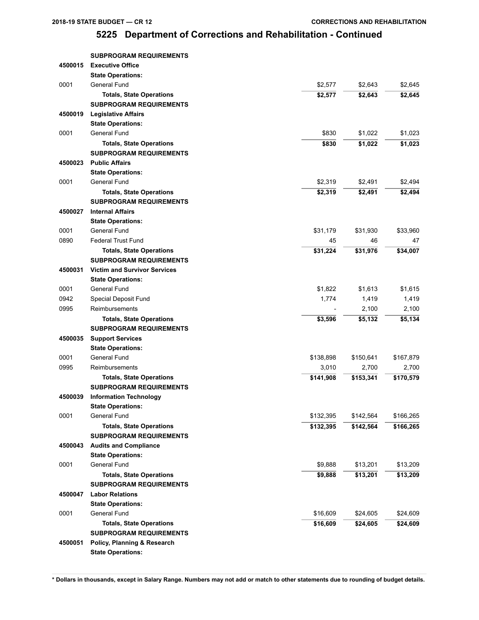|         | <b>SUBPROGRAM REQUIREMENTS</b>      |           |           |           |
|---------|-------------------------------------|-----------|-----------|-----------|
| 4500015 | <b>Executive Office</b>             |           |           |           |
|         | <b>State Operations:</b>            |           |           |           |
| 0001    | General Fund                        | \$2,577   | \$2,643   | \$2,645   |
|         | <b>Totals, State Operations</b>     | \$2,577   | \$2,643   | \$2,645   |
|         | <b>SUBPROGRAM REQUIREMENTS</b>      |           |           |           |
| 4500019 | <b>Legislative Affairs</b>          |           |           |           |
|         | <b>State Operations:</b>            |           |           |           |
| 0001    | General Fund                        | \$830     | \$1,022   | \$1,023   |
|         | <b>Totals, State Operations</b>     | \$830     | \$1,022   | \$1,023   |
|         | <b>SUBPROGRAM REQUIREMENTS</b>      |           |           |           |
| 4500023 | <b>Public Affairs</b>               |           |           |           |
|         | <b>State Operations:</b>            |           |           |           |
| 0001    | General Fund                        | \$2,319   | \$2,491   | \$2,494   |
|         | <b>Totals, State Operations</b>     | \$2,319   | \$2,491   | \$2,494   |
|         | <b>SUBPROGRAM REQUIREMENTS</b>      |           |           |           |
| 4500027 | <b>Internal Affairs</b>             |           |           |           |
|         | <b>State Operations:</b>            |           |           |           |
| 0001    | <b>General Fund</b>                 | \$31,179  | \$31,930  | \$33,960  |
| 0890    | <b>Federal Trust Fund</b>           | 45        | 46        | 47        |
|         | <b>Totals, State Operations</b>     | \$31,224  | \$31,976  | \$34,007  |
|         | <b>SUBPROGRAM REQUIREMENTS</b>      |           |           |           |
| 4500031 | <b>Victim and Survivor Services</b> |           |           |           |
|         | <b>State Operations:</b>            |           |           |           |
| 0001    | General Fund                        | \$1,822   | \$1,613   | \$1,615   |
| 0942    | Special Deposit Fund                | 1,774     | 1,419     | 1,419     |
| 0995    | Reimbursements                      |           | 2,100     | 2,100     |
|         | <b>Totals, State Operations</b>     | \$3,596   | \$5,132   | \$5,134   |
|         | <b>SUBPROGRAM REQUIREMENTS</b>      |           |           |           |
| 4500035 | <b>Support Services</b>             |           |           |           |
|         | <b>State Operations:</b>            |           |           |           |
| 0001    | General Fund                        | \$138,898 | \$150,641 | \$167,879 |
| 0995    | Reimbursements                      | 3,010     | 2,700     | 2,700     |
|         | <b>Totals, State Operations</b>     | \$141,908 | \$153,341 | \$170,579 |
|         | <b>SUBPROGRAM REQUIREMENTS</b>      |           |           |           |
| 4500039 | <b>Information Technology</b>       |           |           |           |
|         | <b>State Operations:</b>            |           |           |           |
| 0001    | General Fund                        | \$132,395 | \$142,564 | \$166,265 |
|         | <b>Totals, State Operations</b>     | \$132,395 | \$142,564 | \$166,265 |
|         | <b>SUBPROGRAM REQUIREMENTS</b>      |           |           |           |
| 4500043 | <b>Audits and Compliance</b>        |           |           |           |
|         | <b>State Operations:</b>            |           |           |           |
| 0001    | General Fund                        | \$9,888   | \$13,201  | \$13,209  |
|         | <b>Totals, State Operations</b>     | \$9,888   | \$13,201  | \$13,209  |
|         | <b>SUBPROGRAM REQUIREMENTS</b>      |           |           |           |
| 4500047 | <b>Labor Relations</b>              |           |           |           |
|         | <b>State Operations:</b>            |           |           |           |
| 0001    | General Fund                        | \$16,609  | \$24,605  | \$24,609  |
|         | <b>Totals, State Operations</b>     | \$16,609  | \$24,605  | \$24,609  |
|         | <b>SUBPROGRAM REQUIREMENTS</b>      |           |           |           |
| 4500051 | Policy, Planning & Research         |           |           |           |
|         | <b>State Operations:</b>            |           |           |           |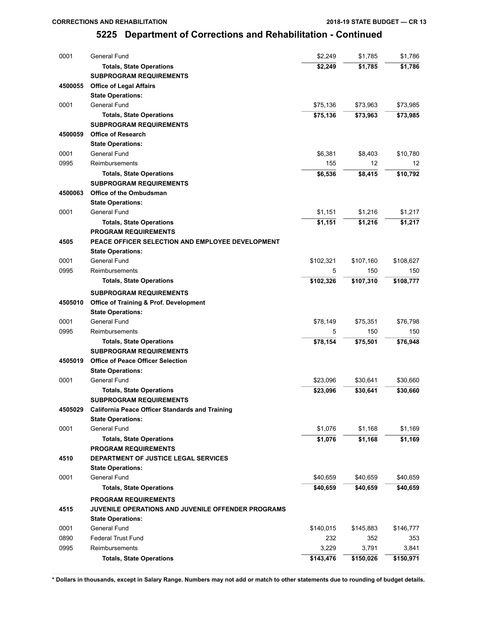| 0001    | General Fund                                              | \$2,249   | \$1,785   | \$1,786   |
|---------|-----------------------------------------------------------|-----------|-----------|-----------|
|         | <b>Totals, State Operations</b>                           | \$2,249   | \$1,785   | \$1,786   |
|         | <b>SUBPROGRAM REQUIREMENTS</b>                            |           |           |           |
| 4500055 | <b>Office of Legal Affairs</b>                            |           |           |           |
|         | <b>State Operations:</b>                                  |           |           |           |
| 0001    | General Fund                                              | \$75,136  | \$73,963  | \$73,985  |
|         | <b>Totals, State Operations</b>                           | \$75,136  | \$73,963  | \$73,985  |
|         | <b>SUBPROGRAM REQUIREMENTS</b>                            |           |           |           |
| 4500059 | <b>Office of Research</b>                                 |           |           |           |
|         | <b>State Operations:</b>                                  |           |           |           |
| 0001    | General Fund                                              | \$6,381   | \$8,403   | \$10,780  |
| 0995    | Reimbursements                                            | 155       | 12        | 12        |
|         | <b>Totals, State Operations</b>                           | \$6,536   | \$8,415   | \$10,792  |
|         | <b>SUBPROGRAM REQUIREMENTS</b>                            |           |           |           |
| 4500063 | <b>Office of the Ombudsman</b>                            |           |           |           |
|         | <b>State Operations:</b>                                  |           |           |           |
| 0001    | General Fund                                              | \$1,151   | \$1,216   | \$1,217   |
|         | <b>Totals, State Operations</b>                           | \$1,151   | \$1,216   | \$1,217   |
|         | <b>PROGRAM REQUIREMENTS</b>                               |           |           |           |
| 4505    | PEACE OFFICER SELECTION AND EMPLOYEE DEVELOPMENT          |           |           |           |
|         | <b>State Operations:</b>                                  |           |           |           |
| 0001    | General Fund                                              | \$102,321 | \$107,160 | \$108,627 |
| 0995    | Reimbursements                                            | 5         | 150       | 150       |
|         | <b>Totals, State Operations</b>                           | \$102,326 | \$107,310 | \$108,777 |
|         |                                                           |           |           |           |
|         | <b>SUBPROGRAM REQUIREMENTS</b>                            |           |           |           |
| 4505010 | <b>Office of Training &amp; Prof. Development</b>         |           |           |           |
|         | <b>State Operations:</b>                                  |           |           |           |
| 0001    | General Fund                                              | \$78,149  | \$75,351  | \$76,798  |
| 0995    | Reimbursements                                            | 5         | 150       | 150       |
|         | <b>Totals, State Operations</b>                           | \$78,154  | \$75,501  | \$76,948  |
|         | <b>SUBPROGRAM REQUIREMENTS</b>                            |           |           |           |
| 4505019 | <b>Office of Peace Officer Selection</b>                  |           |           |           |
|         | <b>State Operations:</b>                                  |           |           |           |
| 0001    | General Fund                                              | \$23,096  | \$30,641  | \$30,660  |
|         | <b>Totals, State Operations</b>                           | \$23,096  | \$30,641  | \$30,660  |
|         | <b>SUBPROGRAM REQUIREMENTS</b>                            |           |           |           |
| 4505029 | <b>California Peace Officer Standards and Training</b>    |           |           |           |
|         | <b>State Operations:</b>                                  |           |           |           |
| 0001    | General Fund                                              | \$1,076   | \$1,168   | \$1,169   |
|         | <b>Totals, State Operations</b>                           | \$1,076   | \$1,168   | \$1,169   |
|         | <b>PROGRAM REQUIREMENTS</b>                               |           |           |           |
| 4510    | <b>DEPARTMENT OF JUSTICE LEGAL SERVICES</b>               |           |           |           |
|         | <b>State Operations:</b>                                  |           |           |           |
| 0001    | General Fund                                              | \$40,659  | \$40,659  | \$40,659  |
|         | <b>Totals, State Operations</b>                           | \$40,659  | \$40,659  | \$40,659  |
|         | <b>PROGRAM REQUIREMENTS</b>                               |           |           |           |
| 4515    | <b>JUVENILE OPERATIONS AND JUVENILE OFFENDER PROGRAMS</b> |           |           |           |
|         | <b>State Operations:</b>                                  |           |           |           |
| 0001    | General Fund                                              | \$140,015 | \$145,883 | \$146,777 |
| 0890    | <b>Federal Trust Fund</b>                                 | 232       | 352       | 353       |
| 0995    | Reimbursements                                            | 3,229     | 3,791     | 3,841     |
|         | <b>Totals, State Operations</b>                           | \$143,476 | \$150,026 | \$150,971 |
|         |                                                           |           |           |           |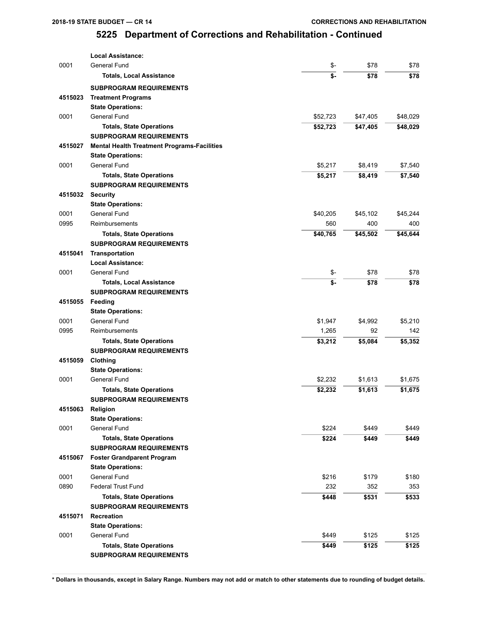|         | <b>Local Assistance:</b>                           |          |          |          |
|---------|----------------------------------------------------|----------|----------|----------|
| 0001    | General Fund                                       | \$-      | \$78     | \$78     |
|         | <b>Totals, Local Assistance</b>                    | \$-      | \$78     | \$78     |
|         | <b>SUBPROGRAM REQUIREMENTS</b>                     |          |          |          |
| 4515023 | <b>Treatment Programs</b>                          |          |          |          |
|         | <b>State Operations:</b>                           |          |          |          |
| 0001    | General Fund                                       | \$52,723 | \$47,405 | \$48,029 |
|         | <b>Totals, State Operations</b>                    | \$52,723 | \$47,405 | \$48,029 |
|         | <b>SUBPROGRAM REQUIREMENTS</b>                     |          |          |          |
| 4515027 | <b>Mental Health Treatment Programs-Facilities</b> |          |          |          |
|         | <b>State Operations:</b>                           |          |          |          |
| 0001    | General Fund                                       | \$5,217  | \$8,419  | \$7,540  |
|         | <b>Totals, State Operations</b>                    | \$5,217  | \$8,419  | \$7,540  |
|         | <b>SUBPROGRAM REQUIREMENTS</b>                     |          |          |          |
| 4515032 | <b>Security</b>                                    |          |          |          |
|         | <b>State Operations:</b>                           |          |          |          |
| 0001    | General Fund                                       | \$40,205 | \$45,102 | \$45,244 |
| 0995    | Reimbursements                                     | 560      | 400      | 400      |
|         | <b>Totals, State Operations</b>                    | \$40,765 | \$45,502 | \$45,644 |
|         | <b>SUBPROGRAM REQUIREMENTS</b>                     |          |          |          |
| 4515041 | Transportation                                     |          |          |          |
|         | <b>Local Assistance:</b>                           |          |          |          |
| 0001    | General Fund                                       | \$-      | \$78     | \$78     |
|         | <b>Totals, Local Assistance</b>                    | \$-      | \$78     | \$78     |
|         | <b>SUBPROGRAM REQUIREMENTS</b>                     |          |          |          |
| 4515055 | Feeding                                            |          |          |          |
|         | <b>State Operations:</b>                           |          |          |          |
| 0001    | General Fund                                       | \$1,947  | \$4,992  | \$5,210  |
| 0995    | Reimbursements                                     | 1,265    | 92       | 142      |
|         | <b>Totals, State Operations</b>                    | \$3,212  | \$5,084  | \$5,352  |
|         | <b>SUBPROGRAM REQUIREMENTS</b>                     |          |          |          |
| 4515059 | Clothing                                           |          |          |          |
|         | <b>State Operations:</b>                           |          |          |          |
| 0001    | General Fund                                       | \$2,232  | \$1,613  | \$1,675  |
|         | <b>Totals, State Operations</b>                    | \$2,232  | \$1,613  | \$1,675  |
|         | <b>SUBPROGRAM REQUIREMENTS</b>                     |          |          |          |
| 4515063 | Religion                                           |          |          |          |
|         | <b>State Operations:</b>                           |          |          |          |
| 0001    | General Fund                                       | \$224    | \$449    | \$449    |
|         | <b>Totals, State Operations</b>                    | \$224    | \$449    | \$449    |
|         | <b>SUBPROGRAM REQUIREMENTS</b>                     |          |          |          |
| 4515067 | <b>Foster Grandparent Program</b>                  |          |          |          |
|         | <b>State Operations:</b>                           |          |          |          |
| 0001    | General Fund                                       | \$216    | \$179    | \$180    |
| 0890    | <b>Federal Trust Fund</b>                          | 232      | 352      | 353      |
|         | <b>Totals, State Operations</b>                    | \$448    | \$531    | \$533    |
|         | <b>SUBPROGRAM REQUIREMENTS</b>                     |          |          |          |
| 4515071 | Recreation                                         |          |          |          |
|         | <b>State Operations:</b>                           |          |          |          |
| 0001    | General Fund                                       | \$449    | \$125    | \$125    |
|         | <b>Totals, State Operations</b>                    | \$449    | \$125    | \$125    |
|         | <b>SUBPROGRAM REQUIREMENTS</b>                     |          |          |          |
|         |                                                    |          |          |          |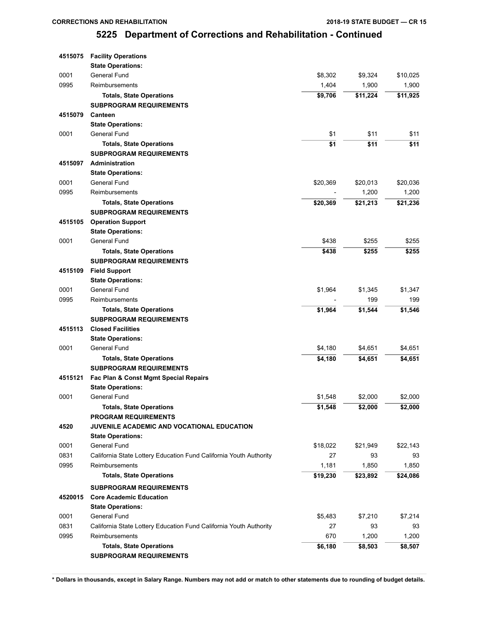#### **CORRECTIONS AND REHABILITATION**

# **5225 Department of Corrections and Rehabilitation - Continued**

| 4515075 | <b>Facility Operations</b>                                         |          |          |          |
|---------|--------------------------------------------------------------------|----------|----------|----------|
|         | <b>State Operations:</b>                                           |          |          |          |
| 0001    | General Fund                                                       | \$8,302  | \$9,324  | \$10,025 |
| 0995    | Reimbursements                                                     | 1,404    | 1,900    | 1,900    |
|         | <b>Totals, State Operations</b>                                    | \$9,706  | \$11,224 | \$11,925 |
|         | <b>SUBPROGRAM REQUIREMENTS</b>                                     |          |          |          |
| 4515079 | <b>Canteen</b>                                                     |          |          |          |
|         | <b>State Operations:</b>                                           |          |          |          |
| 0001    | General Fund                                                       | \$1      | \$11     | \$11     |
|         | <b>Totals, State Operations</b>                                    | \$1      | \$11     | \$11     |
|         | <b>SUBPROGRAM REQUIREMENTS</b>                                     |          |          |          |
| 4515097 | <b>Administration</b>                                              |          |          |          |
|         | <b>State Operations:</b>                                           |          |          |          |
| 0001    | General Fund                                                       | \$20,369 | \$20,013 | \$20,036 |
| 0995    | Reimbursements                                                     |          | 1,200    | 1,200    |
|         | <b>Totals, State Operations</b>                                    | \$20,369 | \$21,213 | \$21,236 |
|         | <b>SUBPROGRAM REQUIREMENTS</b>                                     |          |          |          |
| 4515105 | <b>Operation Support</b>                                           |          |          |          |
|         | <b>State Operations:</b>                                           |          |          |          |
| 0001    | General Fund                                                       | \$438    | \$255    | \$255    |
|         | <b>Totals, State Operations</b>                                    | \$438    | \$255    | \$255    |
|         | <b>SUBPROGRAM REQUIREMENTS</b>                                     |          |          |          |
| 4515109 | <b>Field Support</b>                                               |          |          |          |
|         | <b>State Operations:</b>                                           |          |          |          |
| 0001    | General Fund                                                       | \$1,964  | \$1,345  | \$1,347  |
| 0995    | Reimbursements                                                     |          | 199      | 199      |
|         | <b>Totals, State Operations</b>                                    | \$1,964  | \$1,544  | \$1,546  |
|         | <b>SUBPROGRAM REQUIREMENTS</b>                                     |          |          |          |
| 4515113 | <b>Closed Facilities</b>                                           |          |          |          |
|         | <b>State Operations:</b>                                           |          |          |          |
| 0001    | General Fund                                                       | \$4,180  | \$4,651  | \$4,651  |
|         | <b>Totals, State Operations</b>                                    | \$4,180  | \$4,651  | \$4,651  |
|         | <b>SUBPROGRAM REQUIREMENTS</b>                                     |          |          |          |
| 4515121 | Fac Plan & Const Mgmt Special Repairs                              |          |          |          |
|         | <b>State Operations:</b>                                           |          |          |          |
| 0001    | General Fund                                                       | \$1,548  | \$2,000  | \$2,000  |
|         | <b>Totals, State Operations</b>                                    | \$1,548  | \$2,000  | \$2,000  |
|         | <b>PROGRAM REQUIREMENTS</b>                                        |          |          |          |
| 4520    | JUVENILE ACADEMIC AND VOCATIONAL EDUCATION                         |          |          |          |
|         | <b>State Operations:</b>                                           |          |          |          |
| 0001    | General Fund                                                       | \$18,022 | \$21,949 | \$22,143 |
| 0831    | California State Lottery Education Fund California Youth Authority | 27       | 93       | 93       |
| 0995    | Reimbursements                                                     | 1,181    | 1,850    | 1,850    |
|         | <b>Totals, State Operations</b>                                    | \$19,230 | \$23,892 | \$24,086 |
|         | <b>SUBPROGRAM REQUIREMENTS</b>                                     |          |          |          |
| 4520015 | <b>Core Academic Education</b>                                     |          |          |          |
|         | <b>State Operations:</b>                                           |          |          |          |
| 0001    | General Fund                                                       | \$5,483  | \$7,210  | \$7,214  |
| 0831    | California State Lottery Education Fund California Youth Authority | 27       | 93       | 93       |
| 0995    | Reimbursements                                                     | 670      | 1,200    | 1,200    |
|         | <b>Totals, State Operations</b>                                    | \$6,180  |          |          |
|         |                                                                    |          | \$8,503  | \$8,507  |
|         | <b>SUBPROGRAM REQUIREMENTS</b>                                     |          |          |          |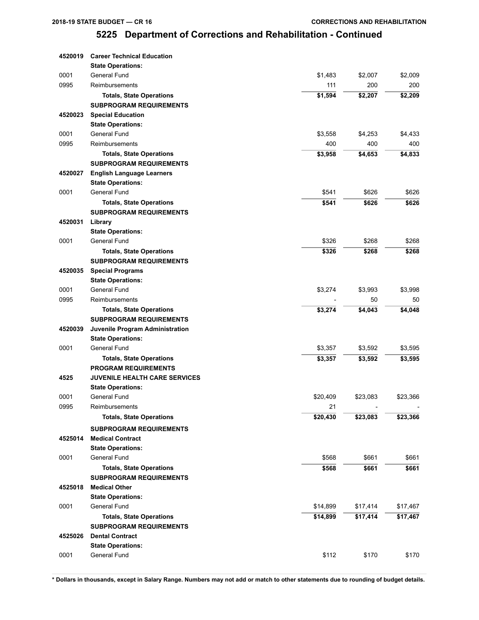| 4520019 | <b>Career Technical Education</b>        |          |          |          |
|---------|------------------------------------------|----------|----------|----------|
|         | <b>State Operations:</b>                 |          |          |          |
| 0001    | General Fund                             | \$1,483  | \$2,007  | \$2,009  |
| 0995    | Reimbursements                           | 111      | 200      | 200      |
|         | <b>Totals, State Operations</b>          | \$1,594  | \$2,207  | \$2,209  |
|         | <b>SUBPROGRAM REQUIREMENTS</b>           |          |          |          |
| 4520023 | <b>Special Education</b>                 |          |          |          |
|         | <b>State Operations:</b>                 |          |          |          |
| 0001    | General Fund                             | \$3,558  | \$4,253  | \$4,433  |
| 0995    | Reimbursements                           | 400      | 400      | 400      |
|         | <b>Totals, State Operations</b>          | \$3,958  | \$4,653  | \$4,833  |
|         | <b>SUBPROGRAM REQUIREMENTS</b>           |          |          |          |
| 4520027 | <b>English Language Learners</b>         |          |          |          |
|         | <b>State Operations:</b>                 |          |          |          |
| 0001    | General Fund                             | \$541    | \$626    | \$626    |
|         | <b>Totals, State Operations</b>          | \$541    | \$626    | \$626    |
|         | <b>SUBPROGRAM REQUIREMENTS</b>           |          |          |          |
| 4520031 | Library                                  |          |          |          |
|         | <b>State Operations:</b>                 |          |          |          |
| 0001    | General Fund                             | \$326    | \$268    | \$268    |
|         | <b>Totals, State Operations</b>          | \$326    | \$268    | \$268    |
|         | <b>SUBPROGRAM REQUIREMENTS</b>           |          |          |          |
| 4520035 | <b>Special Programs</b>                  |          |          |          |
|         | <b>State Operations:</b>                 |          |          |          |
| 0001    | General Fund                             | \$3,274  | \$3,993  | \$3,998  |
| 0995    | Reimbursements                           |          | 50       | 50       |
|         |                                          |          |          |          |
|         |                                          |          |          |          |
|         | <b>Totals, State Operations</b>          | \$3,274  | \$4,043  | \$4,048  |
|         | <b>SUBPROGRAM REQUIREMENTS</b>           |          |          |          |
| 4520039 | Juvenile Program Administration          |          |          |          |
|         | <b>State Operations:</b>                 |          |          |          |
| 0001    | General Fund                             | \$3,357  | \$3,592  | \$3,595  |
|         | <b>Totals, State Operations</b>          | \$3,357  | \$3,592  | \$3,595  |
|         | <b>PROGRAM REQUIREMENTS</b>              |          |          |          |
| 4525    | <b>JUVENILE HEALTH CARE SERVICES</b>     |          |          |          |
|         | <b>State Operations:</b>                 |          |          |          |
| 0001    | General Fund                             | \$20,409 | \$23,083 | \$23,366 |
| 0995    | Reimbursements                           | 21       |          |          |
|         | <b>Totals, State Operations</b>          | \$20,430 | \$23,083 | \$23,366 |
|         | <b>SUBPROGRAM REQUIREMENTS</b>           |          |          |          |
| 4525014 | <b>Medical Contract</b>                  |          |          |          |
|         | <b>State Operations:</b>                 |          |          |          |
| 0001    | General Fund                             | \$568    | \$661    | \$661    |
|         | <b>Totals, State Operations</b>          | \$568    | \$661    | \$661    |
|         | <b>SUBPROGRAM REQUIREMENTS</b>           |          |          |          |
| 4525018 | <b>Medical Other</b>                     |          |          |          |
|         | <b>State Operations:</b>                 |          |          |          |
| 0001    | General Fund                             | \$14,899 | \$17,414 | \$17,467 |
|         | <b>Totals, State Operations</b>          | \$14,899 | \$17,414 | \$17,467 |
|         | <b>SUBPROGRAM REQUIREMENTS</b>           |          |          |          |
| 4525026 | <b>Dental Contract</b>                   |          |          |          |
| 0001    | <b>State Operations:</b><br>General Fund | \$112    | \$170    | \$170    |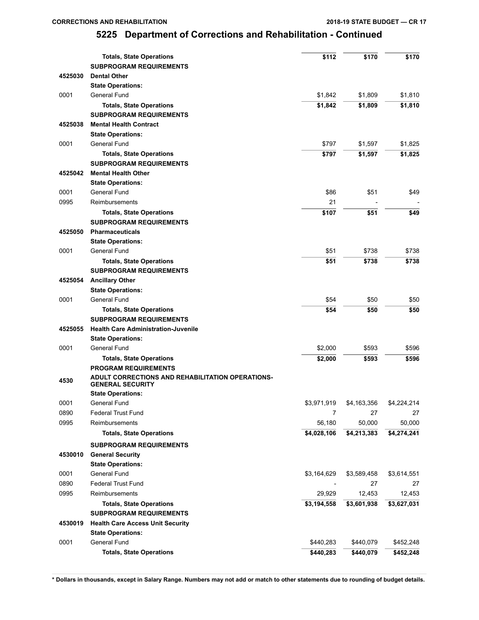|         | <b>Totals, State Operations</b>                                                    | \$112       | \$170                   | \$170       |
|---------|------------------------------------------------------------------------------------|-------------|-------------------------|-------------|
|         | <b>SUBPROGRAM REQUIREMENTS</b>                                                     |             |                         |             |
| 4525030 | <b>Dental Other</b>                                                                |             |                         |             |
|         | <b>State Operations:</b>                                                           |             |                         |             |
| 0001    | General Fund                                                                       | \$1,842     | \$1,809                 | \$1,810     |
|         | <b>Totals, State Operations</b>                                                    | \$1,842     | \$1,809                 | \$1,810     |
|         | <b>SUBPROGRAM REQUIREMENTS</b>                                                     |             |                         |             |
| 4525038 | <b>Mental Health Contract</b>                                                      |             |                         |             |
|         | <b>State Operations:</b>                                                           |             |                         |             |
| 0001    | General Fund                                                                       | \$797       | \$1,597                 | \$1,825     |
|         | <b>Totals, State Operations</b>                                                    | \$797       | \$1,597                 | \$1,825     |
|         | <b>SUBPROGRAM REQUIREMENTS</b>                                                     |             |                         |             |
| 4525042 | <b>Mental Health Other</b>                                                         |             |                         |             |
|         | <b>State Operations:</b>                                                           |             |                         |             |
| 0001    | General Fund                                                                       | \$86        | \$51                    | \$49        |
| 0995    | Reimbursements                                                                     | 21          |                         |             |
|         | <b>Totals, State Operations</b>                                                    | \$107       | \$51                    | \$49        |
|         | <b>SUBPROGRAM REQUIREMENTS</b>                                                     |             |                         |             |
| 4525050 | <b>Pharmaceuticals</b>                                                             |             |                         |             |
|         | <b>State Operations:</b>                                                           |             |                         |             |
| 0001    | General Fund                                                                       | \$51        | \$738                   | \$738       |
|         | <b>Totals, State Operations</b>                                                    | \$51        | \$738                   | \$738       |
|         | <b>SUBPROGRAM REQUIREMENTS</b>                                                     |             |                         |             |
| 4525054 | <b>Ancillary Other</b>                                                             |             |                         |             |
|         | <b>State Operations:</b>                                                           |             |                         |             |
| 0001    | General Fund                                                                       | \$54        | \$50                    | \$50        |
|         | <b>Totals, State Operations</b>                                                    | \$54        | \$50                    | \$50        |
|         | <b>SUBPROGRAM REQUIREMENTS</b>                                                     |             |                         |             |
| 4525055 | <b>Health Care Administration-Juvenile</b>                                         |             |                         |             |
|         | <b>State Operations:</b>                                                           |             |                         |             |
| 0001    | General Fund                                                                       | \$2,000     | \$593                   | \$596       |
|         | <b>Totals, State Operations</b>                                                    | \$2,000     | \$593                   | \$596       |
|         | <b>PROGRAM REQUIREMENTS</b>                                                        |             |                         |             |
| 4530    | <b>ADULT CORRECTIONS AND REHABILITATION OPERATIONS-</b><br><b>GENERAL SECURITY</b> |             |                         |             |
|         | <b>State Operations:</b>                                                           |             |                         |             |
| 0001    | General Fund                                                                       | \$3,971,919 | \$4,163,356             | \$4,224,214 |
| 0890    | <b>Federal Trust Fund</b>                                                          | 7           | 27                      | 27          |
| 0995    | Reimbursements                                                                     | 56,180      | 50,000                  | 50,000      |
|         | <b>Totals, State Operations</b>                                                    | \$4,028,106 | $\overline{$4,213,383}$ | \$4,274,241 |
|         | <b>SUBPROGRAM REQUIREMENTS</b>                                                     |             |                         |             |
| 4530010 | <b>General Security</b>                                                            |             |                         |             |
|         | <b>State Operations:</b>                                                           |             |                         |             |
| 0001    | General Fund                                                                       | \$3,164,629 | \$3,589,458             | \$3,614,551 |
| 0890    | <b>Federal Trust Fund</b>                                                          |             | 27                      | 27          |
| 0995    | Reimbursements                                                                     | 29,929      | 12,453                  | 12,453      |
|         | <b>Totals, State Operations</b>                                                    | \$3,194,558 | \$3,601,938             | \$3,627,031 |
|         | <b>SUBPROGRAM REQUIREMENTS</b>                                                     |             |                         |             |
| 4530019 | <b>Health Care Access Unit Security</b>                                            |             |                         |             |
|         | <b>State Operations:</b>                                                           |             |                         |             |
| 0001    | General Fund                                                                       | \$440,283   | \$440,079               | \$452,248   |
|         | <b>Totals, State Operations</b>                                                    | \$440,283   | \$440,079               | \$452,248   |
|         |                                                                                    |             |                         |             |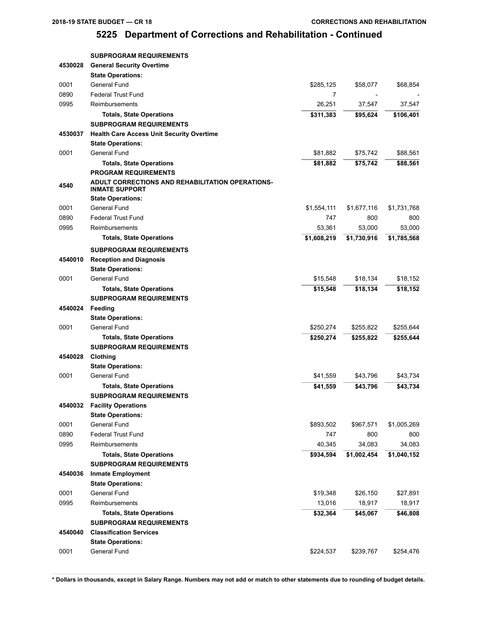|         | <b>SUBPROGRAM REQUIREMENTS</b>                                            |             |             |               |
|---------|---------------------------------------------------------------------------|-------------|-------------|---------------|
| 4530028 | <b>General Security Overtime</b>                                          |             |             |               |
|         | <b>State Operations:</b>                                                  |             |             |               |
| 0001    | General Fund                                                              | \$285,125   | \$58,077    | \$68,854      |
| 0890    | <b>Federal Trust Fund</b>                                                 | 7           |             |               |
| 0995    | Reimbursements                                                            | 26,251      | 37,547      | 37,547        |
|         | <b>Totals, State Operations</b>                                           | \$311,383   | \$95,624    | \$106,401     |
|         | <b>SUBPROGRAM REQUIREMENTS</b>                                            |             |             |               |
| 4530037 | <b>Health Care Access Unit Security Overtime</b>                          |             |             |               |
|         | <b>State Operations:</b>                                                  |             |             |               |
| 0001    | General Fund                                                              | \$81,882    | \$75,742    | \$88,561      |
|         | <b>Totals, State Operations</b>                                           | \$81,882    | \$75,742    | \$88,561      |
|         | <b>PROGRAM REQUIREMENTS</b>                                               |             |             |               |
| 4540    | ADULT CORRECTIONS AND REHABILITATION OPERATIONS-<br><b>INMATE SUPPORT</b> |             |             |               |
|         | <b>State Operations:</b>                                                  |             |             |               |
| 0001    | General Fund                                                              | \$1,554,111 | \$1,677,116 | \$1,731,768   |
| 0890    | <b>Federal Trust Fund</b>                                                 | 747         | 800         | 800           |
| 0995    | Reimbursements                                                            | 53,361      | 53,000      | 53,000        |
|         | <b>Totals, State Operations</b>                                           | \$1,608,219 | \$1,730,916 | \$1,785,568   |
|         | <b>SUBPROGRAM REQUIREMENTS</b>                                            |             |             |               |
| 4540010 | <b>Reception and Diagnosis</b>                                            |             |             |               |
|         | <b>State Operations:</b>                                                  |             |             |               |
| 0001    | General Fund                                                              | \$15,548    | \$18,134    | \$18,152      |
|         | <b>Totals, State Operations</b>                                           | \$15,548    | \$18,134    | \$18,152      |
|         | <b>SUBPROGRAM REQUIREMENTS</b>                                            |             |             |               |
| 4540024 | Feeding                                                                   |             |             |               |
|         | <b>State Operations:</b>                                                  |             |             |               |
| 0001    | General Fund                                                              | \$250,274   | \$255,822   | \$255,644     |
|         | <b>Totals, State Operations</b>                                           | \$250,274   |             | \$255,644     |
|         | <b>SUBPROGRAM REQUIREMENTS</b>                                            |             | \$255,822   |               |
| 4540028 | Clothing                                                                  |             |             |               |
|         |                                                                           |             |             |               |
| 0001    | <b>State Operations:</b><br><b>General Fund</b>                           | \$41,559    | \$43,796    | \$43,734      |
|         |                                                                           |             |             |               |
|         | <b>Totals, State Operations</b>                                           | \$41,559    | \$43,796    | \$43,734      |
|         | <b>SUBPROGRAM REQUIREMENTS</b>                                            |             |             |               |
| 4540032 | <b>Facility Operations</b><br><b>State Operations:</b>                    |             |             |               |
| 0001    | General Fund                                                              | \$893,502   | \$967,571   | \$1,005,269   |
| 0890    | <b>Federal Trust Fund</b>                                                 | 747         | 800         |               |
| 0995    | Reimbursements                                                            | 40,345      | 34,083      | 800<br>34,083 |
|         |                                                                           |             |             |               |
|         | <b>Totals, State Operations</b>                                           | \$934,594   | \$1,002,454 | \$1,040,152   |
|         | <b>SUBPROGRAM REQUIREMENTS</b>                                            |             |             |               |
| 4540036 | <b>Inmate Employment</b>                                                  |             |             |               |
|         | <b>State Operations:</b>                                                  |             |             |               |
| 0001    | General Fund                                                              | \$19,348    | \$26,150    | \$27,891      |
| 0995    | Reimbursements                                                            | 13,016      | 18,917      | 18,917        |
|         | <b>Totals, State Operations</b>                                           | \$32,364    | \$45,067    | \$46,808      |
|         | <b>SUBPROGRAM REQUIREMENTS</b>                                            |             |             |               |
| 4540040 | <b>Classification Services</b>                                            |             |             |               |
|         | <b>State Operations:</b>                                                  |             |             |               |
| 0001    | General Fund                                                              | \$224,537   | \$239,767   | \$254,476     |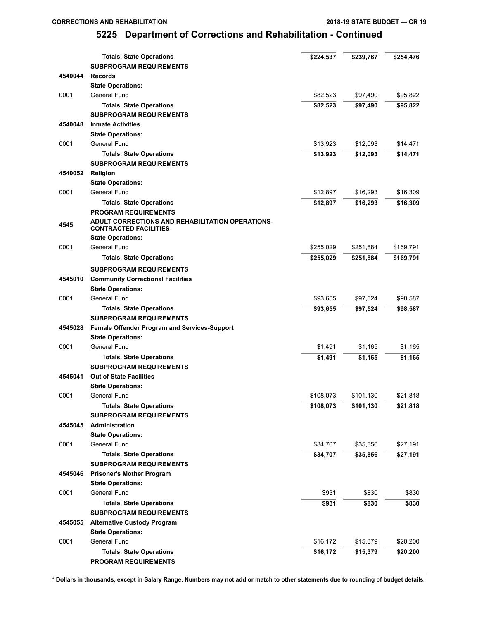|         | <b>Totals, State Operations</b>                                                         | \$224,537 | \$239,767 | \$254,476 |
|---------|-----------------------------------------------------------------------------------------|-----------|-----------|-----------|
|         | <b>SUBPROGRAM REQUIREMENTS</b>                                                          |           |           |           |
| 4540044 | <b>Records</b>                                                                          |           |           |           |
|         | <b>State Operations:</b>                                                                |           |           |           |
| 0001    | General Fund                                                                            | \$82,523  | \$97,490  | \$95,822  |
|         | <b>Totals, State Operations</b>                                                         | \$82,523  | \$97,490  | \$95,822  |
|         | <b>SUBPROGRAM REQUIREMENTS</b>                                                          |           |           |           |
| 4540048 | <b>Inmate Activities</b>                                                                |           |           |           |
|         | <b>State Operations:</b>                                                                |           |           |           |
| 0001    | General Fund                                                                            | \$13,923  | \$12,093  | \$14,471  |
|         | <b>Totals, State Operations</b>                                                         | \$13,923  | \$12,093  | \$14,471  |
|         | <b>SUBPROGRAM REQUIREMENTS</b>                                                          |           |           |           |
| 4540052 | Religion                                                                                |           |           |           |
|         | <b>State Operations:</b>                                                                |           |           |           |
| 0001    | General Fund                                                                            | \$12,897  | \$16,293  | \$16,309  |
|         | <b>Totals, State Operations</b>                                                         | \$12,897  | \$16,293  | \$16,309  |
|         | <b>PROGRAM REQUIREMENTS</b>                                                             |           |           |           |
| 4545    | <b>ADULT CORRECTIONS AND REHABILITATION OPERATIONS-</b><br><b>CONTRACTED FACILITIES</b> |           |           |           |
|         | <b>State Operations:</b>                                                                |           |           |           |
| 0001    | General Fund                                                                            | \$255,029 | \$251,884 | \$169,791 |
|         | <b>Totals, State Operations</b>                                                         | \$255,029 | \$251,884 | \$169,791 |
|         | <b>SUBPROGRAM REQUIREMENTS</b>                                                          |           |           |           |
| 4545010 | <b>Community Correctional Facilities</b>                                                |           |           |           |
|         | <b>State Operations:</b>                                                                |           |           |           |
| 0001    | General Fund                                                                            | \$93,655  | \$97,524  | \$98,587  |
|         | <b>Totals, State Operations</b>                                                         | \$93,655  | \$97,524  | \$98,587  |
|         | <b>SUBPROGRAM REQUIREMENTS</b>                                                          |           |           |           |
| 4545028 | <b>Female Offender Program and Services-Support</b>                                     |           |           |           |
|         | <b>State Operations:</b>                                                                |           |           |           |
| 0001    | General Fund                                                                            | \$1,491   | \$1,165   | \$1,165   |
|         | <b>Totals, State Operations</b>                                                         | \$1,491   | \$1,165   | \$1,165   |
|         | <b>SUBPROGRAM REQUIREMENTS</b>                                                          |           |           |           |
| 4545041 | <b>Out of State Facilities</b>                                                          |           |           |           |
|         | <b>State Operations:</b>                                                                |           |           |           |
| 0001    | General Fund                                                                            | \$108,073 | \$101,130 | \$21,818  |
|         | <b>Totals, State Operations</b>                                                         | \$108,073 | \$101,130 | \$21,818  |
|         | <b>SUBPROGRAM REQUIREMENTS</b>                                                          |           |           |           |
| 4545045 | Administration                                                                          |           |           |           |
|         | <b>State Operations:</b>                                                                |           |           |           |
| 0001    | General Fund                                                                            | \$34,707  | \$35,856  | \$27,191  |
|         | <b>Totals, State Operations</b>                                                         | \$34,707  | \$35,856  | \$27,191  |
|         | <b>SUBPROGRAM REQUIREMENTS</b>                                                          |           |           |           |
| 4545046 | <b>Prisoner's Mother Program</b>                                                        |           |           |           |
|         | <b>State Operations:</b>                                                                |           |           |           |
| 0001    | General Fund                                                                            | \$931     | \$830     | \$830     |
|         | <b>Totals, State Operations</b>                                                         | \$931     | \$830     | \$830     |
|         | <b>SUBPROGRAM REQUIREMENTS</b>                                                          |           |           |           |
| 4545055 | <b>Alternative Custody Program</b>                                                      |           |           |           |
|         | <b>State Operations:</b>                                                                |           |           |           |
| 0001    | General Fund                                                                            | \$16,172  | \$15,379  | \$20,200  |
|         | <b>Totals, State Operations</b>                                                         | \$16,172  |           | \$20,200  |
|         |                                                                                         |           | \$15,379  |           |
|         | <b>PROGRAM REQUIREMENTS</b>                                                             |           |           |           |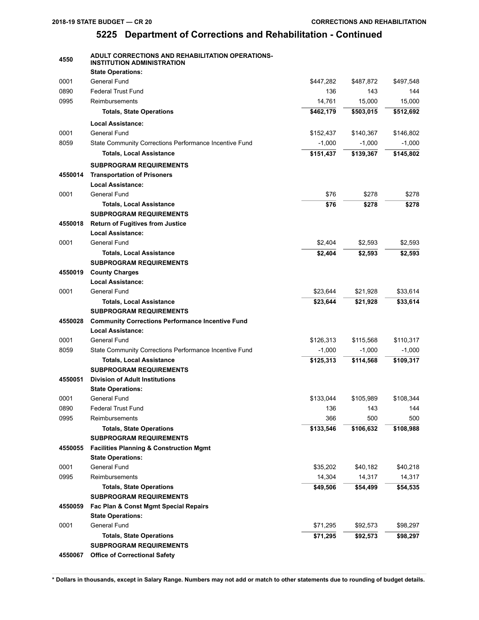| 4550    | ADULT CORRECTIONS AND REHABILITATION OPERATIONS-<br><b>INSTITUTION ADMINISTRATION</b> |           |           |           |
|---------|---------------------------------------------------------------------------------------|-----------|-----------|-----------|
|         | <b>State Operations:</b>                                                              |           |           |           |
| 0001    | General Fund                                                                          | \$447,282 | \$487,872 | \$497,548 |
| 0890    | <b>Federal Trust Fund</b>                                                             | 136       | 143       | 144       |
| 0995    | Reimbursements                                                                        | 14,761    | 15,000    | 15,000    |
|         | <b>Totals, State Operations</b>                                                       | \$462,179 | \$503,015 | \$512,692 |
|         | <b>Local Assistance:</b>                                                              |           |           |           |
| 0001    | General Fund                                                                          | \$152,437 | \$140,367 | \$146,802 |
| 8059    | State Community Corrections Performance Incentive Fund                                | $-1,000$  | $-1,000$  | $-1,000$  |
|         | <b>Totals, Local Assistance</b>                                                       | \$151,437 | \$139,367 | \$145,802 |
|         | <b>SUBPROGRAM REQUIREMENTS</b>                                                        |           |           |           |
| 4550014 | <b>Transportation of Prisoners</b>                                                    |           |           |           |
|         | <b>Local Assistance:</b>                                                              |           |           |           |
| 0001    | General Fund                                                                          | \$76      | \$278     | \$278     |
|         | <b>Totals, Local Assistance</b>                                                       | \$76      | \$278     | \$278     |
|         | <b>SUBPROGRAM REQUIREMENTS</b>                                                        |           |           |           |
| 4550018 | <b>Return of Fugitives from Justice</b>                                               |           |           |           |
|         | <b>Local Assistance:</b>                                                              |           |           |           |
| 0001    | General Fund                                                                          | \$2,404   | \$2,593   | \$2,593   |
|         | <b>Totals, Local Assistance</b>                                                       | \$2,404   | \$2,593   | \$2,593   |
|         | <b>SUBPROGRAM REQUIREMENTS</b>                                                        |           |           |           |
| 4550019 | <b>County Charges</b>                                                                 |           |           |           |
|         | <b>Local Assistance:</b>                                                              |           |           |           |
| 0001    | General Fund                                                                          | \$23,644  | \$21,928  | \$33,614  |
|         | <b>Totals, Local Assistance</b>                                                       | \$23,644  | \$21,928  | \$33,614  |
|         | <b>SUBPROGRAM REQUIREMENTS</b>                                                        |           |           |           |
| 4550028 | <b>Community Corrections Performance Incentive Fund</b>                               |           |           |           |
|         | <b>Local Assistance:</b>                                                              |           |           |           |
| 0001    | General Fund                                                                          | \$126,313 | \$115,568 | \$110,317 |
| 8059    | State Community Corrections Performance Incentive Fund                                | $-1,000$  | $-1,000$  | $-1,000$  |
|         | <b>Totals, Local Assistance</b>                                                       | \$125,313 | \$114,568 | \$109,317 |
|         | <b>SUBPROGRAM REQUIREMENTS</b>                                                        |           |           |           |
| 4550051 | <b>Division of Adult Institutions</b>                                                 |           |           |           |
|         | <b>State Operations:</b>                                                              |           |           |           |
| 0001    | General Fund                                                                          | \$133,044 | \$105,989 | \$108,344 |
| 0890    | <b>Federal Trust Fund</b>                                                             | 136       | 143       | 144       |
| 0995    | Reimbursements                                                                        | 366       | 500       | 500       |
|         | <b>Totals, State Operations</b>                                                       | \$133,546 | \$106,632 | \$108,988 |
|         | <b>SUBPROGRAM REQUIREMENTS</b>                                                        |           |           |           |
| 4550055 | <b>Facilities Planning &amp; Construction Mgmt</b>                                    |           |           |           |
|         | <b>State Operations:</b>                                                              |           |           |           |
| 0001    | General Fund                                                                          | \$35,202  | \$40,182  | \$40,218  |
| 0995    | Reimbursements                                                                        | 14,304    | 14,317    | 14,317    |
|         | <b>Totals, State Operations</b>                                                       | \$49,506  | \$54,499  | \$54,535  |
|         | <b>SUBPROGRAM REQUIREMENTS</b>                                                        |           |           |           |
| 4550059 | Fac Plan & Const Mgmt Special Repairs                                                 |           |           |           |
|         | <b>State Operations:</b>                                                              |           |           |           |
| 0001    | General Fund                                                                          | \$71,295  | \$92,573  | \$98,297  |
|         | <b>Totals, State Operations</b>                                                       | \$71,295  | \$92,573  | \$98,297  |
|         | <b>SUBPROGRAM REQUIREMENTS</b>                                                        |           |           |           |
| 4550067 | <b>Office of Correctional Safety</b>                                                  |           |           |           |
|         |                                                                                       |           |           |           |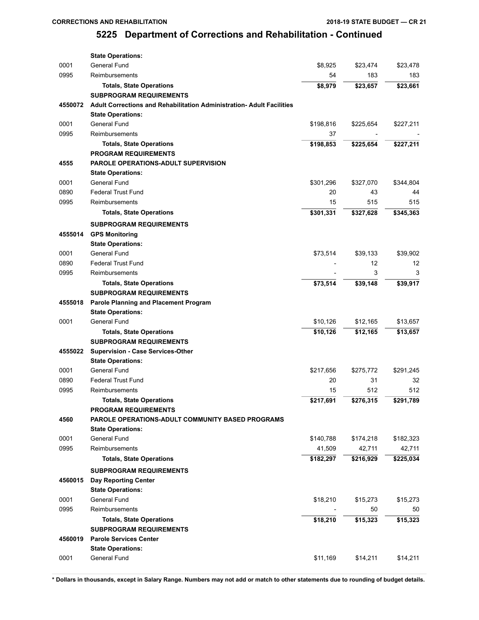#### **CORRECTIONS AND REHABILITATION**

# **5225 Department of Corrections and Rehabilitation - Continued**

|         | <b>State Operations:</b>                                              |           |           |           |
|---------|-----------------------------------------------------------------------|-----------|-----------|-----------|
| 0001    | General Fund                                                          | \$8,925   | \$23,474  | \$23,478  |
| 0995    | Reimbursements                                                        | 54        | 183       | 183       |
|         | <b>Totals, State Operations</b>                                       | \$8,979   | \$23,657  | \$23,661  |
|         | <b>SUBPROGRAM REQUIREMENTS</b>                                        |           |           |           |
| 4550072 | Adult Corrections and Rehabilitation Administration- Adult Facilities |           |           |           |
|         | <b>State Operations:</b>                                              |           |           |           |
| 0001    | General Fund                                                          | \$198,816 | \$225,654 | \$227,211 |
| 0995    | Reimbursements                                                        | 37        |           |           |
|         | <b>Totals, State Operations</b>                                       | \$198,853 | \$225,654 | \$227,211 |
|         | <b>PROGRAM REQUIREMENTS</b>                                           |           |           |           |
| 4555    | <b>PAROLE OPERATIONS-ADULT SUPERVISION</b>                            |           |           |           |
|         | <b>State Operations:</b>                                              |           |           |           |
| 0001    | General Fund                                                          | \$301,296 | \$327,070 | \$344,804 |
| 0890    | <b>Federal Trust Fund</b>                                             | 20        | 43        | 44        |
| 0995    | Reimbursements                                                        | 15        | 515       | 515       |
|         | <b>Totals, State Operations</b>                                       | \$301,331 | \$327,628 | \$345,363 |
|         | <b>SUBPROGRAM REQUIREMENTS</b>                                        |           |           |           |
| 4555014 | <b>GPS Monitoring</b>                                                 |           |           |           |
|         | <b>State Operations:</b>                                              |           |           |           |
| 0001    | General Fund                                                          | \$73,514  | \$39,133  | \$39,902  |
| 0890    | <b>Federal Trust Fund</b>                                             |           | 12        | 12        |
| 0995    | Reimbursements                                                        |           | 3         | 3         |
|         | <b>Totals, State Operations</b>                                       | \$73,514  | \$39,148  | \$39,917  |
|         | <b>SUBPROGRAM REQUIREMENTS</b>                                        |           |           |           |
| 4555018 | <b>Parole Planning and Placement Program</b>                          |           |           |           |
|         | <b>State Operations:</b>                                              |           |           |           |
| 0001    | General Fund                                                          | \$10,126  | \$12,165  | \$13,657  |
|         | <b>Totals, State Operations</b>                                       | \$10,126  | \$12,165  | \$13,657  |
|         | <b>SUBPROGRAM REQUIREMENTS</b>                                        |           |           |           |
| 4555022 | <b>Supervision - Case Services-Other</b>                              |           |           |           |
|         | <b>State Operations:</b>                                              |           |           |           |
| 0001    | General Fund                                                          | \$217,656 | \$275,772 | \$291,245 |
| 0890    | <b>Federal Trust Fund</b>                                             | 20        | 31        | 32        |
| 0995    | Reimbursements                                                        | 15        | 512       | 512       |
|         | <b>Totals, State Operations</b>                                       | \$217,691 | \$276,315 | \$291,789 |
|         | <b>PROGRAM REQUIREMENTS</b>                                           |           |           |           |
| 4560    | <b>PAROLE OPERATIONS-ADULT COMMUNITY BASED PROGRAMS</b>               |           |           |           |
|         | <b>State Operations:</b>                                              |           |           |           |
| 0001    | General Fund                                                          | \$140,788 | \$174,218 | \$182,323 |
| 0995    | <b>Reimbursements</b>                                                 | 41,509    | 42,711    | 42,711    |
|         | <b>Totals, State Operations</b>                                       | \$182,297 | \$216,929 | \$225,034 |
|         |                                                                       |           |           |           |
| 4560015 | <b>SUBPROGRAM REQUIREMENTS</b>                                        |           |           |           |
|         | <b>Day Reporting Center</b><br><b>State Operations:</b>               |           |           |           |
| 0001    | General Fund                                                          | \$18,210  | \$15,273  | \$15,273  |
| 0995    | Reimbursements                                                        |           | 50        | 50        |
|         |                                                                       |           |           |           |
|         | <b>Totals, State Operations</b>                                       | \$18,210  | \$15,323  | \$15,323  |
|         | <b>SUBPROGRAM REQUIREMENTS</b><br><b>Parole Services Center</b>       |           |           |           |
| 4560019 | <b>State Operations:</b>                                              |           |           |           |
| 0001    | General Fund                                                          | \$11,169  | \$14,211  | \$14,211  |
|         |                                                                       |           |           |           |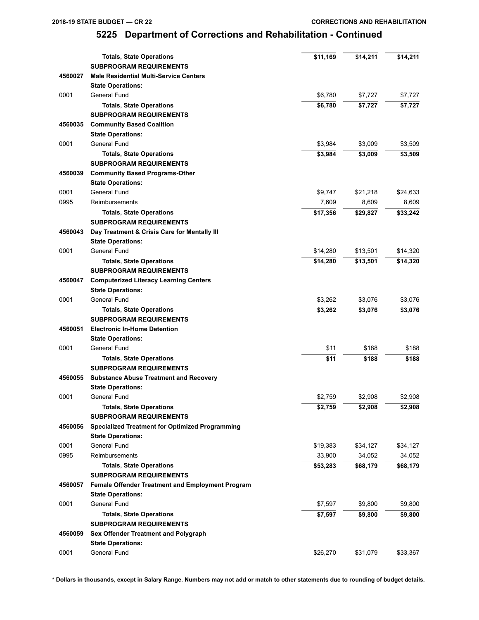|         | <b>Totals, State Operations</b>                                   | \$11,169 | \$14,211 | \$14,211 |
|---------|-------------------------------------------------------------------|----------|----------|----------|
|         | <b>SUBPROGRAM REQUIREMENTS</b>                                    |          |          |          |
| 4560027 | <b>Male Residential Multi-Service Centers</b>                     |          |          |          |
|         | <b>State Operations:</b>                                          |          |          |          |
| 0001    | General Fund                                                      | \$6,780  | \$7,727  | \$7,727  |
|         | <b>Totals, State Operations</b>                                   | \$6,780  | \$7,727  | \$7,727  |
|         | <b>SUBPROGRAM REQUIREMENTS</b>                                    |          |          |          |
| 4560035 | <b>Community Based Coalition</b>                                  |          |          |          |
|         | <b>State Operations:</b>                                          |          |          |          |
| 0001    | General Fund                                                      | \$3,984  | \$3,009  | \$3,509  |
|         | <b>Totals, State Operations</b>                                   | \$3,984  | \$3,009  | \$3,509  |
|         | <b>SUBPROGRAM REQUIREMENTS</b>                                    |          |          |          |
| 4560039 | <b>Community Based Programs-Other</b>                             |          |          |          |
|         | <b>State Operations:</b>                                          |          |          |          |
| 0001    | General Fund                                                      | \$9,747  | \$21,218 | \$24,633 |
| 0995    | Reimbursements                                                    | 7,609    | 8,609    | 8,609    |
|         | <b>Totals, State Operations</b>                                   | \$17,356 | \$29,827 | \$33,242 |
|         | <b>SUBPROGRAM REQUIREMENTS</b>                                    |          |          |          |
| 4560043 | Day Treatment & Crisis Care for Mentally III                      |          |          |          |
|         | <b>State Operations:</b>                                          |          |          |          |
| 0001    | General Fund                                                      | \$14,280 | \$13,501 | \$14,320 |
|         | <b>Totals, State Operations</b>                                   | \$14,280 | \$13,501 | \$14,320 |
|         | <b>SUBPROGRAM REQUIREMENTS</b>                                    |          |          |          |
| 4560047 | <b>Computerized Literacy Learning Centers</b>                     |          |          |          |
|         | <b>State Operations:</b>                                          |          |          |          |
| 0001    | General Fund                                                      | \$3,262  | \$3,076  | \$3,076  |
|         |                                                                   |          |          |          |
|         | <b>Totals, State Operations</b><br><b>SUBPROGRAM REQUIREMENTS</b> | \$3,262  | \$3,076  | \$3,076  |
|         |                                                                   |          |          |          |
| 4560051 | <b>Electronic In-Home Detention</b>                               |          |          |          |
|         | <b>State Operations:</b>                                          |          |          |          |
| 0001    | General Fund                                                      | \$11     | \$188    | \$188    |
|         | <b>Totals, State Operations</b>                                   | \$11     | \$188    | \$188    |
|         | <b>SUBPROGRAM REQUIREMENTS</b>                                    |          |          |          |
| 4560055 | <b>Substance Abuse Treatment and Recovery</b>                     |          |          |          |
|         | <b>State Operations:</b>                                          |          |          |          |
| 0001    |                                                                   |          |          |          |
|         | General Fund                                                      | \$2,759  | \$2,908  | \$2,908  |
|         | <b>Totals, State Operations</b>                                   | \$2,759  | \$2,908  | \$2,908  |
|         | <b>SUBPROGRAM REQUIREMENTS</b>                                    |          |          |          |
| 4560056 | <b>Specialized Treatment for Optimized Programming</b>            |          |          |          |
|         | <b>State Operations:</b>                                          |          |          |          |
| 0001    | General Fund                                                      | \$19,383 | \$34,127 | \$34,127 |
| 0995    | Reimbursements                                                    | 33,900   | 34,052   | 34,052   |
|         | <b>Totals, State Operations</b>                                   | \$53,283 | \$68,179 | \$68,179 |
|         | <b>SUBPROGRAM REQUIREMENTS</b>                                    |          |          |          |
| 4560057 | Female Offender Treatment and Employment Program                  |          |          |          |
|         | <b>State Operations:</b>                                          |          |          |          |
| 0001    | General Fund                                                      | \$7,597  | \$9,800  | \$9,800  |
|         | <b>Totals, State Operations</b>                                   | \$7,597  | \$9,800  | \$9,800  |
|         | <b>SUBPROGRAM REQUIREMENTS</b>                                    |          |          |          |
| 4560059 | Sex Offender Treatment and Polygraph                              |          |          |          |
|         | <b>State Operations:</b>                                          |          |          |          |
| 0001    | General Fund                                                      | \$26,270 | \$31,079 | \$33,367 |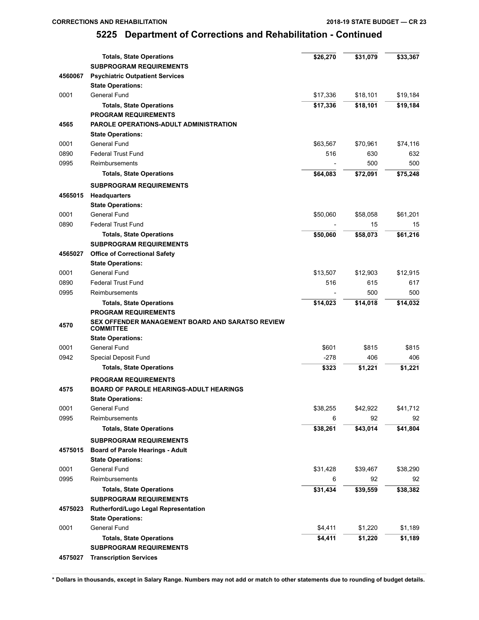|         | <b>Totals, State Operations</b>                                             | \$26,270 | \$31,079 | \$33,367 |
|---------|-----------------------------------------------------------------------------|----------|----------|----------|
|         | <b>SUBPROGRAM REQUIREMENTS</b>                                              |          |          |          |
| 4560067 | <b>Psychiatric Outpatient Services</b>                                      |          |          |          |
|         | <b>State Operations:</b>                                                    |          |          |          |
| 0001    | General Fund                                                                | \$17,336 | \$18,101 | \$19,184 |
|         | <b>Totals, State Operations</b>                                             | \$17,336 | \$18,101 | \$19,184 |
|         | <b>PROGRAM REQUIREMENTS</b>                                                 |          |          |          |
| 4565    | PAROLE OPERATIONS-ADULT ADMINISTRATION                                      |          |          |          |
|         | <b>State Operations:</b>                                                    |          |          |          |
| 0001    | General Fund                                                                | \$63,567 | \$70,961 | \$74,116 |
| 0890    | <b>Federal Trust Fund</b>                                                   | 516      | 630      | 632      |
| 0995    | Reimbursements                                                              |          | 500      | 500      |
|         | <b>Totals, State Operations</b>                                             | \$64,083 | \$72,091 | \$75,248 |
|         |                                                                             |          |          |          |
|         | <b>SUBPROGRAM REQUIREMENTS</b>                                              |          |          |          |
| 4565015 | <b>Headquarters</b>                                                         |          |          |          |
|         | <b>State Operations:</b>                                                    |          |          |          |
| 0001    | General Fund                                                                | \$50,060 | \$58,058 | \$61,201 |
| 0890    | <b>Federal Trust Fund</b>                                                   |          | 15       | 15       |
|         | <b>Totals, State Operations</b>                                             | \$50,060 | \$58,073 | \$61,216 |
|         | <b>SUBPROGRAM REQUIREMENTS</b>                                              |          |          |          |
| 4565027 | <b>Office of Correctional Safety</b>                                        |          |          |          |
|         | <b>State Operations:</b>                                                    |          |          |          |
| 0001    | General Fund                                                                | \$13,507 | \$12,903 | \$12,915 |
| 0890    | <b>Federal Trust Fund</b>                                                   | 516      | 615      | 617      |
| 0995    | Reimbursements                                                              |          | 500      | 500      |
|         | <b>Totals, State Operations</b>                                             | \$14,023 | \$14,018 | \$14,032 |
|         | <b>PROGRAM REQUIREMENTS</b>                                                 |          |          |          |
| 4570    | <b>SEX OFFENDER MANAGEMENT BOARD AND SARATSO REVIEW</b><br><b>COMMITTEE</b> |          |          |          |
|         | <b>State Operations:</b>                                                    |          |          |          |
| 0001    | General Fund                                                                | \$601    | \$815    | \$815    |
| 0942    | Special Deposit Fund                                                        | $-278$   | 406      | 406      |
|         | <b>Totals, State Operations</b>                                             | \$323    | \$1,221  | \$1,221  |
|         | <b>PROGRAM REQUIREMENTS</b>                                                 |          |          |          |
| 4575    | <b>BOARD OF PAROLE HEARINGS-ADULT HEARINGS</b>                              |          |          |          |
|         | <b>State Operations:</b>                                                    |          |          |          |
| 0001    | General Fund                                                                | \$38,255 | \$42,922 | \$41,712 |
| 0995    | Reimbursements                                                              | 6        | 92       | 92       |
|         | <b>Totals, State Operations</b>                                             | \$38,261 | \$43,014 | \$41,804 |
|         | <b>SUBPROGRAM REQUIREMENTS</b>                                              |          |          |          |
| 4575015 | <b>Board of Parole Hearings - Adult</b>                                     |          |          |          |
|         | <b>State Operations:</b>                                                    |          |          |          |
| 0001    | General Fund                                                                | \$31,428 | \$39,467 | \$38,290 |
| 0995    | Reimbursements                                                              | 6        | 92       | 92       |
|         | <b>Totals, State Operations</b>                                             | \$31,434 | \$39,559 | \$38,382 |
|         | <b>SUBPROGRAM REQUIREMENTS</b>                                              |          |          |          |
|         |                                                                             |          |          |          |
| 4575023 | Rutherford/Lugo Legal Representation<br><b>State Operations:</b>            |          |          |          |
| 0001    | General Fund                                                                |          |          |          |
|         |                                                                             | \$4,411  | \$1,220  | \$1,189  |
|         | <b>Totals, State Operations</b>                                             | \$4,411  | \$1,220  | \$1,189  |
|         | <b>SUBPROGRAM REQUIREMENTS</b>                                              |          |          |          |
| 4575027 | <b>Transcription Services</b>                                               |          |          |          |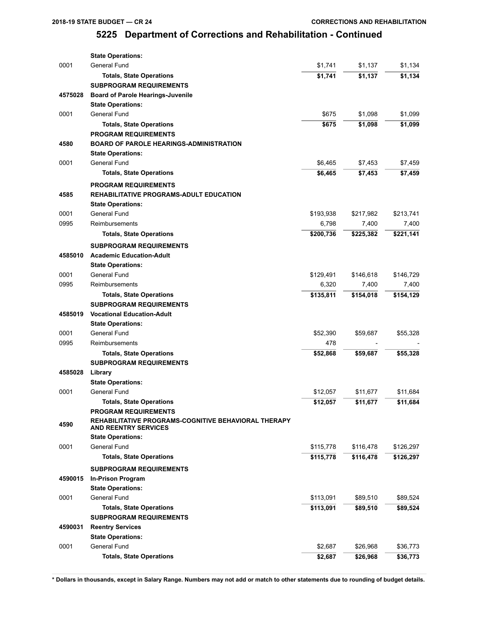|         | <b>State Operations:</b>                                                            |           |           |           |
|---------|-------------------------------------------------------------------------------------|-----------|-----------|-----------|
| 0001    | General Fund                                                                        | \$1,741   | \$1,137   | \$1,134   |
|         | <b>Totals, State Operations</b>                                                     | \$1,741   | \$1,137   | \$1,134   |
|         | <b>SUBPROGRAM REQUIREMENTS</b>                                                      |           |           |           |
| 4575028 | <b>Board of Parole Hearings-Juvenile</b>                                            |           |           |           |
|         | <b>State Operations:</b>                                                            |           |           |           |
| 0001    | <b>General Fund</b>                                                                 | \$675     | \$1,098   | \$1,099   |
|         | <b>Totals, State Operations</b>                                                     | \$675     | \$1,098   | \$1,099   |
|         | <b>PROGRAM REQUIREMENTS</b>                                                         |           |           |           |
| 4580    | <b>BOARD OF PAROLE HEARINGS-ADMINISTRATION</b>                                      |           |           |           |
|         | <b>State Operations:</b>                                                            |           |           |           |
| 0001    | General Fund                                                                        | \$6,465   | \$7,453   | \$7,459   |
|         | <b>Totals, State Operations</b>                                                     | \$6,465   | \$7,453   | \$7,459   |
|         | <b>PROGRAM REQUIREMENTS</b>                                                         |           |           |           |
| 4585    | REHABILITATIVE PROGRAMS-ADULT EDUCATION                                             |           |           |           |
|         | <b>State Operations:</b>                                                            |           |           |           |
| 0001    | General Fund                                                                        | \$193,938 | \$217,982 | \$213,741 |
| 0995    | Reimbursements                                                                      | 6,798     | 7,400     | 7,400     |
|         | <b>Totals, State Operations</b>                                                     | \$200,736 | \$225,382 | \$221,141 |
|         |                                                                                     |           |           |           |
| 4585010 | <b>SUBPROGRAM REQUIREMENTS</b><br><b>Academic Education-Adult</b>                   |           |           |           |
|         | <b>State Operations:</b>                                                            |           |           |           |
| 0001    | General Fund                                                                        | \$129,491 | \$146,618 | \$146,729 |
| 0995    | Reimbursements                                                                      | 6,320     | 7,400     | 7,400     |
|         |                                                                                     |           |           |           |
|         | <b>Totals, State Operations</b><br><b>SUBPROGRAM REQUIREMENTS</b>                   | \$135,811 | \$154,018 | \$154,129 |
|         | <b>Vocational Education-Adult</b>                                                   |           |           |           |
| 4585019 |                                                                                     |           |           |           |
|         | <b>State Operations:</b><br>General Fund                                            | \$52,390  |           |           |
| 0001    |                                                                                     |           | \$59,687  | \$55,328  |
| 0995    | Reimbursements                                                                      | 478       |           |           |
|         | <b>Totals, State Operations</b>                                                     | \$52,868  | \$59,687  | \$55,328  |
|         | <b>SUBPROGRAM REQUIREMENTS</b>                                                      |           |           |           |
| 4585028 | Library                                                                             |           |           |           |
|         | <b>State Operations:</b>                                                            |           |           |           |
| 0001    | General Fund                                                                        | \$12,057  | \$11,677  | \$11,684  |
|         | <b>Totals, State Operations</b>                                                     | \$12,057  | \$11,677  | \$11,684  |
|         | <b>PROGRAM REQUIREMENTS</b>                                                         |           |           |           |
| 4590    | REHABILITATIVE PROGRAMS-COGNITIVE BEHAVIORAL THERAPY<br><b>AND REENTRY SERVICES</b> |           |           |           |
|         | <b>State Operations:</b>                                                            |           |           |           |
| 0001    | <b>General Fund</b>                                                                 | \$115,778 | \$116,478 | \$126,297 |
|         | <b>Totals, State Operations</b>                                                     | \$115,778 | \$116,478 | \$126,297 |
|         | <b>SUBPROGRAM REQUIREMENTS</b>                                                      |           |           |           |
| 4590015 | <b>In-Prison Program</b>                                                            |           |           |           |
|         | <b>State Operations:</b>                                                            |           |           |           |
| 0001    | General Fund                                                                        | \$113,091 | \$89,510  | \$89,524  |
|         | <b>Totals, State Operations</b>                                                     | \$113,091 | \$89,510  | \$89,524  |
|         | <b>SUBPROGRAM REQUIREMENTS</b>                                                      |           |           |           |
| 4590031 | <b>Reentry Services</b>                                                             |           |           |           |
|         | <b>State Operations:</b>                                                            |           |           |           |
| 0001    | General Fund                                                                        | \$2,687   | \$26,968  | \$36,773  |
|         | <b>Totals, State Operations</b>                                                     | \$2,687   | \$26,968  | \$36,773  |
|         |                                                                                     |           |           |           |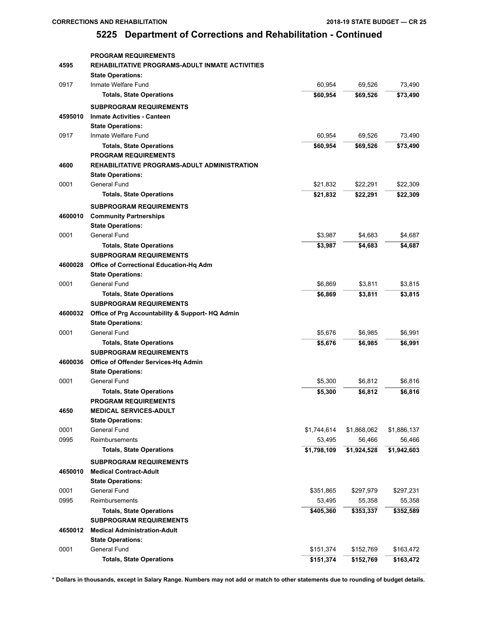|         | <b>PROGRAM REQUIREMENTS</b>                     |             |             |             |
|---------|-------------------------------------------------|-------------|-------------|-------------|
| 4595    | REHABILITATIVE PROGRAMS-ADULT INMATE ACTIVITIES |             |             |             |
|         | <b>State Operations:</b>                        |             |             |             |
| 0917    | Inmate Welfare Fund                             | 60,954      | 69,526      | 73,490      |
|         | <b>Totals, State Operations</b>                 | \$60,954    | \$69,526    | \$73,490    |
|         | <b>SUBPROGRAM REQUIREMENTS</b>                  |             |             |             |
| 4595010 | <b>Inmate Activities - Canteen</b>              |             |             |             |
|         | <b>State Operations:</b>                        |             |             |             |
| 0917    | Inmate Welfare Fund                             | 60,954      | 69,526      | 73,490      |
|         | <b>Totals, State Operations</b>                 | \$60,954    | \$69,526    | \$73,490    |
|         | <b>PROGRAM REQUIREMENTS</b>                     |             |             |             |
| 4600    | REHABILITATIVE PROGRAMS-ADULT ADMINISTRATION    |             |             |             |
|         | <b>State Operations:</b>                        |             |             |             |
| 0001    | <b>General Fund</b>                             | \$21,832    | \$22,291    | \$22,309    |
|         | <b>Totals, State Operations</b>                 | \$21,832    | \$22,291    | \$22,309    |
|         | <b>SUBPROGRAM REQUIREMENTS</b>                  |             |             |             |
| 4600010 | <b>Community Partnerships</b>                   |             |             |             |
|         | <b>State Operations:</b>                        |             |             |             |
| 0001    | General Fund                                    | \$3,987     | \$4,683     | \$4,687     |
|         | <b>Totals, State Operations</b>                 | \$3,987     | \$4,683     | \$4,687     |
|         | <b>SUBPROGRAM REQUIREMENTS</b>                  |             |             |             |
| 4600028 | Office of Correctional Education-Hq Adm         |             |             |             |
|         | <b>State Operations:</b>                        |             |             |             |
| 0001    | General Fund                                    | \$6,869     | \$3,811     | \$3,815     |
|         | <b>Totals, State Operations</b>                 | \$6,869     | \$3,811     | \$3,815     |
|         | <b>SUBPROGRAM REQUIREMENTS</b>                  |             |             |             |
| 4600032 | Office of Prg Accountability & Support-HQ Admin |             |             |             |
|         | <b>State Operations:</b>                        |             |             |             |
| 0001    | General Fund                                    | \$5,676     | \$6,985     | \$6,991     |
|         | <b>Totals, State Operations</b>                 | \$5,676     | \$6,985     | \$6,991     |
|         | <b>SUBPROGRAM REQUIREMENTS</b>                  |             |             |             |
| 4600036 | Office of Offender Services-Hq Admin            |             |             |             |
|         | <b>State Operations:</b>                        |             |             |             |
| 0001    | General Fund                                    | \$5,300     | \$6,812     | \$6,816     |
|         | <b>Totals, State Operations</b>                 | \$5,300     | \$6,812     | \$6,816     |
|         | <b>PROGRAM REQUIREMENTS</b>                     |             |             |             |
| 4650    | <b>MEDICAL SERVICES-ADULT</b>                   |             |             |             |
|         | <b>State Operations:</b>                        |             |             |             |
| 0001    | General Fund                                    | \$1,744,614 | \$1,868,062 | \$1,886,137 |
| 0995    | Reimbursements                                  | 53,495      | 56,466      | 56,466      |
|         | <b>Totals, State Operations</b>                 | \$1,798,109 | \$1,924,528 | \$1,942,603 |
|         | <b>SUBPROGRAM REQUIREMENTS</b>                  |             |             |             |
| 4650010 | <b>Medical Contract-Adult</b>                   |             |             |             |
|         | <b>State Operations:</b>                        |             |             |             |
| 0001    | General Fund                                    | \$351,865   | \$297,979   | \$297,231   |
| 0995    | Reimbursements                                  | 53,495      | 55,358      | 55,358      |
|         | <b>Totals, State Operations</b>                 | \$405,360   | \$353,337   | \$352,589   |
|         | <b>SUBPROGRAM REQUIREMENTS</b>                  |             |             |             |
| 4650012 | <b>Medical Administration-Adult</b>             |             |             |             |
|         | <b>State Operations:</b>                        |             |             |             |
| 0001    | General Fund                                    | \$151,374   | \$152,769   | \$163,472   |
|         | <b>Totals, State Operations</b>                 | \$151,374   | \$152,769   | \$163,472   |
|         |                                                 |             |             |             |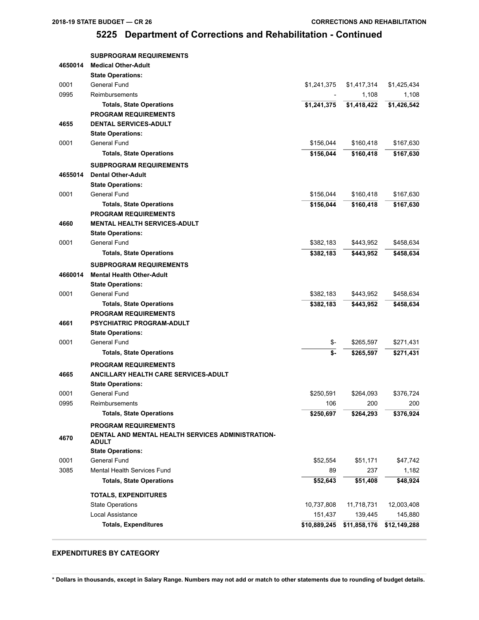|         | <b>SUBPROGRAM REQUIREMENTS</b>                                                   |              |              |              |
|---------|----------------------------------------------------------------------------------|--------------|--------------|--------------|
| 4650014 | <b>Medical Other-Adult</b>                                                       |              |              |              |
|         | <b>State Operations:</b>                                                         |              |              |              |
| 0001    | General Fund                                                                     | \$1,241,375  | \$1,417,314  | \$1,425,434  |
| 0995    | Reimbursements                                                                   |              | 1,108        | 1,108        |
|         | <b>Totals, State Operations</b>                                                  | \$1,241,375  | \$1,418,422  | \$1,426,542  |
|         | <b>PROGRAM REQUIREMENTS</b>                                                      |              |              |              |
| 4655    | <b>DENTAL SERVICES-ADULT</b>                                                     |              |              |              |
|         | <b>State Operations:</b>                                                         |              |              |              |
| 0001    | General Fund                                                                     | \$156,044    | \$160,418    | \$167,630    |
|         | <b>Totals, State Operations</b>                                                  | \$156,044    | \$160,418    | \$167,630    |
|         | <b>SUBPROGRAM REQUIREMENTS</b>                                                   |              |              |              |
| 4655014 | <b>Dental Other-Adult</b>                                                        |              |              |              |
|         | <b>State Operations:</b>                                                         |              |              |              |
| 0001    | General Fund                                                                     | \$156,044    | \$160,418    | \$167,630    |
|         | <b>Totals, State Operations</b>                                                  | \$156,044    | \$160,418    | \$167,630    |
|         | <b>PROGRAM REQUIREMENTS</b>                                                      |              |              |              |
| 4660    | <b>MENTAL HEALTH SERVICES-ADULT</b>                                              |              |              |              |
|         | <b>State Operations:</b>                                                         |              |              |              |
| 0001    | General Fund                                                                     | \$382,183    | \$443,952    | \$458,634    |
|         | <b>Totals, State Operations</b>                                                  | \$382,183    | \$443,952    | \$458,634    |
|         | <b>SUBPROGRAM REQUIREMENTS</b>                                                   |              |              |              |
| 4660014 | <b>Mental Health Other-Adult</b>                                                 |              |              |              |
|         | <b>State Operations:</b>                                                         |              |              |              |
| 0001    | General Fund                                                                     | \$382,183    | \$443,952    | \$458,634    |
|         | <b>Totals, State Operations</b>                                                  | \$382,183    | \$443,952    | \$458,634    |
|         | <b>PROGRAM REQUIREMENTS</b>                                                      |              |              |              |
| 4661    | PSYCHIATRIC PROGRAM-ADULT                                                        |              |              |              |
|         | <b>State Operations:</b>                                                         |              |              |              |
| 0001    | General Fund                                                                     | \$-          | \$265,597    | \$271,431    |
|         | <b>Totals, State Operations</b>                                                  | \$-          | \$265,597    | \$271,431    |
|         | <b>PROGRAM REQUIREMENTS</b>                                                      |              |              |              |
| 4665    | <b>ANCILLARY HEALTH CARE SERVICES-ADULT</b>                                      |              |              |              |
|         | <b>State Operations:</b>                                                         |              |              |              |
| 0001    | General Fund                                                                     | \$250,591    | \$264,093    | \$376,724    |
| 0995    | Reimbursements                                                                   | 106          | 200          | 200          |
|         | <b>Totals, State Operations</b>                                                  | \$250,697    | \$264,293    | \$376,924    |
|         |                                                                                  |              |              |              |
| 4670    | <b>PROGRAM REQUIREMENTS</b><br>DENTAL AND MENTAL HEALTH SERVICES ADMINISTRATION- |              |              |              |
|         | ADULT                                                                            |              |              |              |
|         | <b>State Operations:</b>                                                         |              |              |              |
| 0001    | General Fund                                                                     | \$52,554     | \$51,171     | \$47,742     |
| 3085    | Mental Health Services Fund                                                      | 89           | 237          | 1,182        |
|         | <b>Totals, State Operations</b>                                                  | \$52,643     | \$51,408     | \$48,924     |
|         | <b>TOTALS, EXPENDITURES</b>                                                      |              |              |              |
|         | <b>State Operations</b>                                                          | 10,737,808   | 11,718,731   | 12,003,408   |
|         | Local Assistance                                                                 | 151,437      | 139,445      | 145,880      |
|         | <b>Totals, Expenditures</b>                                                      | \$10,889,245 | \$11,858,176 | \$12,149,288 |

#### **EXPENDITURES BY CATEGORY**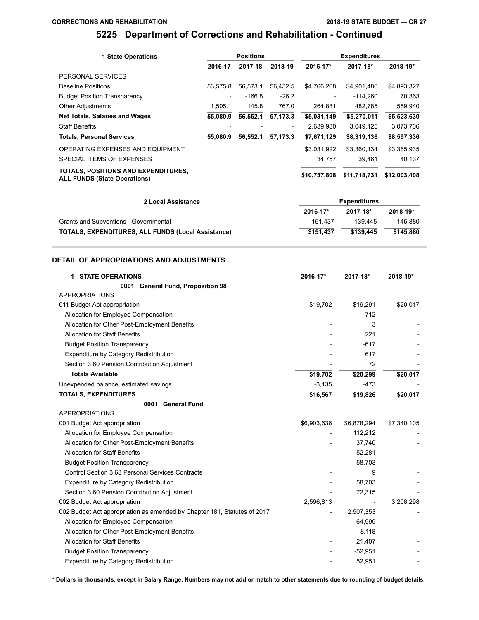#### **CORRECTIONS AND REHABILITATION**

# **5225 Department of Corrections and Rehabilitation - Continued**

| <b>1 State Operations</b>                                                  | <b>Positions</b>         |          | <b>Expenditures</b>      |              |              |              |
|----------------------------------------------------------------------------|--------------------------|----------|--------------------------|--------------|--------------|--------------|
|                                                                            | 2016-17                  | 2017-18  | 2018-19                  | 2016-17*     | 2017-18*     | 2018-19*     |
| PERSONAL SERVICES                                                          |                          |          |                          |              |              |              |
| <b>Baseline Positions</b>                                                  | 53.575.8                 | 56.573.1 | 56.432.5                 | \$4,766,268  | \$4,901,486  | \$4,893,327  |
| <b>Budget Position Transparency</b>                                        | $\overline{\phantom{0}}$ | $-166.8$ | $-26.2$                  |              | $-114.260$   | 70.363       |
| <b>Other Adjustments</b>                                                   | 1.505.1                  | 145.8    | 767.0                    | 264.881      | 482.785      | 559,940      |
| <b>Net Totals, Salaries and Wages</b>                                      | 55.080.9                 | 56,552.1 | 57,173.3                 | \$5,031,149  | \$5,270,011  | \$5,523,630  |
| <b>Staff Benefits</b>                                                      |                          |          | $\overline{\phantom{a}}$ | 2,639,980    | 3,049,125    | 3,073,706    |
| <b>Totals, Personal Services</b>                                           | 55.080.9                 | 56.552.1 | 57.173.3                 | \$7,671,129  | \$8,319,136  | \$8,597,336  |
| OPERATING EXPENSES AND EQUIPMENT                                           |                          |          |                          | \$3,031,922  | \$3,360,134  | \$3,365,935  |
| SPECIAL ITEMS OF EXPENSES                                                  |                          |          |                          | 34,757       | 39.461       | 40,137       |
| TOTALS, POSITIONS AND EXPENDITURES.<br><b>ALL FUNDS (State Operations)</b> |                          |          |                          | \$10,737,808 | \$11,718,731 | \$12,003,408 |

| 2 Local Assistance                                        | <b>Expenditures</b>    |          |           |  |  |  |
|-----------------------------------------------------------|------------------------|----------|-----------|--|--|--|
|                                                           | 2016-17*               | 2017-18* | 2018-19*  |  |  |  |
| Grants and Subventions - Governmental                     | 151.437                | 139.445  | 145.880   |  |  |  |
| <b>TOTALS, EXPENDITURES, ALL FUNDS (Local Assistance)</b> | \$151.437<br>\$139.445 |          | \$145,880 |  |  |  |

#### **DETAIL OF APPROPRIATIONS AND ADJUSTMENTS**

| <b>1 STATE OPERATIONS</b>                                                | 2016-17*    | 2017-18*    | 2018-19*    |  |
|--------------------------------------------------------------------------|-------------|-------------|-------------|--|
| 0001 General Fund, Proposition 98                                        |             |             |             |  |
| <b>APPROPRIATIONS</b>                                                    |             |             |             |  |
| 011 Budget Act appropriation                                             | \$19,702    | \$19,291    | \$20,017    |  |
| Allocation for Employee Compensation                                     |             | 712         |             |  |
| Allocation for Other Post-Employment Benefits                            |             | 3           |             |  |
| <b>Allocation for Staff Benefits</b>                                     |             | 221         |             |  |
| <b>Budget Position Transparency</b>                                      |             | $-617$      |             |  |
| Expenditure by Category Redistribution                                   |             | 617         |             |  |
| Section 3.60 Pension Contribution Adjustment                             |             | 72          |             |  |
| <b>Totals Available</b>                                                  | \$19,702    | \$20,299    | \$20,017    |  |
| Unexpended balance, estimated savings                                    | $-3,135$    | $-473$      |             |  |
| <b>TOTALS, EXPENDITURES</b>                                              | \$16,567    | \$19,826    | \$20,017    |  |
| 0001 General Fund                                                        |             |             |             |  |
| <b>APPROPRIATIONS</b>                                                    |             |             |             |  |
| 001 Budget Act appropriation                                             | \$6,903,636 | \$6,878,294 | \$7,340,105 |  |
| Allocation for Employee Compensation                                     |             | 112,212     |             |  |
| Allocation for Other Post-Employment Benefits                            |             | 37,740      |             |  |
| <b>Allocation for Staff Benefits</b>                                     |             | 52,281      |             |  |
| <b>Budget Position Transparency</b>                                      |             | $-58,703$   |             |  |
| Control Section 3.63 Personal Services Contracts                         |             | 9           |             |  |
| Expenditure by Category Redistribution                                   |             | 58,703      |             |  |
| Section 3.60 Pension Contribution Adjustment                             |             | 72,315      |             |  |
| 002 Budget Act appropriation                                             | 2,596,813   |             | 3,208,298   |  |
| 002 Budget Act appropriation as amended by Chapter 181, Statutes of 2017 |             | 2,907,353   |             |  |

Expenditure by Category Redistribution and the state of the state of the state of the state of the state of the state of the state of the state of the state of the state of the state of the state of the state of the state

Allocation for Staff Benefits **and Staff Benefits** - 21,407

Allocation for Employee Compensation and the state of the state of the state of the state of the state of the state of the state of the state of the state of the state of the state of the state of the state of the state of Allocation for Other Post-Employment Benefits - 8,118 - 8,118 - 8,118

Budget Position Transparency and the state of the state of the state of the state of the state of the state of the state of the state of the state of the state of the state of the state of the state of the state of the sta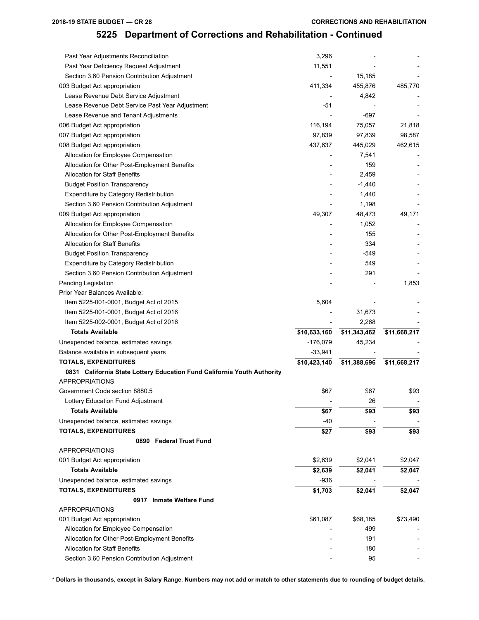| 11,551<br>Past Year Deficiency Request Adjustment<br>Section 3.60 Pension Contribution Adjustment<br>15,185<br>411,334<br>003 Budget Act appropriation<br>455,876<br>485,770<br>Lease Revenue Debt Service Adjustment<br>4,842<br>Lease Revenue Debt Service Past Year Adjustment<br>-51<br>-697<br>Lease Revenue and Tenant Adjustments<br>116,194<br>75,057<br>21,818<br>006 Budget Act appropriation<br>007 Budget Act appropriation<br>97,839<br>97,839<br>98,587<br>462,615<br>008 Budget Act appropriation<br>437,637<br>445,029<br>Allocation for Employee Compensation<br>7,541<br>Allocation for Other Post-Employment Benefits<br>159<br><b>Allocation for Staff Benefits</b><br>2,459<br><b>Budget Position Transparency</b><br>$-1,440$<br>1,440<br><b>Expenditure by Category Redistribution</b><br>1,198<br>Section 3.60 Pension Contribution Adjustment<br>49,307<br>009 Budget Act appropriation<br>48,473<br>49,171<br>1,052<br>Allocation for Employee Compensation<br>155<br>Allocation for Other Post-Employment Benefits<br><b>Allocation for Staff Benefits</b><br>334<br><b>Budget Position Transparency</b><br>-549<br>Expenditure by Category Redistribution<br>549<br>291<br>Section 3.60 Pension Contribution Adjustment<br>Pending Legislation<br>1,853<br>Prior Year Balances Available:<br>5,604<br>Item 5225-001-0001, Budget Act of 2015<br>Item 5225-001-0001, Budget Act of 2016<br>31,673<br>Item 5225-002-0001, Budget Act of 2016<br>2,268<br><b>Totals Available</b><br>\$10,633,160<br>\$11,343,462<br>\$11,668,217<br>$-176,079$<br>45,234<br>Unexpended balance, estimated savings<br>$-33,941$<br>Balance available in subsequent years<br><b>TOTALS, EXPENDITURES</b><br>\$10,423,140<br>\$11,388,696<br>\$11,668,217<br>0831 California State Lottery Education Fund California Youth Authority<br><b>APPROPRIATIONS</b><br>Government Code section 8880.5<br>\$67<br>\$67<br>\$93<br>26<br>Lottery Education Fund Adjustment<br><b>Totals Available</b><br>\$67<br>\$93<br>\$93<br>Unexpended balance, estimated savings<br>-40<br><b>TOTALS, EXPENDITURES</b><br>\$27<br>\$93<br>\$93<br>0890 Federal Trust Fund<br><b>APPROPRIATIONS</b><br>\$2,639<br>\$2,041<br>\$2,047<br>001 Budget Act appropriation<br><b>Totals Available</b><br>\$2,639<br>\$2,041<br>\$2,047<br>Unexpended balance, estimated savings<br>$-936$<br><b>TOTALS, EXPENDITURES</b><br>\$1,703<br>\$2,041<br>\$2,047<br>0917 Inmate Welfare Fund<br><b>APPROPRIATIONS</b><br>\$61,087<br>\$73,490<br>001 Budget Act appropriation<br>\$68,185<br>Allocation for Employee Compensation<br>499<br>Allocation for Other Post-Employment Benefits<br>191<br>Allocation for Staff Benefits<br>180<br>Section 3.60 Pension Contribution Adjustment<br>95 | Past Year Adjustments Reconciliation | 3,296 |  |
|-----------------------------------------------------------------------------------------------------------------------------------------------------------------------------------------------------------------------------------------------------------------------------------------------------------------------------------------------------------------------------------------------------------------------------------------------------------------------------------------------------------------------------------------------------------------------------------------------------------------------------------------------------------------------------------------------------------------------------------------------------------------------------------------------------------------------------------------------------------------------------------------------------------------------------------------------------------------------------------------------------------------------------------------------------------------------------------------------------------------------------------------------------------------------------------------------------------------------------------------------------------------------------------------------------------------------------------------------------------------------------------------------------------------------------------------------------------------------------------------------------------------------------------------------------------------------------------------------------------------------------------------------------------------------------------------------------------------------------------------------------------------------------------------------------------------------------------------------------------------------------------------------------------------------------------------------------------------------------------------------------------------------------------------------------------------------------------------------------------------------------------------------------------------------------------------------------------------------------------------------------------------------------------------------------------------------------------------------------------------------------------------------------------------------------------------------------------------------------------------------------------------------------------------------------------------------------------------------------------------------------------------------------------------------------------------------------------------------------------------------------------------------|--------------------------------------|-------|--|
|                                                                                                                                                                                                                                                                                                                                                                                                                                                                                                                                                                                                                                                                                                                                                                                                                                                                                                                                                                                                                                                                                                                                                                                                                                                                                                                                                                                                                                                                                                                                                                                                                                                                                                                                                                                                                                                                                                                                                                                                                                                                                                                                                                                                                                                                                                                                                                                                                                                                                                                                                                                                                                                                                                                                                                       |                                      |       |  |
|                                                                                                                                                                                                                                                                                                                                                                                                                                                                                                                                                                                                                                                                                                                                                                                                                                                                                                                                                                                                                                                                                                                                                                                                                                                                                                                                                                                                                                                                                                                                                                                                                                                                                                                                                                                                                                                                                                                                                                                                                                                                                                                                                                                                                                                                                                                                                                                                                                                                                                                                                                                                                                                                                                                                                                       |                                      |       |  |
|                                                                                                                                                                                                                                                                                                                                                                                                                                                                                                                                                                                                                                                                                                                                                                                                                                                                                                                                                                                                                                                                                                                                                                                                                                                                                                                                                                                                                                                                                                                                                                                                                                                                                                                                                                                                                                                                                                                                                                                                                                                                                                                                                                                                                                                                                                                                                                                                                                                                                                                                                                                                                                                                                                                                                                       |                                      |       |  |
|                                                                                                                                                                                                                                                                                                                                                                                                                                                                                                                                                                                                                                                                                                                                                                                                                                                                                                                                                                                                                                                                                                                                                                                                                                                                                                                                                                                                                                                                                                                                                                                                                                                                                                                                                                                                                                                                                                                                                                                                                                                                                                                                                                                                                                                                                                                                                                                                                                                                                                                                                                                                                                                                                                                                                                       |                                      |       |  |
|                                                                                                                                                                                                                                                                                                                                                                                                                                                                                                                                                                                                                                                                                                                                                                                                                                                                                                                                                                                                                                                                                                                                                                                                                                                                                                                                                                                                                                                                                                                                                                                                                                                                                                                                                                                                                                                                                                                                                                                                                                                                                                                                                                                                                                                                                                                                                                                                                                                                                                                                                                                                                                                                                                                                                                       |                                      |       |  |
|                                                                                                                                                                                                                                                                                                                                                                                                                                                                                                                                                                                                                                                                                                                                                                                                                                                                                                                                                                                                                                                                                                                                                                                                                                                                                                                                                                                                                                                                                                                                                                                                                                                                                                                                                                                                                                                                                                                                                                                                                                                                                                                                                                                                                                                                                                                                                                                                                                                                                                                                                                                                                                                                                                                                                                       |                                      |       |  |
|                                                                                                                                                                                                                                                                                                                                                                                                                                                                                                                                                                                                                                                                                                                                                                                                                                                                                                                                                                                                                                                                                                                                                                                                                                                                                                                                                                                                                                                                                                                                                                                                                                                                                                                                                                                                                                                                                                                                                                                                                                                                                                                                                                                                                                                                                                                                                                                                                                                                                                                                                                                                                                                                                                                                                                       |                                      |       |  |
|                                                                                                                                                                                                                                                                                                                                                                                                                                                                                                                                                                                                                                                                                                                                                                                                                                                                                                                                                                                                                                                                                                                                                                                                                                                                                                                                                                                                                                                                                                                                                                                                                                                                                                                                                                                                                                                                                                                                                                                                                                                                                                                                                                                                                                                                                                                                                                                                                                                                                                                                                                                                                                                                                                                                                                       |                                      |       |  |
|                                                                                                                                                                                                                                                                                                                                                                                                                                                                                                                                                                                                                                                                                                                                                                                                                                                                                                                                                                                                                                                                                                                                                                                                                                                                                                                                                                                                                                                                                                                                                                                                                                                                                                                                                                                                                                                                                                                                                                                                                                                                                                                                                                                                                                                                                                                                                                                                                                                                                                                                                                                                                                                                                                                                                                       |                                      |       |  |
|                                                                                                                                                                                                                                                                                                                                                                                                                                                                                                                                                                                                                                                                                                                                                                                                                                                                                                                                                                                                                                                                                                                                                                                                                                                                                                                                                                                                                                                                                                                                                                                                                                                                                                                                                                                                                                                                                                                                                                                                                                                                                                                                                                                                                                                                                                                                                                                                                                                                                                                                                                                                                                                                                                                                                                       |                                      |       |  |
|                                                                                                                                                                                                                                                                                                                                                                                                                                                                                                                                                                                                                                                                                                                                                                                                                                                                                                                                                                                                                                                                                                                                                                                                                                                                                                                                                                                                                                                                                                                                                                                                                                                                                                                                                                                                                                                                                                                                                                                                                                                                                                                                                                                                                                                                                                                                                                                                                                                                                                                                                                                                                                                                                                                                                                       |                                      |       |  |
|                                                                                                                                                                                                                                                                                                                                                                                                                                                                                                                                                                                                                                                                                                                                                                                                                                                                                                                                                                                                                                                                                                                                                                                                                                                                                                                                                                                                                                                                                                                                                                                                                                                                                                                                                                                                                                                                                                                                                                                                                                                                                                                                                                                                                                                                                                                                                                                                                                                                                                                                                                                                                                                                                                                                                                       |                                      |       |  |
|                                                                                                                                                                                                                                                                                                                                                                                                                                                                                                                                                                                                                                                                                                                                                                                                                                                                                                                                                                                                                                                                                                                                                                                                                                                                                                                                                                                                                                                                                                                                                                                                                                                                                                                                                                                                                                                                                                                                                                                                                                                                                                                                                                                                                                                                                                                                                                                                                                                                                                                                                                                                                                                                                                                                                                       |                                      |       |  |
|                                                                                                                                                                                                                                                                                                                                                                                                                                                                                                                                                                                                                                                                                                                                                                                                                                                                                                                                                                                                                                                                                                                                                                                                                                                                                                                                                                                                                                                                                                                                                                                                                                                                                                                                                                                                                                                                                                                                                                                                                                                                                                                                                                                                                                                                                                                                                                                                                                                                                                                                                                                                                                                                                                                                                                       |                                      |       |  |
|                                                                                                                                                                                                                                                                                                                                                                                                                                                                                                                                                                                                                                                                                                                                                                                                                                                                                                                                                                                                                                                                                                                                                                                                                                                                                                                                                                                                                                                                                                                                                                                                                                                                                                                                                                                                                                                                                                                                                                                                                                                                                                                                                                                                                                                                                                                                                                                                                                                                                                                                                                                                                                                                                                                                                                       |                                      |       |  |
|                                                                                                                                                                                                                                                                                                                                                                                                                                                                                                                                                                                                                                                                                                                                                                                                                                                                                                                                                                                                                                                                                                                                                                                                                                                                                                                                                                                                                                                                                                                                                                                                                                                                                                                                                                                                                                                                                                                                                                                                                                                                                                                                                                                                                                                                                                                                                                                                                                                                                                                                                                                                                                                                                                                                                                       |                                      |       |  |
|                                                                                                                                                                                                                                                                                                                                                                                                                                                                                                                                                                                                                                                                                                                                                                                                                                                                                                                                                                                                                                                                                                                                                                                                                                                                                                                                                                                                                                                                                                                                                                                                                                                                                                                                                                                                                                                                                                                                                                                                                                                                                                                                                                                                                                                                                                                                                                                                                                                                                                                                                                                                                                                                                                                                                                       |                                      |       |  |
|                                                                                                                                                                                                                                                                                                                                                                                                                                                                                                                                                                                                                                                                                                                                                                                                                                                                                                                                                                                                                                                                                                                                                                                                                                                                                                                                                                                                                                                                                                                                                                                                                                                                                                                                                                                                                                                                                                                                                                                                                                                                                                                                                                                                                                                                                                                                                                                                                                                                                                                                                                                                                                                                                                                                                                       |                                      |       |  |
|                                                                                                                                                                                                                                                                                                                                                                                                                                                                                                                                                                                                                                                                                                                                                                                                                                                                                                                                                                                                                                                                                                                                                                                                                                                                                                                                                                                                                                                                                                                                                                                                                                                                                                                                                                                                                                                                                                                                                                                                                                                                                                                                                                                                                                                                                                                                                                                                                                                                                                                                                                                                                                                                                                                                                                       |                                      |       |  |
|                                                                                                                                                                                                                                                                                                                                                                                                                                                                                                                                                                                                                                                                                                                                                                                                                                                                                                                                                                                                                                                                                                                                                                                                                                                                                                                                                                                                                                                                                                                                                                                                                                                                                                                                                                                                                                                                                                                                                                                                                                                                                                                                                                                                                                                                                                                                                                                                                                                                                                                                                                                                                                                                                                                                                                       |                                      |       |  |
|                                                                                                                                                                                                                                                                                                                                                                                                                                                                                                                                                                                                                                                                                                                                                                                                                                                                                                                                                                                                                                                                                                                                                                                                                                                                                                                                                                                                                                                                                                                                                                                                                                                                                                                                                                                                                                                                                                                                                                                                                                                                                                                                                                                                                                                                                                                                                                                                                                                                                                                                                                                                                                                                                                                                                                       |                                      |       |  |
|                                                                                                                                                                                                                                                                                                                                                                                                                                                                                                                                                                                                                                                                                                                                                                                                                                                                                                                                                                                                                                                                                                                                                                                                                                                                                                                                                                                                                                                                                                                                                                                                                                                                                                                                                                                                                                                                                                                                                                                                                                                                                                                                                                                                                                                                                                                                                                                                                                                                                                                                                                                                                                                                                                                                                                       |                                      |       |  |
|                                                                                                                                                                                                                                                                                                                                                                                                                                                                                                                                                                                                                                                                                                                                                                                                                                                                                                                                                                                                                                                                                                                                                                                                                                                                                                                                                                                                                                                                                                                                                                                                                                                                                                                                                                                                                                                                                                                                                                                                                                                                                                                                                                                                                                                                                                                                                                                                                                                                                                                                                                                                                                                                                                                                                                       |                                      |       |  |
|                                                                                                                                                                                                                                                                                                                                                                                                                                                                                                                                                                                                                                                                                                                                                                                                                                                                                                                                                                                                                                                                                                                                                                                                                                                                                                                                                                                                                                                                                                                                                                                                                                                                                                                                                                                                                                                                                                                                                                                                                                                                                                                                                                                                                                                                                                                                                                                                                                                                                                                                                                                                                                                                                                                                                                       |                                      |       |  |
|                                                                                                                                                                                                                                                                                                                                                                                                                                                                                                                                                                                                                                                                                                                                                                                                                                                                                                                                                                                                                                                                                                                                                                                                                                                                                                                                                                                                                                                                                                                                                                                                                                                                                                                                                                                                                                                                                                                                                                                                                                                                                                                                                                                                                                                                                                                                                                                                                                                                                                                                                                                                                                                                                                                                                                       |                                      |       |  |
|                                                                                                                                                                                                                                                                                                                                                                                                                                                                                                                                                                                                                                                                                                                                                                                                                                                                                                                                                                                                                                                                                                                                                                                                                                                                                                                                                                                                                                                                                                                                                                                                                                                                                                                                                                                                                                                                                                                                                                                                                                                                                                                                                                                                                                                                                                                                                                                                                                                                                                                                                                                                                                                                                                                                                                       |                                      |       |  |
|                                                                                                                                                                                                                                                                                                                                                                                                                                                                                                                                                                                                                                                                                                                                                                                                                                                                                                                                                                                                                                                                                                                                                                                                                                                                                                                                                                                                                                                                                                                                                                                                                                                                                                                                                                                                                                                                                                                                                                                                                                                                                                                                                                                                                                                                                                                                                                                                                                                                                                                                                                                                                                                                                                                                                                       |                                      |       |  |
|                                                                                                                                                                                                                                                                                                                                                                                                                                                                                                                                                                                                                                                                                                                                                                                                                                                                                                                                                                                                                                                                                                                                                                                                                                                                                                                                                                                                                                                                                                                                                                                                                                                                                                                                                                                                                                                                                                                                                                                                                                                                                                                                                                                                                                                                                                                                                                                                                                                                                                                                                                                                                                                                                                                                                                       |                                      |       |  |
|                                                                                                                                                                                                                                                                                                                                                                                                                                                                                                                                                                                                                                                                                                                                                                                                                                                                                                                                                                                                                                                                                                                                                                                                                                                                                                                                                                                                                                                                                                                                                                                                                                                                                                                                                                                                                                                                                                                                                                                                                                                                                                                                                                                                                                                                                                                                                                                                                                                                                                                                                                                                                                                                                                                                                                       |                                      |       |  |
|                                                                                                                                                                                                                                                                                                                                                                                                                                                                                                                                                                                                                                                                                                                                                                                                                                                                                                                                                                                                                                                                                                                                                                                                                                                                                                                                                                                                                                                                                                                                                                                                                                                                                                                                                                                                                                                                                                                                                                                                                                                                                                                                                                                                                                                                                                                                                                                                                                                                                                                                                                                                                                                                                                                                                                       |                                      |       |  |
|                                                                                                                                                                                                                                                                                                                                                                                                                                                                                                                                                                                                                                                                                                                                                                                                                                                                                                                                                                                                                                                                                                                                                                                                                                                                                                                                                                                                                                                                                                                                                                                                                                                                                                                                                                                                                                                                                                                                                                                                                                                                                                                                                                                                                                                                                                                                                                                                                                                                                                                                                                                                                                                                                                                                                                       |                                      |       |  |
|                                                                                                                                                                                                                                                                                                                                                                                                                                                                                                                                                                                                                                                                                                                                                                                                                                                                                                                                                                                                                                                                                                                                                                                                                                                                                                                                                                                                                                                                                                                                                                                                                                                                                                                                                                                                                                                                                                                                                                                                                                                                                                                                                                                                                                                                                                                                                                                                                                                                                                                                                                                                                                                                                                                                                                       |                                      |       |  |
|                                                                                                                                                                                                                                                                                                                                                                                                                                                                                                                                                                                                                                                                                                                                                                                                                                                                                                                                                                                                                                                                                                                                                                                                                                                                                                                                                                                                                                                                                                                                                                                                                                                                                                                                                                                                                                                                                                                                                                                                                                                                                                                                                                                                                                                                                                                                                                                                                                                                                                                                                                                                                                                                                                                                                                       |                                      |       |  |
|                                                                                                                                                                                                                                                                                                                                                                                                                                                                                                                                                                                                                                                                                                                                                                                                                                                                                                                                                                                                                                                                                                                                                                                                                                                                                                                                                                                                                                                                                                                                                                                                                                                                                                                                                                                                                                                                                                                                                                                                                                                                                                                                                                                                                                                                                                                                                                                                                                                                                                                                                                                                                                                                                                                                                                       |                                      |       |  |
|                                                                                                                                                                                                                                                                                                                                                                                                                                                                                                                                                                                                                                                                                                                                                                                                                                                                                                                                                                                                                                                                                                                                                                                                                                                                                                                                                                                                                                                                                                                                                                                                                                                                                                                                                                                                                                                                                                                                                                                                                                                                                                                                                                                                                                                                                                                                                                                                                                                                                                                                                                                                                                                                                                                                                                       |                                      |       |  |
|                                                                                                                                                                                                                                                                                                                                                                                                                                                                                                                                                                                                                                                                                                                                                                                                                                                                                                                                                                                                                                                                                                                                                                                                                                                                                                                                                                                                                                                                                                                                                                                                                                                                                                                                                                                                                                                                                                                                                                                                                                                                                                                                                                                                                                                                                                                                                                                                                                                                                                                                                                                                                                                                                                                                                                       |                                      |       |  |
|                                                                                                                                                                                                                                                                                                                                                                                                                                                                                                                                                                                                                                                                                                                                                                                                                                                                                                                                                                                                                                                                                                                                                                                                                                                                                                                                                                                                                                                                                                                                                                                                                                                                                                                                                                                                                                                                                                                                                                                                                                                                                                                                                                                                                                                                                                                                                                                                                                                                                                                                                                                                                                                                                                                                                                       |                                      |       |  |
|                                                                                                                                                                                                                                                                                                                                                                                                                                                                                                                                                                                                                                                                                                                                                                                                                                                                                                                                                                                                                                                                                                                                                                                                                                                                                                                                                                                                                                                                                                                                                                                                                                                                                                                                                                                                                                                                                                                                                                                                                                                                                                                                                                                                                                                                                                                                                                                                                                                                                                                                                                                                                                                                                                                                                                       |                                      |       |  |
|                                                                                                                                                                                                                                                                                                                                                                                                                                                                                                                                                                                                                                                                                                                                                                                                                                                                                                                                                                                                                                                                                                                                                                                                                                                                                                                                                                                                                                                                                                                                                                                                                                                                                                                                                                                                                                                                                                                                                                                                                                                                                                                                                                                                                                                                                                                                                                                                                                                                                                                                                                                                                                                                                                                                                                       |                                      |       |  |
|                                                                                                                                                                                                                                                                                                                                                                                                                                                                                                                                                                                                                                                                                                                                                                                                                                                                                                                                                                                                                                                                                                                                                                                                                                                                                                                                                                                                                                                                                                                                                                                                                                                                                                                                                                                                                                                                                                                                                                                                                                                                                                                                                                                                                                                                                                                                                                                                                                                                                                                                                                                                                                                                                                                                                                       |                                      |       |  |
|                                                                                                                                                                                                                                                                                                                                                                                                                                                                                                                                                                                                                                                                                                                                                                                                                                                                                                                                                                                                                                                                                                                                                                                                                                                                                                                                                                                                                                                                                                                                                                                                                                                                                                                                                                                                                                                                                                                                                                                                                                                                                                                                                                                                                                                                                                                                                                                                                                                                                                                                                                                                                                                                                                                                                                       |                                      |       |  |
|                                                                                                                                                                                                                                                                                                                                                                                                                                                                                                                                                                                                                                                                                                                                                                                                                                                                                                                                                                                                                                                                                                                                                                                                                                                                                                                                                                                                                                                                                                                                                                                                                                                                                                                                                                                                                                                                                                                                                                                                                                                                                                                                                                                                                                                                                                                                                                                                                                                                                                                                                                                                                                                                                                                                                                       |                                      |       |  |
|                                                                                                                                                                                                                                                                                                                                                                                                                                                                                                                                                                                                                                                                                                                                                                                                                                                                                                                                                                                                                                                                                                                                                                                                                                                                                                                                                                                                                                                                                                                                                                                                                                                                                                                                                                                                                                                                                                                                                                                                                                                                                                                                                                                                                                                                                                                                                                                                                                                                                                                                                                                                                                                                                                                                                                       |                                      |       |  |
|                                                                                                                                                                                                                                                                                                                                                                                                                                                                                                                                                                                                                                                                                                                                                                                                                                                                                                                                                                                                                                                                                                                                                                                                                                                                                                                                                                                                                                                                                                                                                                                                                                                                                                                                                                                                                                                                                                                                                                                                                                                                                                                                                                                                                                                                                                                                                                                                                                                                                                                                                                                                                                                                                                                                                                       |                                      |       |  |
|                                                                                                                                                                                                                                                                                                                                                                                                                                                                                                                                                                                                                                                                                                                                                                                                                                                                                                                                                                                                                                                                                                                                                                                                                                                                                                                                                                                                                                                                                                                                                                                                                                                                                                                                                                                                                                                                                                                                                                                                                                                                                                                                                                                                                                                                                                                                                                                                                                                                                                                                                                                                                                                                                                                                                                       |                                      |       |  |
|                                                                                                                                                                                                                                                                                                                                                                                                                                                                                                                                                                                                                                                                                                                                                                                                                                                                                                                                                                                                                                                                                                                                                                                                                                                                                                                                                                                                                                                                                                                                                                                                                                                                                                                                                                                                                                                                                                                                                                                                                                                                                                                                                                                                                                                                                                                                                                                                                                                                                                                                                                                                                                                                                                                                                                       |                                      |       |  |
|                                                                                                                                                                                                                                                                                                                                                                                                                                                                                                                                                                                                                                                                                                                                                                                                                                                                                                                                                                                                                                                                                                                                                                                                                                                                                                                                                                                                                                                                                                                                                                                                                                                                                                                                                                                                                                                                                                                                                                                                                                                                                                                                                                                                                                                                                                                                                                                                                                                                                                                                                                                                                                                                                                                                                                       |                                      |       |  |
|                                                                                                                                                                                                                                                                                                                                                                                                                                                                                                                                                                                                                                                                                                                                                                                                                                                                                                                                                                                                                                                                                                                                                                                                                                                                                                                                                                                                                                                                                                                                                                                                                                                                                                                                                                                                                                                                                                                                                                                                                                                                                                                                                                                                                                                                                                                                                                                                                                                                                                                                                                                                                                                                                                                                                                       |                                      |       |  |
|                                                                                                                                                                                                                                                                                                                                                                                                                                                                                                                                                                                                                                                                                                                                                                                                                                                                                                                                                                                                                                                                                                                                                                                                                                                                                                                                                                                                                                                                                                                                                                                                                                                                                                                                                                                                                                                                                                                                                                                                                                                                                                                                                                                                                                                                                                                                                                                                                                                                                                                                                                                                                                                                                                                                                                       |                                      |       |  |
|                                                                                                                                                                                                                                                                                                                                                                                                                                                                                                                                                                                                                                                                                                                                                                                                                                                                                                                                                                                                                                                                                                                                                                                                                                                                                                                                                                                                                                                                                                                                                                                                                                                                                                                                                                                                                                                                                                                                                                                                                                                                                                                                                                                                                                                                                                                                                                                                                                                                                                                                                                                                                                                                                                                                                                       |                                      |       |  |
|                                                                                                                                                                                                                                                                                                                                                                                                                                                                                                                                                                                                                                                                                                                                                                                                                                                                                                                                                                                                                                                                                                                                                                                                                                                                                                                                                                                                                                                                                                                                                                                                                                                                                                                                                                                                                                                                                                                                                                                                                                                                                                                                                                                                                                                                                                                                                                                                                                                                                                                                                                                                                                                                                                                                                                       |                                      |       |  |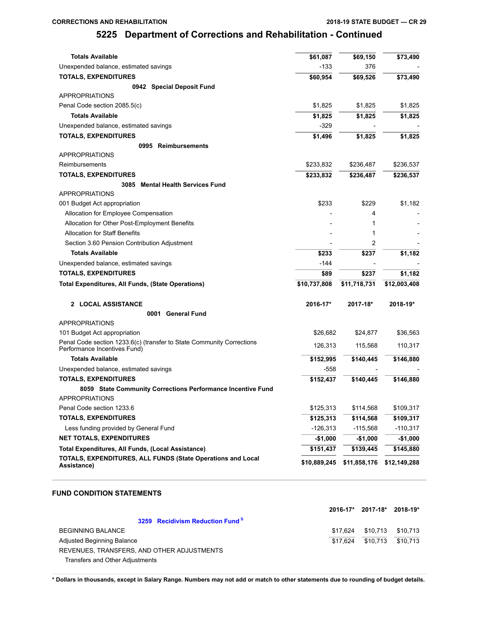| <b>Totals Available</b>                                                                               | \$61,087     | \$69,150     | \$73,490     |
|-------------------------------------------------------------------------------------------------------|--------------|--------------|--------------|
| Unexpended balance, estimated savings                                                                 | $-133$       | 376          |              |
| <b>TOTALS, EXPENDITURES</b>                                                                           | \$60,954     | \$69,526     | \$73,490     |
| 0942 Special Deposit Fund                                                                             |              |              |              |
| <b>APPROPRIATIONS</b>                                                                                 |              |              |              |
| Penal Code section 2085.5(c)                                                                          | \$1,825      | \$1,825      | \$1,825      |
| <b>Totals Available</b>                                                                               | \$1,825      | \$1,825      | \$1,825      |
| Unexpended balance, estimated savings                                                                 | -329         |              |              |
| <b>TOTALS, EXPENDITURES</b>                                                                           | \$1,496      | \$1,825      | \$1,825      |
| 0995 Reimbursements                                                                                   |              |              |              |
| <b>APPROPRIATIONS</b>                                                                                 |              |              |              |
| Reimbursements                                                                                        | \$233,832    | \$236,487    | \$236,537    |
| <b>TOTALS, EXPENDITURES</b>                                                                           | \$233,832    | \$236,487    | \$236,537    |
| 3085 Mental Health Services Fund                                                                      |              |              |              |
| <b>APPROPRIATIONS</b>                                                                                 |              |              |              |
| 001 Budget Act appropriation                                                                          | \$233        | \$229        | \$1,182      |
| Allocation for Employee Compensation                                                                  |              | 4            |              |
| Allocation for Other Post-Employment Benefits                                                         |              | 1            |              |
| <b>Allocation for Staff Benefits</b>                                                                  |              | 1            |              |
| Section 3.60 Pension Contribution Adjustment                                                          |              | 2            |              |
| <b>Totals Available</b>                                                                               | \$233        | \$237        | \$1,182      |
| Unexpended balance, estimated savings                                                                 | -144         |              |              |
| <b>TOTALS, EXPENDITURES</b>                                                                           | \$89         | \$237        | \$1,182      |
| <b>Total Expenditures, All Funds, (State Operations)</b>                                              | \$10,737,808 | \$11,718,731 | \$12,003,408 |
| 2 LOCAL ASSISTANCE                                                                                    | 2016-17*     | 2017-18*     | 2018-19*     |
| 0001 General Fund                                                                                     |              |              |              |
| <b>APPROPRIATIONS</b>                                                                                 |              |              |              |
| 101 Budget Act appropriation                                                                          | \$26,682     | \$24,877     | \$36,563     |
| Penal Code section 1233.6(c) (transfer to State Community Corrections<br>Performance Incentives Fund) | 126,313      | 115,568      | 110,317      |
| <b>Totals Available</b>                                                                               | \$152,995    | \$140,445    | \$146,880    |
| Unexpended balance, estimated savings                                                                 | -558         |              |              |
| <b>TOTALS, EXPENDITURES</b>                                                                           | \$152,437    | \$140,445    | \$146,880    |
| 8059 State Community Corrections Performance Incentive Fund<br>APPROPRIATIONS                         |              |              |              |
| Penal Code section 1233.6                                                                             | \$125,313    | \$114,568    | \$109,317    |
| <b>TOTALS, EXPENDITURES</b>                                                                           | \$125,313    | \$114,568    | \$109,317    |
| Less funding provided by General Fund                                                                 | $-126,313$   | -115,568     | $-110,317$   |
| <b>NET TOTALS, EXPENDITURES</b>                                                                       | $-$1,000$    | $-$1,000$    | -\$1,000     |
| Total Expenditures, All Funds, (Local Assistance)                                                     | \$151,437    | \$139,445    | \$145,880    |
| TOTALS, EXPENDITURES, ALL FUNDS (State Operations and Local<br>Assistance)                            | \$10,889,245 | \$11,858,176 | \$12,149,288 |

#### **FUND CONDITION STATEMENTS**

|                                             |          | 2016-17* 2017-18* 2018-19* |  |
|---------------------------------------------|----------|----------------------------|--|
| 3259 Recidivism Reduction Fund <sup>S</sup> |          |                            |  |
| <b>BEGINNING BALANCE</b>                    | \$17.624 | \$10,713 \$10,713          |  |
| Adjusted Beginning Balance                  |          | \$17.624 \$10.713 \$10.713 |  |
| REVENUES, TRANSFERS, AND OTHER ADJUSTMENTS  |          |                            |  |
| Transfers and Other Adjustments             |          |                            |  |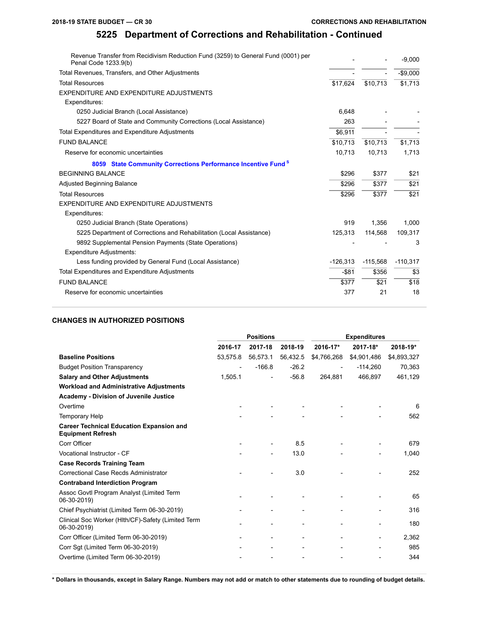| Revenue Transfer from Recidivism Reduction Fund (3259) to General Fund (0001) per<br>Penal Code 1233.9(b) |            |            | $-9,000$   |
|-----------------------------------------------------------------------------------------------------------|------------|------------|------------|
| Total Revenues, Transfers, and Other Adjustments                                                          |            |            | $-$9,000$  |
| <b>Total Resources</b>                                                                                    | \$17,624   | \$10,713   | \$1,713    |
| EXPENDITURE AND EXPENDITURE ADJUSTMENTS                                                                   |            |            |            |
| Expenditures:                                                                                             |            |            |            |
| 0250 Judicial Branch (Local Assistance)                                                                   | 6,648      |            |            |
| 5227 Board of State and Community Corrections (Local Assistance)                                          | 263        |            |            |
| Total Expenditures and Expenditure Adjustments                                                            | \$6,911    |            |            |
| <b>FUND BALANCE</b>                                                                                       | \$10,713   | \$10,713   | \$1,713    |
| Reserve for economic uncertainties                                                                        | 10,713     | 10,713     | 1,713      |
| 8059 State Community Corrections Performance Incentive Fund S                                             |            |            |            |
| <b>BEGINNING BALANCE</b>                                                                                  | \$296      | \$377      | \$21       |
| <b>Adjusted Beginning Balance</b>                                                                         | \$296      | \$377      | \$21       |
| <b>Total Resources</b>                                                                                    | \$296      | \$377      | \$21       |
| EXPENDITURE AND EXPENDITURE ADJUSTMENTS                                                                   |            |            |            |
| Expenditures:                                                                                             |            |            |            |
| 0250 Judicial Branch (State Operations)                                                                   | 919        | 1.356      | 1,000      |
| 5225 Department of Corrections and Rehabilitation (Local Assistance)                                      | 125,313    | 114,568    | 109,317    |
| 9892 Supplemental Pension Payments (State Operations)                                                     |            |            | 3          |
| <b>Expenditure Adjustments:</b>                                                                           |            |            |            |
| Less funding provided by General Fund (Local Assistance)                                                  | $-126,313$ | $-115,568$ | $-110,317$ |
| Total Expenditures and Expenditure Adjustments                                                            | $-$ \$81   | \$356      | \$3        |
| <b>FUND BALANCE</b>                                                                                       | \$377      | \$21       | \$18       |
| Reserve for economic uncertainties                                                                        | 377        | 21         | 18         |

#### **CHANGES IN AUTHORIZED POSITIONS**

|                                                                             | <b>Positions</b> |          |          | <b>Expenditures</b>      |                              |             |  |
|-----------------------------------------------------------------------------|------------------|----------|----------|--------------------------|------------------------------|-------------|--|
|                                                                             | 2016-17          | 2017-18  | 2018-19  | 2016-17*                 | 2017-18*                     | 2018-19*    |  |
| <b>Baseline Positions</b>                                                   | 53,575.8         | 56.573.1 | 56.432.5 | \$4,766,268              | \$4,901,486                  | \$4,893,327 |  |
| <b>Budget Position Transparency</b>                                         | $\overline{a}$   | $-166.8$ | $-26.2$  | $\overline{\phantom{a}}$ | $-114,260$                   | 70,363      |  |
| <b>Salary and Other Adjustments</b>                                         | 1.505.1          |          | $-56.8$  | 264.881                  | 466,897                      | 461,129     |  |
| <b>Workload and Administrative Adjustments</b>                              |                  |          |          |                          |                              |             |  |
| Academy - Division of Juvenile Justice                                      |                  |          |          |                          |                              |             |  |
| Overtime                                                                    |                  |          |          |                          |                              | 6           |  |
| <b>Temporary Help</b>                                                       |                  |          |          |                          |                              | 562         |  |
| <b>Career Technical Education Expansion and</b><br><b>Equipment Refresh</b> |                  |          |          |                          |                              |             |  |
| Corr Officer                                                                |                  |          | 8.5      |                          |                              | 679         |  |
| Vocational Instructor - CF                                                  |                  |          | 13.0     |                          |                              | 1,040       |  |
| <b>Case Records Training Team</b>                                           |                  |          |          |                          |                              |             |  |
| Correctional Case Recds Administrator                                       |                  |          | 3.0      |                          |                              | 252         |  |
| <b>Contraband Interdiction Program</b>                                      |                  |          |          |                          |                              |             |  |
| Assoc Govtl Program Analyst (Limited Term<br>06-30-2019)                    |                  |          |          |                          |                              | 65          |  |
| Chief Psychiatrist (Limited Term 06-30-2019)                                |                  |          |          |                          |                              | 316         |  |
| Clinical Soc Worker (HIth/CF)-Safety (Limited Term<br>06-30-2019)           |                  |          |          |                          |                              | 180         |  |
| Corr Officer (Limited Term 06-30-2019)                                      |                  |          |          |                          | $\qquad \qquad \blacksquare$ | 2,362       |  |
| Corr Sgt (Limited Term 06-30-2019)                                          |                  |          |          |                          |                              | 985         |  |
| Overtime (Limited Term 06-30-2019)                                          |                  |          |          |                          |                              | 344         |  |
|                                                                             |                  |          |          |                          |                              |             |  |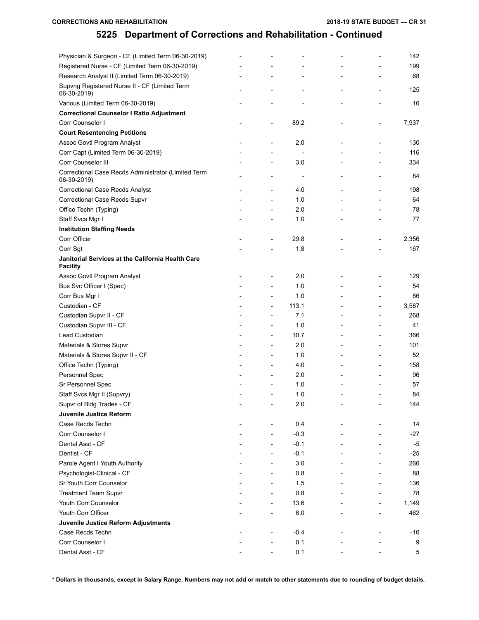| Physician & Surgeon - CF (Limited Term 06-30-2019)                   |                              |                          |                          | 142   |
|----------------------------------------------------------------------|------------------------------|--------------------------|--------------------------|-------|
| Registered Nurse - CF (Limited Term 06-30-2019)                      |                              |                          |                          | 199   |
| Research Analyst II (Limited Term 06-30-2019)                        |                              |                          |                          | 68    |
| Supvng Registered Nurse II - CF (Limited Term<br>06-30-2019)         |                              |                          |                          | 125   |
| Various (Limited Term 06-30-2019)                                    |                              |                          |                          | 16    |
| <b>Correctional Counselor I Ratio Adjustment</b>                     |                              |                          |                          |       |
| Corr Counselor I                                                     | $\qquad \qquad \blacksquare$ | 89.2                     | $\overline{\phantom{0}}$ | 7,937 |
| <b>Court Resentencing Petitions</b>                                  |                              |                          |                          |       |
| Assoc Govtl Program Analyst                                          |                              | 2.0                      |                          | 130   |
| Corr Capt (Limited Term 06-30-2019)                                  |                              |                          |                          | 116   |
| Corr Counselor III                                                   |                              | 3.0                      |                          | 334   |
| Correctional Case Recds Administrator (Limited Term<br>06-30-2019)   | $\overline{a}$               | $\overline{\phantom{a}}$ | $\overline{a}$           | 84    |
| Correctional Case Recds Analyst                                      |                              | 4.0                      |                          | 198   |
| Correctional Case Recds Supvr                                        |                              | 1.0                      |                          | 64    |
| Office Techn (Typing)                                                |                              | 2.0                      |                          | 78    |
| Staff Svcs Mgr I                                                     |                              | 1.0                      |                          | 77    |
| <b>Institution Staffing Needs</b>                                    |                              |                          |                          |       |
| Corr Officer                                                         |                              | 29.8                     |                          | 2,356 |
| Corr Sgt                                                             |                              | 1.8                      |                          | 167   |
| Janitorial Services at the California Health Care<br><b>Facility</b> |                              |                          |                          |       |
| Assoc Govtl Program Analyst                                          |                              | 2.0                      |                          | 129   |
| Bus Svc Officer I (Spec)                                             | $\qquad \qquad \blacksquare$ | 1.0                      | $\overline{a}$           | 54    |
| Corr Bus Mgr I                                                       | $\overline{a}$               | 1.0                      |                          | 86    |
| Custodian - CF                                                       | $\qquad \qquad \blacksquare$ | 113.1                    | $\overline{\phantom{a}}$ | 3,587 |
| Custodian Supvr II - CF                                              | $\qquad \qquad \blacksquare$ | 7.1                      |                          | 268   |
| Custodian Supvr III - CF                                             |                              | 1.0                      | $\overline{\phantom{a}}$ | 41    |
| Lead Custodian                                                       |                              | 10.7                     | $\overline{\phantom{a}}$ | 366   |
| Materials & Stores Supvr                                             |                              | 2.0                      |                          | 101   |
| Materials & Stores Supvr II - CF                                     | $\overline{\phantom{0}}$     | 1.0                      |                          | 52    |
| Office Techn (Typing)                                                |                              | 4.0                      |                          | 158   |
| Personnel Spec                                                       |                              | 2.0                      |                          | 96    |
| Sr Personnel Spec                                                    |                              | 1.0                      |                          | 57    |
| Staff Svcs Mgr II (Supvry)                                           |                              | 1.0                      |                          | 84    |
| Supvr of Bldg Trades - CF                                            |                              | 2.0                      |                          | 144   |
| Juvenile Justice Reform                                              |                              |                          |                          |       |
| Case Recds Techn                                                     |                              | 0.4                      |                          | 14    |
| Corr Counselor I                                                     |                              | $-0.3$                   |                          | $-27$ |
| Dental Asst - CF                                                     |                              | $-0.1$                   |                          | -5    |
| Dentist - CF                                                         |                              | $-0.1$                   |                          | $-25$ |
| Parole Agent I Youth Authority                                       |                              | 3.0                      |                          | 266   |
| Psychologist-Clinical - CF                                           |                              | 0.8                      |                          | 88    |
| Sr Youth Corr Counselor                                              |                              | 1.5                      |                          | 136   |
| <b>Treatment Team Supvr</b>                                          |                              | 0.8                      |                          | 78    |
| Youth Corr Counselor                                                 |                              | 13.6                     |                          |       |
|                                                                      |                              |                          |                          | 1,149 |
| Youth Corr Officer                                                   |                              | 6.0                      |                          | 462   |
| Juvenile Justice Reform Adjustments                                  |                              |                          |                          |       |
| Case Recds Techn                                                     |                              | $-0.4$                   |                          | -16   |
| Corr Counselor I                                                     |                              | 0.1                      |                          | 9     |
| Dental Asst - CF                                                     |                              | 0.1                      |                          | 5     |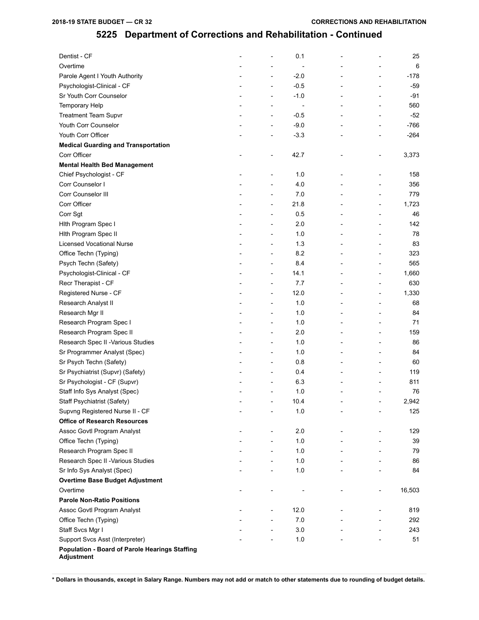| Dentist - CF                                          |                              | 0.1            |                          | 25     |
|-------------------------------------------------------|------------------------------|----------------|--------------------------|--------|
| Overtime                                              |                              |                |                          | 6      |
| Parole Agent I Youth Authority                        |                              | $-2.0$         |                          | -178   |
| Psychologist-Clinical - CF                            |                              | $-0.5$         |                          | $-59$  |
| Sr Youth Corr Counselor                               | $\overline{a}$               | $-1.0$         |                          | $-91$  |
| Temporary Help                                        |                              | $\overline{a}$ |                          | 560    |
| <b>Treatment Team Supvr</b>                           |                              | $-0.5$         | $\overline{\phantom{a}}$ | $-52$  |
| Youth Corr Counselor                                  |                              | $-9.0$         | $\overline{\phantom{a}}$ | $-766$ |
| Youth Corr Officer                                    |                              | $-3.3$         |                          | $-264$ |
| <b>Medical Guarding and Transportation</b>            |                              |                |                          |        |
| Corr Officer                                          |                              | 42.7           |                          | 3,373  |
| <b>Mental Health Bed Management</b>                   |                              |                |                          |        |
| Chief Psychologist - CF                               |                              | 1.0            |                          | 158    |
| Corr Counselor I                                      |                              | 4.0            |                          | 356    |
| Corr Counselor III                                    | $\overline{a}$               | 7.0            |                          | 779    |
| Corr Officer                                          |                              | 21.8           |                          | 1,723  |
| Corr Sgt                                              |                              | 0.5            |                          | 46     |
| Hith Program Spec I                                   | $\overline{\phantom{a}}$     | 2.0            |                          | 142    |
| Hith Program Spec II                                  |                              | 1.0            |                          | 78     |
| <b>Licensed Vocational Nurse</b>                      | $\overline{\phantom{0}}$     | 1.3            |                          | 83     |
| Office Techn (Typing)                                 |                              | 8.2            |                          | 323    |
| Psych Techn (Safety)                                  |                              | 8.4            | $\overline{a}$           | 565    |
| Psychologist-Clinical - CF                            |                              | 14.1           | $\overline{a}$           | 1,660  |
| Recr Therapist - CF                                   |                              | 7.7            |                          | 630    |
| Registered Nurse - CF                                 | $\overline{a}$               | 12.0           | $\overline{a}$           | 1,330  |
| Research Analyst II                                   |                              | 1.0            | $\overline{a}$           | 68     |
| Research Mgr II                                       | $\overline{a}$               | 1.0            | $\overline{a}$           | 84     |
| Research Program Spec I                               | $\qquad \qquad \blacksquare$ | 1.0            | $\overline{a}$           | 71     |
| Research Program Spec II                              | $\overline{a}$               | 2.0            |                          | 159    |
| Research Spec II - Various Studies                    | $\overline{\phantom{0}}$     | 1.0            |                          | 86     |
| Sr Programmer Analyst (Spec)                          |                              | 1.0            |                          | 84     |
| Sr Psych Techn (Safety)                               |                              | 0.8            |                          | 60     |
| Sr Psychiatrist (Supvr) (Safety)                      |                              | 0.4            |                          | 119    |
| Sr Psychologist - CF (Supvr)                          |                              | 6.3            |                          | 811    |
| Staff Info Sys Analyst (Spec)                         |                              | 1.0            |                          | 76     |
| Staff Psychiatrist (Safety)                           |                              | 10.4           |                          | 2,942  |
| Supvng Registered Nurse II - CF                       |                              | 1.0            |                          | 125    |
| <b>Office of Research Resources</b>                   |                              |                |                          |        |
| Assoc Govtl Program Analyst                           |                              | 2.0            |                          | 129    |
| Office Techn (Typing)                                 |                              | 1.0            |                          | 39     |
| Research Program Spec II                              |                              | 1.0            |                          | 79     |
| Research Spec II - Various Studies                    |                              | 1.0            |                          | 86     |
| Sr Info Sys Analyst (Spec)                            |                              | 1.0            |                          | 84     |
| <b>Overtime Base Budget Adjustment</b>                |                              |                |                          |        |
| Overtime                                              |                              |                |                          | 16,503 |
| <b>Parole Non-Ratio Positions</b>                     |                              |                |                          |        |
| Assoc Govtl Program Analyst                           |                              | 12.0           |                          | 819    |
| Office Techn (Typing)                                 |                              | 7.0            |                          | 292    |
| Staff Svcs Mgr I                                      |                              | 3.0            |                          | 243    |
| Support Svcs Asst (Interpreter)                       |                              | 1.0            |                          | 51     |
| <b>Population - Board of Parole Hearings Staffing</b> |                              |                |                          |        |
| Adjustment                                            |                              |                |                          |        |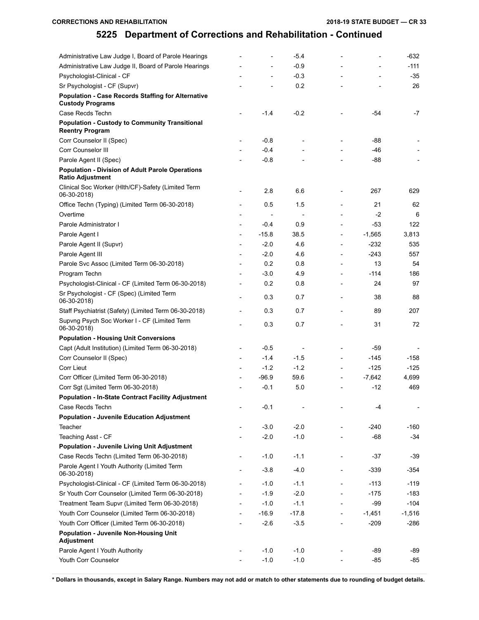| Administrative Law Judge I, Board of Parole Hearings                                 |                          |         | $-5.4$  |                              |          | -632     |
|--------------------------------------------------------------------------------------|--------------------------|---------|---------|------------------------------|----------|----------|
| Administrative Law Judge II, Board of Parole Hearings                                |                          |         | $-0.9$  |                              |          | $-111$   |
| Psychologist-Clinical - CF                                                           |                          |         | $-0.3$  |                              |          | $-35$    |
| Sr Psychologist - CF (Supvr)                                                         |                          |         | 0.2     |                              |          | 26       |
| <b>Population - Case Records Staffing for Alternative</b><br><b>Custody Programs</b> |                          |         |         |                              |          |          |
| Case Recds Techn                                                                     |                          | $-1.4$  | $-0.2$  |                              | -54      | -7       |
| <b>Population - Custody to Community Transitional</b><br><b>Reentry Program</b>      |                          |         |         |                              |          |          |
| Corr Counselor II (Spec)                                                             |                          | $-0.8$  |         |                              | -88      |          |
| Corr Counselor III                                                                   |                          | $-0.4$  |         |                              | -46      |          |
| Parole Agent II (Spec)                                                               |                          | $-0.8$  |         |                              | -88      |          |
| <b>Population - Division of Adult Parole Operations</b><br><b>Ratio Adjustment</b>   |                          |         |         |                              |          |          |
| Clinical Soc Worker (HIth/CF)-Safety (Limited Term<br>06-30-2018)                    |                          | 2.8     | 6.6     |                              | 267      | 629      |
| Office Techn (Typing) (Limited Term 06-30-2018)                                      |                          | 0.5     | 1.5     |                              | 21       | 62       |
| Overtime                                                                             |                          |         |         |                              | $-2$     | 6        |
| Parole Administrator I                                                               |                          | $-0.4$  | 0.9     | $\overline{a}$               | $-53$    | 122      |
| Parole Agent I                                                                       |                          | $-15.8$ | 38.5    |                              | $-1,565$ | 3,813    |
| Parole Agent II (Supvr)                                                              |                          | $-2.0$  | 4.6     |                              | $-232$   | 535      |
| Parole Agent III                                                                     |                          | $-2.0$  | 4.6     |                              | $-243$   | 557      |
| Parole Svc Assoc (Limited Term 06-30-2018)                                           |                          | 0.2     | 0.8     |                              | 13       | 54       |
| Program Techn                                                                        |                          | $-3.0$  | 4.9     | $\overline{a}$               | $-114$   | 186      |
| Psychologist-Clinical - CF (Limited Term 06-30-2018)                                 |                          | 0.2     | 0.8     |                              | 24       | 97       |
| Sr Psychologist - CF (Spec) (Limited Term<br>06-30-2018)                             | $\overline{\phantom{a}}$ | 0.3     | 0.7     | $\overline{a}$               | 38       | 88       |
| Staff Psychiatrist (Safety) (Limited Term 06-30-2018)                                |                          | 0.3     | 0.7     |                              | 89       | 207      |
| Supvng Psych Soc Worker I - CF (Limited Term<br>06-30-2018)                          |                          | 0.3     | 0.7     |                              | 31       | 72       |
| <b>Population - Housing Unit Conversions</b>                                         |                          |         |         |                              |          |          |
| Capt (Adult Institution) (Limited Term 06-30-2018)                                   |                          | $-0.5$  |         |                              | $-59$    |          |
| Corr Counselor II (Spec)                                                             |                          | $-1.4$  | $-1.5$  |                              | $-145$   | -158     |
| Corr Lieut                                                                           |                          | $-1.2$  | $-1.2$  | $\overline{\phantom{0}}$     | $-125$   | $-125$   |
| Corr Officer (Limited Term 06-30-2018)                                               |                          | $-96.9$ | 59.6    | $\overline{a}$               | $-7.642$ | 4,699    |
| Corr Sgt (Limited Term 06-30-2018)                                                   |                          | $-0.1$  | 5.0     |                              | $-12$    | 469      |
| <b>Population - In-State Contract Facility Adjustment</b>                            |                          |         |         |                              |          |          |
| Case Recds Techn                                                                     |                          | $-0.1$  |         |                              | -4       |          |
| <b>Population - Juvenile Education Adjustment</b>                                    |                          |         |         |                              |          |          |
| Teacher                                                                              |                          | $-3.0$  | $-2.0$  |                              | $-240$   | $-160$   |
| Teaching Asst - CF                                                                   |                          | $-2.0$  | $-1.0$  |                              | $-68$    | $-34$    |
| <b>Population - Juvenile Living Unit Adjustment</b>                                  |                          |         |         |                              |          |          |
| Case Recds Techn (Limited Term 06-30-2018)                                           |                          | $-1.0$  | $-1.1$  |                              | -37      | -39      |
| Parole Agent I Youth Authority (Limited Term<br>06-30-2018)                          |                          | $-3.8$  | $-4.0$  | $\overline{a}$               | $-339$   | -354     |
| Psychologist-Clinical - CF (Limited Term 06-30-2018)                                 |                          | $-1.0$  | $-1.1$  |                              | $-113$   | $-119$   |
| Sr Youth Corr Counselor (Limited Term 06-30-2018)                                    |                          | $-1.9$  | $-2.0$  |                              | $-175$   | $-183$   |
| Treatment Team Supvr (Limited Term 06-30-2018)                                       |                          | $-1.0$  | $-1.1$  |                              | -99      | $-104$   |
| Youth Corr Counselor (Limited Term 06-30-2018)                                       |                          | $-16.9$ | $-17.8$ | $\qquad \qquad \blacksquare$ | $-1,451$ | $-1,516$ |
| Youth Corr Officer (Limited Term 06-30-2018)                                         |                          | $-2.6$  | $-3.5$  |                              | $-209$   | $-286$   |
| Population - Juvenile Non-Housing Unit<br>Adjustment                                 |                          |         |         |                              |          |          |
| Parole Agent I Youth Authority                                                       |                          | $-1.0$  | $-1.0$  |                              | -89      | -89      |
| Youth Corr Counselor                                                                 |                          | $-1.0$  | $-1.0$  |                              | $-85$    | -85      |
|                                                                                      |                          |         |         |                              |          |          |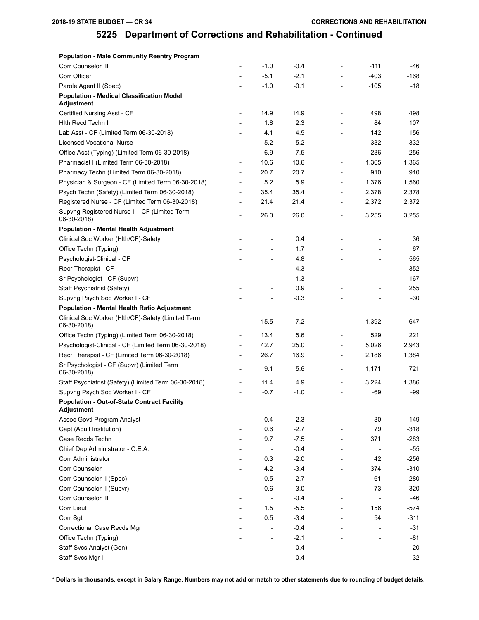| <b>Population - Male Community Reentry Program</b>                |                |                          |        |                              |                          |        |
|-------------------------------------------------------------------|----------------|--------------------------|--------|------------------------------|--------------------------|--------|
| Corr Counselor III                                                |                | $-1.0$                   | $-0.4$ |                              | $-111$                   | -46    |
| Corr Officer                                                      |                | $-5.1$                   | $-2.1$ |                              | $-403$                   | -168   |
| Parole Agent II (Spec)                                            |                | $-1.0$                   | $-0.1$ |                              | $-105$                   | -18    |
| <b>Population - Medical Classification Model</b><br>Adjustment    |                |                          |        |                              |                          |        |
| Certified Nursing Asst - CF                                       | $\overline{a}$ | 14.9                     | 14.9   |                              | 498                      | 498    |
| Hith Recd Techn I                                                 |                | 1.8                      | 2.3    |                              | 84                       | 107    |
| Lab Asst - CF (Limited Term 06-30-2018)                           |                | 4.1                      | 4.5    |                              | 142                      | 156    |
| Licensed Vocational Nurse                                         |                | $-5.2$                   | $-5.2$ |                              | $-332$                   | $-332$ |
| Office Asst (Typing) (Limited Term 06-30-2018)                    |                | 6.9                      | 7.5    |                              | 236                      | 256    |
| Pharmacist I (Limited Term 06-30-2018)                            | $\overline{a}$ | 10.6                     | 10.6   | $\overline{a}$               | 1,365                    | 1,365  |
| Pharmacy Techn (Limited Term 06-30-2018)                          | $\overline{a}$ | 20.7                     | 20.7   | $\overline{a}$               | 910                      | 910    |
| Physician & Surgeon - CF (Limited Term 06-30-2018)                | $\overline{a}$ | 5.2                      | 5.9    | $\overline{\phantom{a}}$     | 1,376                    | 1,560  |
| Psych Techn (Safety) (Limited Term 06-30-2018)                    | $\overline{a}$ | 35.4                     | 35.4   | $\overline{\phantom{a}}$     | 2,378                    | 2,378  |
| Registered Nurse - CF (Limited Term 06-30-2018)                   | $\overline{a}$ | 21.4                     | 21.4   | $\qquad \qquad \blacksquare$ | 2,372                    | 2,372  |
| Supvng Registered Nurse II - CF (Limited Term<br>06-30-2018)      | $\overline{a}$ | 26.0                     | 26.0   | $\qquad \qquad \blacksquare$ | 3,255                    | 3,255  |
| <b>Population - Mental Health Adjustment</b>                      |                |                          |        |                              |                          |        |
| Clinical Soc Worker (Hlth/CF)-Safety                              |                |                          | 0.4    |                              |                          | 36     |
| Office Techn (Typing)                                             |                |                          | 1.7    |                              |                          | 67     |
| Psychologist-Clinical - CF                                        |                | $\overline{a}$           | 4.8    |                              | $\overline{\phantom{a}}$ | 565    |
| Recr Therapist - CF                                               |                | $\overline{a}$           | 4.3    |                              | $\overline{a}$           | 352    |
| Sr Psychologist - CF (Supvr)                                      |                |                          | 1.3    |                              |                          | 167    |
| Staff Psychiatrist (Safety)                                       |                |                          | 0.9    |                              |                          | 255    |
| Supvng Psych Soc Worker I - CF                                    |                |                          | $-0.3$ |                              |                          | $-30$  |
| <b>Population - Mental Health Ratio Adjustment</b>                |                |                          |        |                              |                          |        |
| Clinical Soc Worker (Hlth/CF)-Safety (Limited Term<br>06-30-2018) | $\overline{a}$ | 15.5                     | 7.2    | $\overline{\phantom{0}}$     | 1,392                    | 647    |
| Office Techn (Typing) (Limited Term 06-30-2018)                   | $\overline{a}$ | 13.4                     | 5.6    | $\overline{\phantom{a}}$     | 529                      | 221    |
| Psychologist-Clinical - CF (Limited Term 06-30-2018)              |                | 42.7                     | 25.0   | $\overline{a}$               | 5,026                    | 2,943  |
| Recr Therapist - CF (Limited Term 06-30-2018)                     | $\overline{a}$ | 26.7                     | 16.9   | $\overline{\phantom{0}}$     | 2,186                    | 1,384  |
| Sr Psychologist - CF (Supvr) (Limited Term<br>06-30-2018)         |                | 9.1                      | 5.6    | $\overline{a}$               | 1,171                    | 721    |
| Staff Psychiatrist (Safety) (Limited Term 06-30-2018)             | $\overline{a}$ | 11.4                     | 4.9    | $\qquad \qquad \blacksquare$ | 3,224                    | 1,386  |
| Supvng Psych Soc Worker I - CF                                    |                | $-0.7$                   | $-1.0$ |                              | -69                      | -99    |
| <b>Population - Out-of-State Contract Facility</b><br>Adjustment  |                |                          |        |                              |                          |        |
| Assoc Govtl Program Analyst                                       |                | 0.4                      | $-2.3$ |                              | 30                       | $-149$ |
| Capt (Adult Institution)                                          |                | 0.6                      | $-2.7$ |                              | 79                       | $-318$ |
| Case Recds Techn                                                  |                | 9.7                      | $-7.5$ |                              | 371                      | $-283$ |
| Chief Dep Administrator - C.E.A.                                  |                |                          | $-0.4$ |                              |                          | $-55$  |
| Corr Administrator                                                |                | 0.3                      | $-2.0$ |                              | 42                       | $-256$ |
| Corr Counselor I                                                  |                | 4.2                      | $-3.4$ |                              | 374                      | $-310$ |
| Corr Counselor II (Spec)                                          |                | 0.5                      | $-2.7$ |                              | 61                       | $-280$ |
| Corr Counselor II (Supvr)                                         |                | 0.6                      | $-3.0$ |                              | 73                       | $-320$ |
| Corr Counselor III                                                |                |                          | $-0.4$ |                              | $\overline{\phantom{a}}$ | $-46$  |
| Corr Lieut                                                        |                | 1.5                      | $-5.5$ |                              | 156                      | -574   |
| Corr Sgt                                                          |                | 0.5                      | $-3.4$ |                              | 54                       | $-311$ |
| Correctional Case Recds Mgr                                       |                |                          | $-0.4$ |                              |                          | $-31$  |
| Office Techn (Typing)                                             |                | $\overline{\phantom{0}}$ | $-2.1$ |                              |                          | $-81$  |
| Staff Svcs Analyst (Gen)                                          |                |                          | $-0.4$ |                              |                          | $-20$  |
| Staff Svcs Mgr I                                                  |                |                          | $-0.4$ |                              |                          | $-32$  |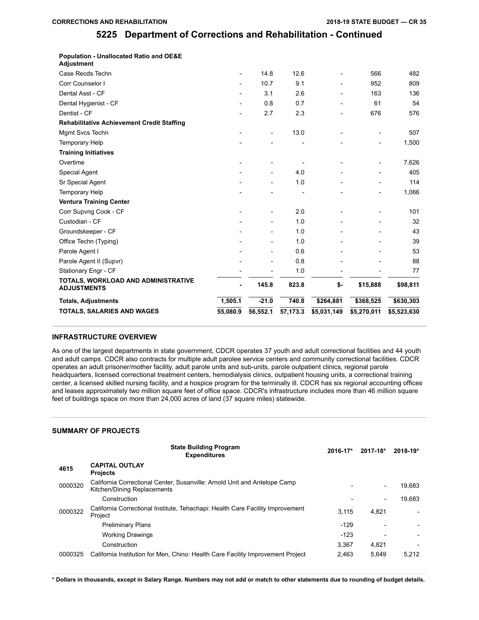| <b>TOTALS, SALARIES AND WAGES</b>                                | 55.080.9                 | 56,552.1                     | 57,173.3       | \$5,031,149              | \$5,270,011    | \$5,523,630 |
|------------------------------------------------------------------|--------------------------|------------------------------|----------------|--------------------------|----------------|-------------|
| <b>Totals, Adjustments</b>                                       | 1,505.1                  | $-21.0$                      | 740.8          | \$264,881                | \$368,525      | \$630,303   |
| TOTALS, WORKLOAD AND ADMINISTRATIVE<br><b>ADJUSTMENTS</b>        |                          | 145.8                        | 823.8          | \$-                      | \$15,888       | \$98,811    |
| Stationary Engr - CF                                             |                          |                              | 1.0            |                          |                | 77          |
| Parole Agent II (Supvr)                                          |                          |                              | 0.8            |                          |                | 88          |
| Parole Agent I                                                   |                          |                              | 0.6            |                          |                | 53          |
| Office Techn (Typing)                                            |                          | $\qquad \qquad \blacksquare$ | 1.0            |                          |                | 39          |
| Groundskeeper - CF                                               |                          |                              | 1.0            |                          |                | 43          |
| Custodian - CF                                                   |                          |                              | 1.0            |                          |                | 32          |
| Corr Supvng Cook - CF                                            |                          |                              | 2.0            |                          |                | 101         |
| <b>Ventura Training Center</b>                                   |                          |                              |                |                          |                |             |
| Temporary Help                                                   |                          |                              | $\overline{a}$ |                          | $\overline{a}$ | 1,066       |
| Sr Special Agent                                                 |                          |                              | 1.0            |                          |                | 114         |
| Special Agent                                                    |                          |                              | 4.0            |                          |                | 405         |
| Overtime                                                         |                          |                              |                |                          |                | 7,626       |
| <b>Training Initiatives</b>                                      |                          |                              |                |                          |                |             |
| <b>Temporary Help</b>                                            |                          |                              |                |                          |                | 1,500       |
| Mgmt Svcs Techn                                                  |                          | $\overline{\phantom{0}}$     | 13.0           |                          |                | 507         |
| <b>Rehabilitative Achievement Credit Staffing</b>                |                          |                              |                |                          |                |             |
| Dentist - CF                                                     |                          | 2.7                          | 2.3            |                          | 676            | 576         |
| Dental Hygienist - CF                                            |                          | 0.8                          | 0.7            |                          | 61             | 54          |
| Dental Asst - CF                                                 |                          | 3.1                          | 2.6            |                          | 163            | 136         |
| Corr Counselor I                                                 | $\overline{\phantom{a}}$ | 10.7                         | 9.1            | $\overline{\phantom{0}}$ | 952            | 809         |
| Case Recds Techn                                                 | $\overline{\phantom{0}}$ | 14.8                         | 12.6           |                          | 566            | 482         |
| <b>Population - Unallocated Ratio and OE&amp;E</b><br>Adjustment |                          |                              |                |                          |                |             |

#### **INFRASTRUCTURE OVERVIEW**

As one of the largest departments in state government, CDCR operates 37 youth and adult correctional facilities and 44 youth and adult camps. CDCR also contracts for multiple adult parolee service centers and community correctional facilities. CDCR operates an adult prisoner/mother facility, adult parole units and sub-units, parole outpatient clinics, regional parole headquarters, licensed correctional treatment centers, hemodialysis clinics, outpatient housing units, a correctional training center, a licensed skilled nursing facility, and a hospice program for the terminally ill. CDCR has six regional accounting offices and leases approximately two million square feet of office space. CDCR's infrastructure includes more than 46 million square feet of buildings space on more than 24,000 acres of land (37 square miles) statewide.

#### **SUMMARY OF PROJECTS**

|         | <b>State Building Program</b><br><b>Expenditures</b>                                                     | $2016 - 17*$ | $2017 - 18$ *            | 2018-19* |
|---------|----------------------------------------------------------------------------------------------------------|--------------|--------------------------|----------|
| 4615    | <b>CAPITAL OUTLAY</b><br><b>Projects</b>                                                                 |              |                          |          |
| 0000320 | California Correctional Center, Susanville: Arnold Unit and Antelope Camp<br>Kitchen/Dining Replacements |              | $\overline{\phantom{0}}$ | 19.683   |
|         | Construction                                                                                             |              |                          | 19.683   |
| 0000322 | California Correctional Institute, Tehachapi: Health Care Facility Improvement<br>Project                | 3.115        | 4.821                    |          |
|         | <b>Preliminary Plans</b>                                                                                 | $-129$       |                          |          |
|         | <b>Working Drawings</b>                                                                                  | $-123$       |                          |          |
|         | Construction                                                                                             | 3.367        | 4,821                    |          |
| 0000325 | California Institution for Men, Chino: Health Care Facility Improvement Project                          | 2,463        | 5.649                    | 5.212    |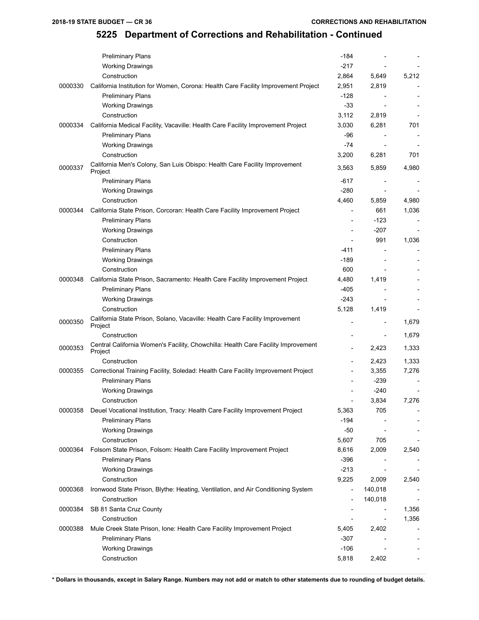|         | <b>Preliminary Plans</b>                                                                     | -184                     |                          |       |
|---------|----------------------------------------------------------------------------------------------|--------------------------|--------------------------|-------|
|         | <b>Working Drawings</b>                                                                      | -217                     |                          |       |
|         | Construction                                                                                 | 2,864                    | 5,649                    | 5,212 |
| 0000330 | California Institution for Women, Corona: Health Care Facility Improvement Project           | 2,951                    | 2,819                    |       |
|         | <b>Preliminary Plans</b>                                                                     | $-128$                   |                          |       |
|         | <b>Working Drawings</b>                                                                      | -33                      |                          |       |
|         | Construction                                                                                 | 3,112                    | 2,819                    |       |
| 0000334 | California Medical Facility, Vacaville: Health Care Facility Improvement Project             | 3,030                    | 6,281                    | 701   |
|         | <b>Preliminary Plans</b>                                                                     | -96                      |                          |       |
|         | <b>Working Drawings</b>                                                                      | $-74$                    |                          |       |
|         | Construction                                                                                 | 3,200                    | 6,281                    | 701   |
| 0000337 | California Men's Colony, San Luis Obispo: Health Care Facility Improvement<br>Project        | 3,563                    | 5,859                    | 4,980 |
|         | <b>Preliminary Plans</b>                                                                     | -617                     |                          |       |
|         | <b>Working Drawings</b>                                                                      | $-280$                   |                          |       |
|         | Construction                                                                                 | 4,460                    | 5,859                    | 4,980 |
| 0000344 | California State Prison, Corcoran: Health Care Facility Improvement Project                  |                          | 661                      | 1,036 |
|         | <b>Preliminary Plans</b>                                                                     |                          | $-123$                   |       |
|         | <b>Working Drawings</b>                                                                      | $\overline{a}$           | $-207$                   |       |
|         | Construction                                                                                 |                          | 991                      | 1,036 |
|         | <b>Preliminary Plans</b>                                                                     | -411                     | $\overline{a}$           |       |
|         | <b>Working Drawings</b>                                                                      | $-189$                   |                          |       |
|         | Construction                                                                                 | 600                      |                          |       |
| 0000348 | California State Prison, Sacramento: Health Care Facility Improvement Project                | 4,480                    | 1,419                    |       |
|         | <b>Preliminary Plans</b>                                                                     | $-405$                   |                          |       |
|         | <b>Working Drawings</b>                                                                      | $-243$                   |                          |       |
|         | Construction                                                                                 | 5,128                    | 1,419                    |       |
| 0000350 | California State Prison, Solano, Vacaville: Health Care Facility Improvement<br>Project      |                          |                          | 1,679 |
|         | Construction                                                                                 |                          | $\overline{\phantom{0}}$ | 1,679 |
| 0000353 | Central California Women's Facility, Chowchilla: Health Care Facility Improvement<br>Project |                          | 2,423                    | 1,333 |
|         | Construction                                                                                 |                          | 2,423                    | 1,333 |
| 0000355 | Correctional Training Facility, Soledad: Health Care Facility Improvement Project            |                          | 3,355                    | 7,276 |
|         | <b>Preliminary Plans</b>                                                                     |                          | $-239$                   |       |
|         | <b>Working Drawings</b>                                                                      |                          | $-240$                   |       |
|         | Construction                                                                                 |                          | 3,834                    | 7,276 |
| 0000358 | Deuel Vocational Institution, Tracy: Health Care Facility Improvement Project                | 5,363                    | 705                      |       |
|         | <b>Preliminary Plans</b>                                                                     | $-194$                   |                          |       |
|         | <b>Working Drawings</b>                                                                      | $-50$                    |                          |       |
|         | Construction                                                                                 | 5,607                    | 705                      |       |
| 0000364 | Folsom State Prison, Folsom: Health Care Facility Improvement Project                        | 8,616                    | 2,009                    | 2,540 |
|         | <b>Preliminary Plans</b>                                                                     | $-396$                   |                          |       |
|         | <b>Working Drawings</b>                                                                      | $-213$                   |                          |       |
|         | Construction                                                                                 | 9,225                    | 2,009                    | 2,540 |
| 0000368 | Ironwood State Prison, Blythe: Heating, Ventilation, and Air Conditioning System             | $\overline{\phantom{a}}$ | 140,018                  |       |
|         | Construction                                                                                 |                          | 140,018                  |       |
| 0000384 | SB 81 Santa Cruz County                                                                      |                          |                          | 1,356 |
|         | Construction                                                                                 |                          | $\overline{a}$           | 1,356 |
| 0000388 | Mule Creek State Prison, Ione: Health Care Facility Improvement Project                      | 5,405                    | 2,402                    |       |
|         | <b>Preliminary Plans</b>                                                                     | $-307$                   |                          |       |
|         | <b>Working Drawings</b>                                                                      | $-106$                   |                          |       |
|         | Construction                                                                                 | 5,818                    | 2,402                    |       |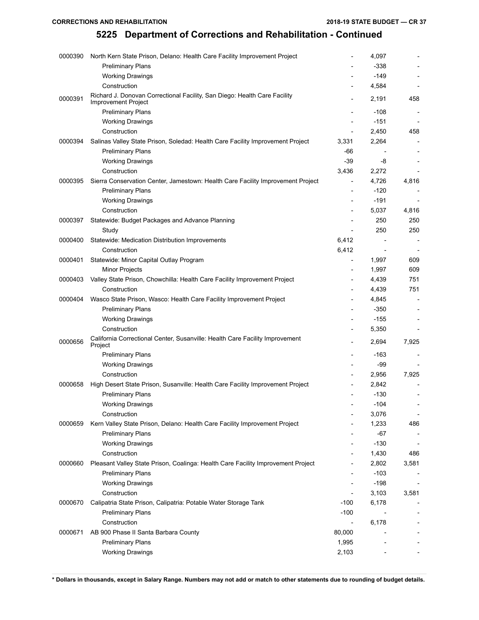| 0000390 | North Kern State Prison, Delano: Health Care Facility Improvement Project                               |                          | 4,097                    |       |
|---------|---------------------------------------------------------------------------------------------------------|--------------------------|--------------------------|-------|
|         | <b>Preliminary Plans</b>                                                                                |                          | -338                     |       |
|         | <b>Working Drawings</b>                                                                                 |                          | $-149$                   |       |
|         | Construction                                                                                            |                          | 4,584                    |       |
| 0000391 | Richard J. Donovan Correctional Facility, San Diego: Health Care Facility<br><b>Improvement Project</b> |                          | 2,191                    | 458   |
|         | <b>Preliminary Plans</b>                                                                                |                          | $-108$                   |       |
|         | <b>Working Drawings</b>                                                                                 |                          | $-151$                   |       |
|         | Construction                                                                                            |                          | 2,450                    | 458   |
| 0000394 | Salinas Valley State Prison, Soledad: Health Care Facility Improvement Project                          | 3,331                    | 2,264                    |       |
|         | <b>Preliminary Plans</b>                                                                                | -66                      |                          |       |
|         | <b>Working Drawings</b>                                                                                 | $-39$                    | -8                       |       |
|         | Construction                                                                                            | 3,436                    | 2,272                    |       |
| 0000395 | Sierra Conservation Center, Jamestown: Health Care Facility Improvement Project                         | $\overline{\phantom{a}}$ | 4,726                    | 4,816 |
|         | <b>Preliminary Plans</b>                                                                                |                          | $-120$                   |       |
|         | <b>Working Drawings</b>                                                                                 |                          | $-191$                   |       |
|         | Construction                                                                                            | $\overline{\phantom{a}}$ | 5,037                    | 4,816 |
| 0000397 | Statewide: Budget Packages and Advance Planning                                                         |                          | 250                      | 250   |
|         | Study                                                                                                   |                          | 250                      | 250   |
| 0000400 | Statewide: Medication Distribution Improvements                                                         | 6,412                    |                          |       |
|         | Construction                                                                                            | 6,412                    | $\overline{\phantom{0}}$ |       |
| 0000401 | Statewide: Minor Capital Outlay Program                                                                 | $\overline{\phantom{a}}$ | 1,997                    | 609   |
|         | Minor Projects                                                                                          | $\overline{\phantom{a}}$ | 1,997                    | 609   |
| 0000403 | Valley State Prison, Chowchilla: Health Care Facility Improvement Project                               |                          | 4,439                    | 751   |
|         | Construction                                                                                            |                          | 4,439                    | 751   |
| 0000404 | Wasco State Prison, Wasco: Health Care Facility Improvement Project                                     |                          | 4,845                    |       |
|         | <b>Preliminary Plans</b>                                                                                |                          | $-350$                   |       |
|         | <b>Working Drawings</b>                                                                                 |                          | $-155$                   |       |
|         | Construction                                                                                            |                          | 5,350                    |       |
|         | California Correctional Center, Susanville: Health Care Facility Improvement                            |                          |                          |       |
| 0000656 | Project                                                                                                 |                          | 2,694                    | 7,925 |
|         | <b>Preliminary Plans</b>                                                                                |                          | $-163$                   |       |
|         | <b>Working Drawings</b>                                                                                 |                          | -99                      |       |
|         | Construction                                                                                            |                          | 2,956                    | 7,925 |
| 0000658 | High Desert State Prison, Susanville: Health Care Facility Improvement Project                          |                          | 2,842                    |       |
|         | <b>Preliminary Plans</b>                                                                                |                          | $-130$                   |       |
|         | <b>Working Drawings</b>                                                                                 |                          | -104                     |       |
|         | Construction                                                                                            |                          | 3,076                    |       |
| 0000659 | Kern Valley State Prison, Delano: Health Care Facility Improvement Project                              |                          | 1,233                    | 486   |
|         | <b>Preliminary Plans</b>                                                                                |                          | -67                      |       |
|         | <b>Working Drawings</b>                                                                                 |                          | $-130$                   |       |
|         | Construction                                                                                            |                          | 1,430                    | 486   |
| 0000660 | Pleasant Valley State Prison, Coalinga: Health Care Facility Improvement Project                        |                          | 2,802                    | 3,581 |
|         | <b>Preliminary Plans</b>                                                                                |                          | $-103$                   |       |
|         | <b>Working Drawings</b>                                                                                 |                          | $-198$                   |       |
|         | Construction                                                                                            |                          | 3,103                    | 3,581 |
| 0000670 | Calipatria State Prison, Calipatria: Potable Water Storage Tank                                         | $-100$                   | 6,178                    |       |
|         | <b>Preliminary Plans</b>                                                                                | $-100$                   |                          |       |
|         | Construction                                                                                            |                          | 6,178                    |       |
| 0000671 | AB 900 Phase II Santa Barbara County                                                                    | 80,000                   |                          |       |
|         | <b>Preliminary Plans</b>                                                                                | 1,995                    |                          |       |
|         | <b>Working Drawings</b>                                                                                 | 2,103                    |                          |       |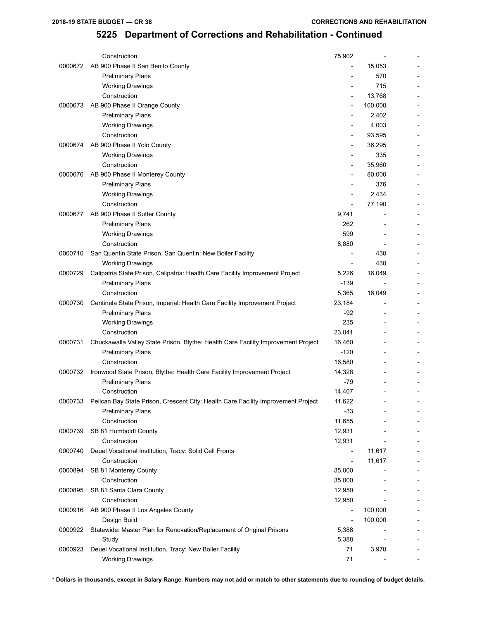|         | Construction                                                                      | 75,902                       |         |  |
|---------|-----------------------------------------------------------------------------------|------------------------------|---------|--|
| 0000672 | AB 900 Phase II San Benito County                                                 |                              | 15,053  |  |
|         | <b>Preliminary Plans</b>                                                          |                              | 570     |  |
|         | <b>Working Drawings</b>                                                           |                              | 715     |  |
|         | Construction                                                                      |                              | 13,768  |  |
| 0000673 | AB 900 Phase II Orange County                                                     |                              | 100,000 |  |
|         | <b>Preliminary Plans</b>                                                          |                              | 2,402   |  |
|         | <b>Working Drawings</b>                                                           |                              | 4,003   |  |
|         | Construction                                                                      | $\overline{\phantom{a}}$     | 93,595  |  |
| 0000674 | AB 900 Phase II Yolo County                                                       |                              | 36,295  |  |
|         | <b>Working Drawings</b>                                                           |                              | 335     |  |
|         | Construction                                                                      | $\overline{\phantom{0}}$     | 35,960  |  |
| 0000676 | AB 900 Phase II Monterey County                                                   |                              | 80,000  |  |
|         | <b>Preliminary Plans</b>                                                          |                              | 376     |  |
|         | <b>Working Drawings</b>                                                           |                              | 2,434   |  |
|         | Construction                                                                      | $\qquad \qquad \blacksquare$ | 77,190  |  |
| 0000677 | AB 900 Phase II Sutter County                                                     | 9,741                        |         |  |
|         | <b>Preliminary Plans</b>                                                          | 262                          |         |  |
|         | <b>Working Drawings</b>                                                           | 599                          |         |  |
|         | Construction                                                                      | 8,880                        |         |  |
| 0000710 | San Quentin State Prison, San Quentin: New Boiler Facility                        |                              | 430     |  |
|         | <b>Working Drawings</b>                                                           |                              | 430     |  |
| 0000729 | Calipatria State Prison, Calipatria: Health Care Facility Improvement Project     | 5,226                        | 16,049  |  |
|         | <b>Preliminary Plans</b>                                                          | $-139$                       |         |  |
|         | Construction                                                                      | 5,365                        | 16,049  |  |
| 0000730 | Centinela State Prison, Imperial: Health Care Facility Improvement Project        | 23,184                       |         |  |
|         | <b>Preliminary Plans</b>                                                          | $-92$                        |         |  |
|         | <b>Working Drawings</b>                                                           | 235                          |         |  |
|         | Construction                                                                      | 23,041                       |         |  |
| 0000731 | Chuckawalla Valley State Prison, Blythe: Health Care Facility Improvement Project | 16,460                       |         |  |
|         | <b>Preliminary Plans</b>                                                          | $-120$                       |         |  |
|         | Construction                                                                      | 16,580                       |         |  |
| 0000732 | Ironwood State Prison, Blythe: Health Care Facility Improvement Project           | 14,328                       |         |  |
|         | <b>Preliminary Plans</b>                                                          | $-79$                        |         |  |
|         | Construction                                                                      | 14,407                       |         |  |
| 0000733 | Pelican Bay State Prison, Crescent City: Health Care Facility Improvement Project | 11,622                       |         |  |
|         | <b>Preliminary Plans</b>                                                          | $-33$                        |         |  |
|         | Construction                                                                      | 11,655                       |         |  |
| 0000739 | SB 81 Humboldt County                                                             | 12,931                       |         |  |
|         | Construction                                                                      | 12,931                       |         |  |
| 0000740 | Deuel Vocational Institution, Tracy: Solid Cell Fronts                            | $\overline{\phantom{a}}$     | 11,617  |  |
|         | Construction                                                                      | $\centerdot$                 | 11,617  |  |
| 0000894 | SB 81 Monterey County                                                             | 35,000                       |         |  |
|         | Construction                                                                      | 35,000                       |         |  |
| 0000895 | SB 81 Santa Clara County                                                          | 12,950                       |         |  |
|         | Construction                                                                      | 12,950                       |         |  |
| 0000916 | AB 900 Phase II Los Angeles County                                                | $\centerdot$                 | 100,000 |  |
|         | Design Build                                                                      |                              | 100,000 |  |
| 0000922 | Statewide: Master Plan for Renovation/Replacement of Original Prisons             | 5,388                        |         |  |
|         | Study                                                                             | 5,388                        |         |  |
| 0000923 | Deuel Vocational Institution, Tracy: New Boiler Facility                          | 71                           | 3,970   |  |
|         | <b>Working Drawings</b>                                                           | 71                           |         |  |
|         |                                                                                   |                              |         |  |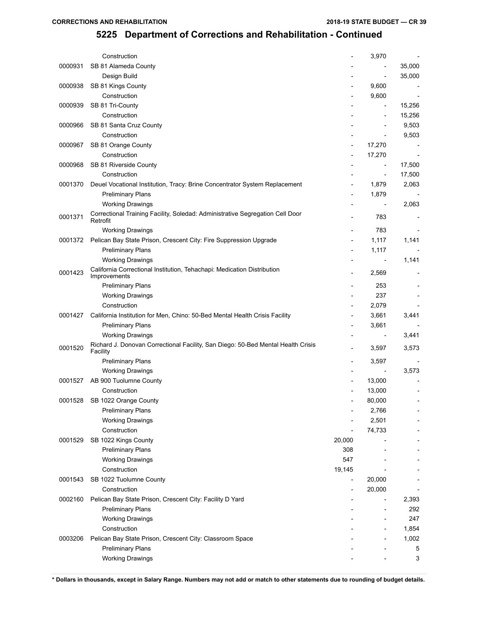|         | Construction                                                                                 | $\overline{\phantom{0}}$ | 3,970                    |        |
|---------|----------------------------------------------------------------------------------------------|--------------------------|--------------------------|--------|
| 0000931 | SB 81 Alameda County                                                                         |                          |                          | 35,000 |
|         | Design Build                                                                                 |                          |                          | 35,000 |
| 0000938 | SB 81 Kings County                                                                           |                          | 9,600                    |        |
|         | Construction                                                                                 |                          | 9,600                    |        |
| 0000939 | SB 81 Tri-County                                                                             |                          |                          | 15,256 |
|         | Construction                                                                                 |                          |                          | 15,256 |
| 0000966 | SB 81 Santa Cruz County                                                                      |                          |                          | 9,503  |
|         | Construction                                                                                 |                          |                          | 9,503  |
| 0000967 | SB 81 Orange County                                                                          |                          | 17,270                   |        |
|         | Construction                                                                                 | $\overline{\phantom{0}}$ | 17,270                   |        |
| 0000968 | SB 81 Riverside County                                                                       |                          | $\overline{\phantom{a}}$ | 17,500 |
|         | Construction                                                                                 |                          | $\overline{\phantom{a}}$ | 17,500 |
| 0001370 | Deuel Vocational Institution, Tracy: Brine Concentrator System Replacement                   |                          | 1,879                    | 2,063  |
|         | <b>Preliminary Plans</b>                                                                     |                          | 1,879                    |        |
|         | <b>Working Drawings</b>                                                                      |                          | $\overline{\phantom{a}}$ | 2,063  |
|         | Correctional Training Facility, Soledad: Administrative Segregation Cell Door                |                          |                          |        |
| 0001371 | Retrofit                                                                                     |                          | 783                      |        |
|         | <b>Working Drawings</b>                                                                      | $\overline{\phantom{a}}$ | 783                      |        |
| 0001372 | Pelican Bay State Prison, Crescent City: Fire Suppression Upgrade                            |                          | 1,117                    | 1,141  |
|         | <b>Preliminary Plans</b>                                                                     | $\overline{\phantom{a}}$ | 1,117                    |        |
|         | <b>Working Drawings</b>                                                                      |                          | $\overline{\phantom{a}}$ | 1,141  |
| 0001423 | California Correctional Institution, Tehachapi: Medication Distribution<br>Improvements      | $\overline{\phantom{a}}$ | 2,569                    |        |
|         | <b>Preliminary Plans</b>                                                                     |                          | 253                      |        |
|         | <b>Working Drawings</b>                                                                      |                          | 237                      |        |
|         | Construction                                                                                 |                          | 2,079                    |        |
| 0001427 | California Institution for Men, Chino: 50-Bed Mental Health Crisis Facility                  |                          | 3,661                    | 3,441  |
|         | <b>Preliminary Plans</b>                                                                     |                          | 3,661                    |        |
|         | <b>Working Drawings</b>                                                                      |                          | $\overline{\phantom{a}}$ | 3,441  |
| 0001520 | Richard J. Donovan Correctional Facility, San Diego: 50-Bed Mental Health Crisis<br>Facility |                          | 3,597                    | 3,573  |
|         | <b>Preliminary Plans</b>                                                                     |                          | 3,597                    |        |
|         | <b>Working Drawings</b>                                                                      |                          | $\overline{\phantom{a}}$ | 3,573  |
| 0001527 | AB 900 Tuolumne County                                                                       |                          | 13,000                   |        |
|         | Construction                                                                                 |                          | 13,000                   |        |
| 0001528 | SB 1022 Orange County                                                                        |                          | 80,000                   |        |
|         | <b>Preliminary Plans</b>                                                                     |                          | 2,766                    |        |
|         | <b>Working Drawings</b>                                                                      |                          | 2,501                    |        |
|         | Construction                                                                                 |                          | 74,733                   |        |
| 0001529 | SB 1022 Kings County                                                                         | 20,000                   |                          |        |
|         | <b>Preliminary Plans</b>                                                                     | 308                      |                          |        |
|         |                                                                                              | 547                      |                          |        |
|         | <b>Working Drawings</b><br>Construction                                                      | 19,145                   |                          |        |
|         |                                                                                              |                          |                          |        |
| 0001543 | SB 1022 Tuolumne County                                                                      | $\overline{\phantom{a}}$ | 20,000                   |        |
|         | Construction                                                                                 |                          | 20,000                   |        |
| 0002160 | Pelican Bay State Prison, Crescent City: Facility D Yard                                     |                          |                          | 2,393  |
|         | <b>Preliminary Plans</b>                                                                     |                          |                          | 292    |
|         | <b>Working Drawings</b>                                                                      |                          |                          | 247    |
|         | Construction                                                                                 |                          |                          | 1,854  |
| 0003206 | Pelican Bay State Prison, Crescent City: Classroom Space                                     |                          |                          | 1,002  |
|         | <b>Preliminary Plans</b>                                                                     |                          |                          | 5      |
|         | <b>Working Drawings</b>                                                                      |                          |                          | 3      |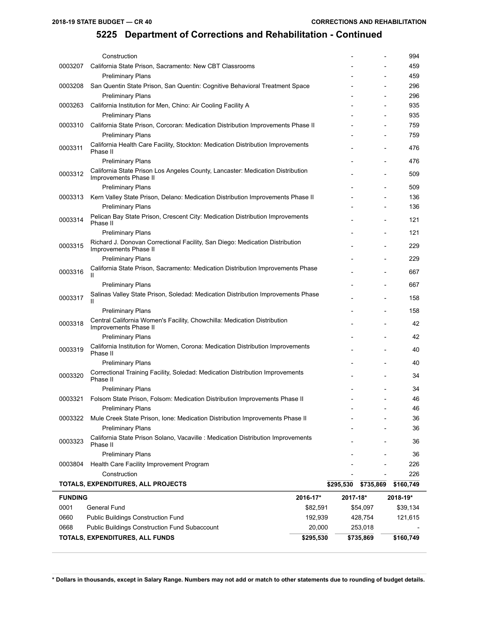|                | Construction                                                                                            |           |           |                          | 994       |
|----------------|---------------------------------------------------------------------------------------------------------|-----------|-----------|--------------------------|-----------|
| 0003207        | California State Prison, Sacramento: New CBT Classrooms                                                 |           |           |                          | 459       |
|                | <b>Preliminary Plans</b>                                                                                |           |           |                          | 459       |
| 0003208        | San Quentin State Prison, San Quentin: Cognitive Behavioral Treatment Space                             |           |           | $\overline{\phantom{a}}$ | 296       |
|                | <b>Preliminary Plans</b>                                                                                |           |           |                          | 296       |
| 0003263        | California Institution for Men, Chino: Air Cooling Facility A                                           |           |           |                          | 935       |
|                | <b>Preliminary Plans</b>                                                                                |           |           |                          | 935       |
| 0003310        | California State Prison, Corcoran: Medication Distribution Improvements Phase II                        |           |           | $\overline{\phantom{a}}$ | 759       |
|                | <b>Preliminary Plans</b>                                                                                |           |           | $\overline{\phantom{a}}$ | 759       |
| 0003311        | California Health Care Facility, Stockton: Medication Distribution Improvements<br>Phase II             |           |           |                          | 476       |
|                | <b>Preliminary Plans</b>                                                                                |           |           | $\overline{\phantom{a}}$ | 476       |
| 0003312        | California State Prison Los Angeles County, Lancaster: Medication Distribution<br>Improvements Phase II |           |           |                          | 509       |
|                | <b>Preliminary Plans</b>                                                                                |           |           | $\overline{a}$           | 509       |
| 0003313        | Kern Valley State Prison, Delano: Medication Distribution Improvements Phase II                         |           |           |                          | 136       |
|                | <b>Preliminary Plans</b>                                                                                |           |           |                          | 136       |
| 0003314        | Pelican Bay State Prison, Crescent City: Medication Distribution Improvements<br>Phase II               |           |           |                          | 121       |
|                | <b>Preliminary Plans</b>                                                                                |           |           |                          | 121       |
| 0003315        | Richard J. Donovan Correctional Facility, San Diego: Medication Distribution<br>Improvements Phase II   |           |           | $\overline{\phantom{a}}$ | 229       |
|                | <b>Preliminary Plans</b>                                                                                |           |           | $\overline{\phantom{a}}$ | 229       |
| 0003316        | California State Prison, Sacramento: Medication Distribution Improvements Phase<br>Ш                    |           |           |                          | 667       |
|                | <b>Preliminary Plans</b>                                                                                |           |           |                          | 667       |
| 0003317        | Salinas Valley State Prison, Soledad: Medication Distribution Improvements Phase<br>Ш                   |           |           |                          | 158       |
|                | <b>Preliminary Plans</b>                                                                                |           |           | $\overline{\phantom{a}}$ | 158       |
| 0003318        | Central California Women's Facility, Chowchilla: Medication Distribution<br>Improvements Phase II       |           |           |                          | 42        |
|                | <b>Preliminary Plans</b>                                                                                |           |           |                          | 42        |
| 0003319        | California Institution for Women, Corona: Medication Distribution Improvements<br>Phase II              |           |           |                          | 40        |
|                | <b>Preliminary Plans</b>                                                                                |           |           | $\overline{\phantom{a}}$ | 40        |
| 0003320        | Correctional Training Facility, Soledad: Medication Distribution Improvements<br>Phase II               |           |           |                          | 34        |
|                | <b>Preliminary Plans</b>                                                                                |           |           |                          | 34        |
| 0003321        | Folsom State Prison, Folsom: Medication Distribution Improvements Phase II                              |           |           |                          | 46        |
|                | <b>Preliminary Plans</b>                                                                                |           |           |                          | 46        |
| 0003322        | Mule Creek State Prison, Ione: Medication Distribution Improvements Phase II                            |           |           |                          | 36        |
|                | <b>Preliminary Plans</b>                                                                                |           |           |                          | 36        |
| 0003323        | California State Prison Solano, Vacaville : Medication Distribution Improvements<br>Phase II            |           |           |                          | 36        |
|                | <b>Preliminary Plans</b>                                                                                |           |           |                          | 36        |
| 0003804        | Health Care Facility Improvement Program                                                                |           |           |                          | 226       |
|                | Construction                                                                                            |           |           |                          | 226       |
|                | TOTALS, EXPENDITURES, ALL PROJECTS                                                                      |           | \$295,530 | \$735,869                | \$160,749 |
| <b>FUNDING</b> |                                                                                                         | 2016-17*  | 2017-18*  |                          | 2018-19*  |
| 0001           | <b>General Fund</b>                                                                                     | \$82,591  |           | \$54,097                 | \$39,134  |
| 0660           | <b>Public Buildings Construction Fund</b>                                                               | 192,939   |           | 428,754                  | 121,615   |
| 0668           | <b>Public Buildings Construction Fund Subaccount</b>                                                    | 20,000    |           | 253,018                  |           |
|                | TOTALS, EXPENDITURES, ALL FUNDS                                                                         | \$295,530 |           | \$735,869                | \$160,749 |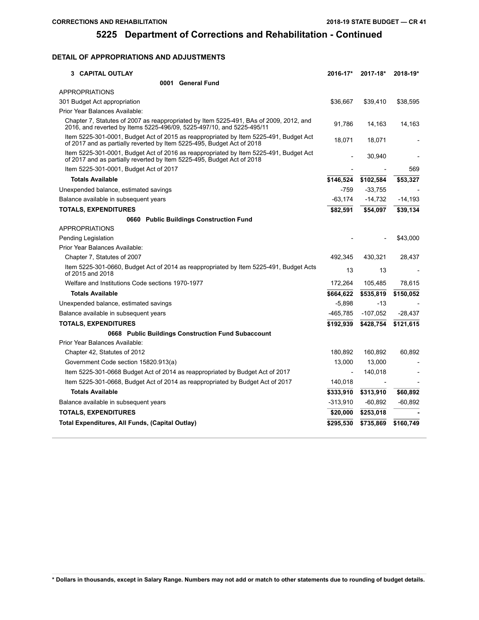### **DETAIL OF APPROPRIATIONS AND ADJUSTMENTS**

| 3 CAPITAL OUTLAY                                                                                                                                                | 2016-17*                 | $2017 - 18$ * | $2018 - 19*$ |
|-----------------------------------------------------------------------------------------------------------------------------------------------------------------|--------------------------|---------------|--------------|
| 0001 General Fund                                                                                                                                               |                          |               |              |
| <b>APPROPRIATIONS</b>                                                                                                                                           |                          |               |              |
| 301 Budget Act appropriation                                                                                                                                    | \$36,667                 | \$39,410      | \$38,595     |
| Prior Year Balances Available:                                                                                                                                  |                          |               |              |
| Chapter 7, Statutes of 2007 as reappropriated by Item 5225-491, BAs of 2009, 2012, and<br>2016, and reverted by Items 5225-496/09, 5225-497/10, and 5225-495/11 | 91.786                   | 14,163        | 14,163       |
| Item 5225-301-0001, Budget Act of 2015 as reappropriated by Item 5225-491, Budget Act<br>of 2017 and as partially reverted by Item 5225-495, Budget Act of 2018 | 18,071                   | 18,071        |              |
| Item 5225-301-0001, Budget Act of 2016 as reappropriated by Item 5225-491, Budget Act<br>of 2017 and as partially reverted by Item 5225-495, Budget Act of 2018 |                          | 30,940        |              |
| Item 5225-301-0001, Budget Act of 2017                                                                                                                          |                          |               | 569          |
| <b>Totals Available</b>                                                                                                                                         | \$146,524                | \$102,584     | \$53,327     |
| Unexpended balance, estimated savings                                                                                                                           | -759                     | $-33,755$     |              |
| Balance available in subsequent years                                                                                                                           | $-63,174$                | $-14,732$     | $-14,193$    |
| <b>TOTALS, EXPENDITURES</b>                                                                                                                                     | \$82,591                 | \$54,097      | \$39,134     |
| 0660 Public Buildings Construction Fund                                                                                                                         |                          |               |              |
| <b>APPROPRIATIONS</b>                                                                                                                                           |                          |               |              |
| Pending Legislation                                                                                                                                             |                          |               | \$43,000     |
| Prior Year Balances Available:                                                                                                                                  |                          |               |              |
| Chapter 7, Statutes of 2007                                                                                                                                     | 492,345                  | 430,321       | 28,437       |
| Item 5225-301-0660, Budget Act of 2014 as reappropriated by Item 5225-491, Budget Acts<br>of 2015 and 2018                                                      | 13                       | 13            |              |
| Welfare and Institutions Code sections 1970-1977                                                                                                                | 172,264                  | 105,485       | 78,615       |
| <b>Totals Available</b>                                                                                                                                         | \$664,622                | \$535,819     | \$150,052    |
| Unexpended balance, estimated savings                                                                                                                           | $-5,898$                 | $-13$         |              |
| Balance available in subsequent years                                                                                                                           | -465,785                 | $-107,052$    | $-28,437$    |
| <b>TOTALS, EXPENDITURES</b>                                                                                                                                     | \$192,939                | \$428,754     | \$121,615    |
| 0668 Public Buildings Construction Fund Subaccount                                                                                                              |                          |               |              |
| Prior Year Balances Available:                                                                                                                                  |                          |               |              |
| Chapter 42, Statutes of 2012                                                                                                                                    | 180,892                  | 160,892       | 60,892       |
| Government Code section 15820.913(a)                                                                                                                            | 13,000                   | 13,000        |              |
| Item 5225-301-0668 Budget Act of 2014 as reappropriated by Budget Act of 2017                                                                                   | $\overline{\phantom{a}}$ | 140,018       |              |
| Item 5225-301-0668, Budget Act of 2014 as reappropriated by Budget Act of 2017                                                                                  | 140,018                  |               |              |
| <b>Totals Available</b>                                                                                                                                         | \$333,910                | \$313,910     | \$60,892     |
| Balance available in subsequent years                                                                                                                           | -313,910                 | $-60,892$     | $-60,892$    |
| <b>TOTALS, EXPENDITURES</b>                                                                                                                                     | \$20,000                 | \$253,018     |              |
| Total Expenditures, All Funds, (Capital Outlay)                                                                                                                 | \$295,530                | \$735,869     | \$160,749    |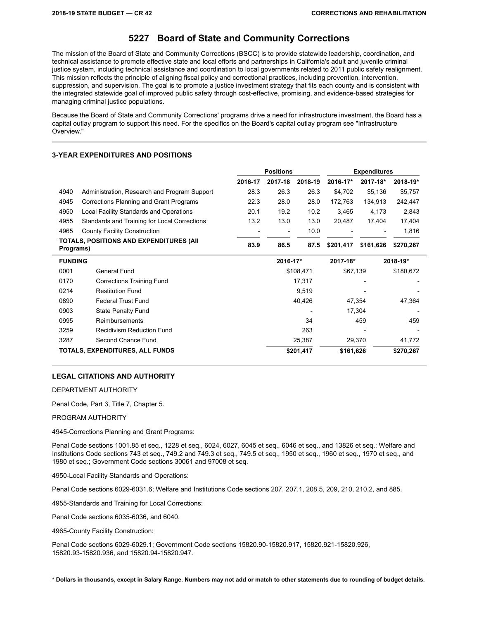#### **5227 Board of State and Community Corrections**

The mission of the Board of State and Community Corrections (BSCC) is to provide statewide leadership, coordination, and technical assistance to promote effective state and local efforts and partnerships in California's adult and juvenile criminal justice system, including technical assistance and coordination to local governments related to 2011 public safety realignment. This mission reflects the principle of aligning fiscal policy and correctional practices, including prevention, intervention, suppression, and supervision. The goal is to promote a justice investment strategy that fits each county and is consistent with the integrated statewide goal of improved public safety through cost-effective, promising, and evidence-based strategies for managing criminal justice populations.

Because the Board of State and Community Corrections' programs drive a need for infrastructure investment, the Board has a capital outlay program to support this need. For the specifics on the Board's capital outlay program see "Infrastructure Overview."

#### **3-YEAR EXPENDITURES AND POSITIONS**

|                                 |                                                | <b>Positions</b> |         |                      | <b>Expenditures</b> |           |           |  |
|---------------------------------|------------------------------------------------|------------------|---------|----------------------|---------------------|-----------|-----------|--|
|                                 |                                                | 2016-17          | 2017-18 | 2018-19              | 2016-17*            | 2017-18*  | 2018-19*  |  |
| 4940                            | Administration, Research and Program Support   | 28.3             | 26.3    | 26.3                 | \$4,702             | \$5,136   | \$5,757   |  |
| 4945                            | Corrections Planning and Grant Programs        | 22.3             | 28.0    | 28.0                 | 172,763             | 134,913   | 242,447   |  |
| 4950                            | Local Facility Standards and Operations        | 20.1             | 19.2    | 10.2                 | 3,465               | 4,173     | 2,843     |  |
| 4955                            | Standards and Training for Local Corrections   | 13.2             | 13.0    | 13.0                 | 20,487              | 17,404    | 17,404    |  |
| 4965                            | County Facility Construction                   |                  |         | 10.0                 |                     |           | 1,816     |  |
| Programs)                       | <b>TOTALS, POSITIONS AND EXPENDITURES (AII</b> | 83.9             | 86.5    | 87.5                 | \$201,417           | \$161,626 | \$270,267 |  |
| <b>FUNDING</b>                  |                                                |                  |         | 2016-17*<br>2017-18* |                     | 2018-19*  |           |  |
| 0001                            | General Fund                                   |                  |         | \$108,471            | \$67,139            |           | \$180,672 |  |
| 0170                            | <b>Corrections Training Fund</b>               |                  |         | 17,317               |                     |           |           |  |
| 0214                            | <b>Restitution Fund</b>                        |                  |         | 9,519                |                     |           |           |  |
| 0890                            | <b>Federal Trust Fund</b>                      |                  |         | 40,426<br>47,354     |                     |           | 47,364    |  |
| 0903                            | <b>State Penalty Fund</b>                      |                  |         |                      |                     | 17,304    |           |  |
| 0995                            | Reimbursements                                 |                  | 34      |                      |                     | 459       | 459       |  |
| 3259                            | Recidivism Reduction Fund                      |                  |         | 263                  |                     |           |           |  |
| 3287                            | Second Chance Fund                             |                  |         | 25,387               |                     | 29,370    | 41,772    |  |
| TOTALS, EXPENDITURES, ALL FUNDS |                                                | \$201,417        |         | \$161,626            |                     | \$270,267 |           |  |

#### **LEGAL CITATIONS AND AUTHORITY**

DEPARTMENT AUTHORITY

Penal Code, Part 3, Title 7, Chapter 5.

#### PROGRAM AUTHORITY

4945-Corrections Planning and Grant Programs:

Penal Code sections 1001.85 et seq., 1228 et seq., 6024, 6027, 6045 et seq., 6046 et seq., and 13826 et seq.; Welfare and Institutions Code sections 743 et seq., 749.2 and 749.3 et seq., 749.5 et seq., 1950 et seq., 1960 et seq., 1970 et seq., and 1980 et seq.; Government Code sections 30061 and 97008 et seq.

4950-Local Facility Standards and Operations:

Penal Code sections 6029-6031.6; Welfare and Institutions Code sections 207, 207.1, 208.5, 209, 210, 210.2, and 885.

4955-Standards and Training for Local Corrections:

Penal Code sections 6035-6036, and 6040.

4965-County Facility Construction:

Penal Code sections 6029-6029.1; Government Code sections 15820.90-15820.917, 15820.921-15820.926, 15820.93-15820.936, and 15820.94-15820.947.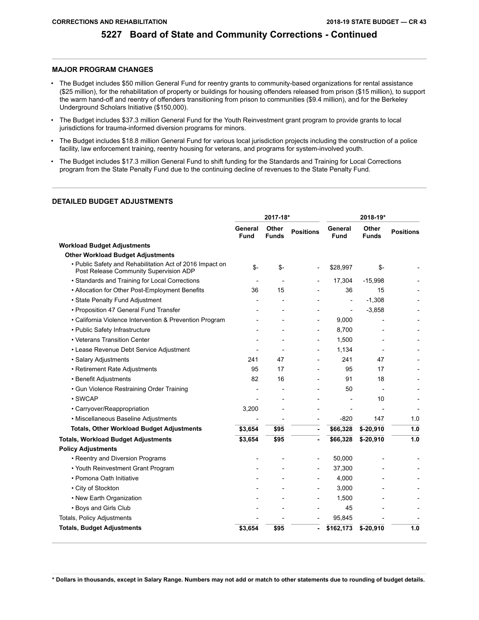#### **MAJOR PROGRAM CHANGES**

- The Budget includes \$50 million General Fund for reentry grants to community-based organizations for rental assistance (\$25 million), for the rehabilitation of property or buildings for housing offenders released from prison (\$15 million), to support the warm hand-off and reentry of offenders transitioning from prison to communities (\$9.4 million), and for the Berkeley Underground Scholars Initiative (\$150,000).
- The Budget includes \$37.3 million General Fund for the Youth Reinvestment grant program to provide grants to local jurisdictions for trauma-informed diversion programs for minors.
- The Budget includes \$18.8 million General Fund for various local jurisdiction projects including the construction of a police facility, law enforcement training, reentry housing for veterans, and programs for system-involved youth.
- The Budget includes \$17.3 million General Fund to shift funding for the Standards and Training for Local Corrections program from the State Penalty Fund due to the continuing decline of revenues to the State Penalty Fund.

#### **DETAILED BUDGET ADJUSTMENTS**

|                                                                                                    | 2017-18*               |                       |                  | 2018-19*               |                       |                  |
|----------------------------------------------------------------------------------------------------|------------------------|-----------------------|------------------|------------------------|-----------------------|------------------|
|                                                                                                    | General<br><b>Fund</b> | Other<br><b>Funds</b> | <b>Positions</b> | General<br><b>Fund</b> | Other<br><b>Funds</b> | <b>Positions</b> |
| Workload Budget Adjustments                                                                        |                        |                       |                  |                        |                       |                  |
| <b>Other Workload Budget Adjustments</b>                                                           |                        |                       |                  |                        |                       |                  |
| • Public Safety and Rehabilitation Act of 2016 Impact on<br>Post Release Community Supervision ADP | \$-                    | \$-                   |                  | \$28,997               | \$-                   |                  |
| • Standards and Training for Local Corrections                                                     |                        |                       |                  | 17,304                 | $-15,998$             |                  |
| • Allocation for Other Post-Employment Benefits                                                    | 36                     | 15                    |                  | 36                     | 15                    |                  |
| • State Penalty Fund Adjustment                                                                    |                        |                       |                  |                        | $-1,308$              |                  |
| • Proposition 47 General Fund Transfer                                                             |                        |                       |                  |                        | $-3,858$              |                  |
| • California Violence Intervention & Prevention Program                                            |                        |                       |                  | 9,000                  |                       |                  |
| • Public Safety Infrastructure                                                                     |                        |                       | $\overline{a}$   | 8,700                  |                       |                  |
| • Veterans Transition Center                                                                       |                        |                       |                  | 1,500                  |                       |                  |
| • Lease Revenue Debt Service Adjustment                                                            |                        |                       |                  | 1,134                  |                       |                  |
| · Salary Adjustments                                                                               | 241                    | 47                    |                  | 241                    | 47                    |                  |
| • Retirement Rate Adjustments                                                                      | 95                     | 17                    |                  | 95                     | 17                    |                  |
| • Benefit Adjustments                                                                              | 82                     | 16                    |                  | 91                     | 18                    |                  |
| • Gun Violence Restraining Order Training                                                          |                        |                       |                  | 50                     |                       |                  |
| · SWCAP                                                                                            |                        |                       |                  |                        | 10                    |                  |
| • Carryover/Reappropriation                                                                        | 3,200                  |                       |                  |                        |                       |                  |
| • Miscellaneous Baseline Adjustments                                                               |                        |                       |                  | $-820$                 | 147                   | 1.0              |
| <b>Totals, Other Workload Budget Adjustments</b>                                                   | \$3,654                | \$95                  | ä,               | \$66,328               | $$-20,910$            | 1.0              |
| <b>Totals, Workload Budget Adjustments</b>                                                         | \$3,654                | \$95                  |                  | \$66,328               | $$-20,910$            | 1.0              |
| <b>Policy Adjustments</b>                                                                          |                        |                       |                  |                        |                       |                  |
| • Reentry and Diversion Programs                                                                   |                        |                       |                  | 50,000                 |                       |                  |
| • Youth Reinvestment Grant Program                                                                 |                        |                       |                  | 37,300                 |                       |                  |
| • Pomona Oath Initiative                                                                           |                        |                       |                  | 4,000                  |                       |                  |
| • City of Stockton                                                                                 |                        |                       |                  | 3,000                  |                       |                  |
| • New Earth Organization                                                                           |                        |                       |                  | 1,500                  |                       |                  |
| • Boys and Girls Club                                                                              |                        |                       |                  | 45                     |                       |                  |
| Totals, Policy Adjustments                                                                         |                        |                       |                  | 95,845                 |                       |                  |
| <b>Totals, Budget Adjustments</b>                                                                  | \$3,654                | \$95                  |                  | \$162,173              | $$-20,910$            | 1.0              |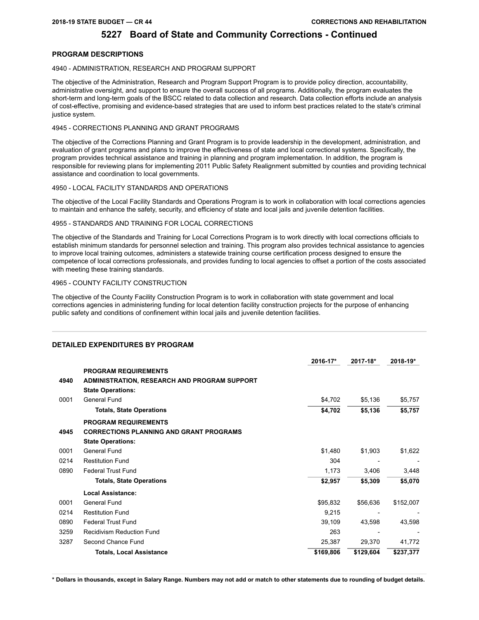#### **PROGRAM DESCRIPTIONS**

#### 4940 - ADMINISTRATION, RESEARCH AND PROGRAM SUPPORT

The objective of the Administration, Research and Program Support Program is to provide policy direction, accountability, administrative oversight, and support to ensure the overall success of all programs. Additionally, the program evaluates the short-term and long-term goals of the BSCC related to data collection and research. Data collection efforts include an analysis of cost-effective, promising and evidence-based strategies that are used to inform best practices related to the state's criminal justice system.

#### 4945 - CORRECTIONS PLANNING AND GRANT PROGRAMS

The objective of the Corrections Planning and Grant Program is to provide leadership in the development, administration, and evaluation of grant programs and plans to improve the effectiveness of state and local correctional systems. Specifically, the program provides technical assistance and training in planning and program implementation. In addition, the program is responsible for reviewing plans for implementing 2011 Public Safety Realignment submitted by counties and providing technical assistance and coordination to local governments.

#### 4950 - LOCAL FACILITY STANDARDS AND OPERATIONS

The objective of the Local Facility Standards and Operations Program is to work in collaboration with local corrections agencies to maintain and enhance the safety, security, and efficiency of state and local jails and juvenile detention facilities.

#### 4955 - STANDARDS AND TRAINING FOR LOCAL CORRECTIONS

The objective of the Standards and Training for Local Corrections Program is to work directly with local corrections officials to establish minimum standards for personnel selection and training. This program also provides technical assistance to agencies to improve local training outcomes, administers a statewide training course certification process designed to ensure the competence of local corrections professionals, and provides funding to local agencies to offset a portion of the costs associated with meeting these training standards.

#### 4965 - COUNTY FACILITY CONSTRUCTION

The objective of the County Facility Construction Program is to work in collaboration with state government and local corrections agencies in administering funding for local detention facility construction projects for the purpose of enhancing public safety and conditions of confinement within local jails and juvenile detention facilities.

#### **DETAILED EXPENDITURES BY PROGRAM**

|      |                                                | 2016-17*  | 2017-18*  | 2018-19*  |
|------|------------------------------------------------|-----------|-----------|-----------|
|      | <b>PROGRAM REQUIREMENTS</b>                    |           |           |           |
| 4940 | ADMINISTRATION, RESEARCH AND PROGRAM SUPPORT   |           |           |           |
|      | <b>State Operations:</b>                       |           |           |           |
| 0001 | General Fund                                   | \$4,702   | \$5,136   | \$5,757   |
|      | <b>Totals, State Operations</b>                | \$4,702   | \$5,136   | \$5,757   |
|      | <b>PROGRAM REQUIREMENTS</b>                    |           |           |           |
| 4945 | <b>CORRECTIONS PLANNING AND GRANT PROGRAMS</b> |           |           |           |
|      | <b>State Operations:</b>                       |           |           |           |
| 0001 | General Fund                                   | \$1,480   | \$1,903   | \$1,622   |
| 0214 | <b>Restitution Fund</b>                        | 304       |           |           |
| 0890 | <b>Federal Trust Fund</b>                      | 1,173     | 3,406     | 3,448     |
|      | <b>Totals, State Operations</b>                | \$2,957   | \$5,309   | \$5,070   |
|      | <b>Local Assistance:</b>                       |           |           |           |
| 0001 | General Fund                                   | \$95,832  | \$56,636  | \$152,007 |
| 0214 | <b>Restitution Fund</b>                        | 9,215     |           |           |
| 0890 | <b>Federal Trust Fund</b>                      | 39,109    | 43,598    | 43,598    |
| 3259 | <b>Recidivism Reduction Fund</b>               | 263       |           |           |
| 3287 | Second Chance Fund                             | 25,387    | 29,370    | 41,772    |
|      | <b>Totals, Local Assistance</b>                | \$169,806 | \$129,604 | \$237,377 |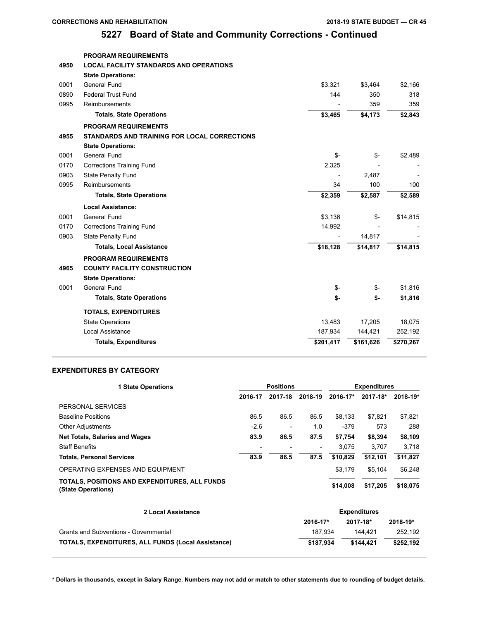|      | <b>PROGRAM REQUIREMENTS</b>                         |           |           |           |
|------|-----------------------------------------------------|-----------|-----------|-----------|
| 4950 | <b>LOCAL FACILITY STANDARDS AND OPERATIONS</b>      |           |           |           |
|      | <b>State Operations:</b>                            |           |           |           |
| 0001 | <b>General Fund</b>                                 | \$3,321   | \$3,464   | \$2,166   |
| 0890 | <b>Federal Trust Fund</b>                           | 144       | 350       | 318       |
| 0995 | Reimbursements                                      |           | 359       | 359       |
|      | <b>Totals, State Operations</b>                     | \$3,465   | \$4,173   | \$2,843   |
|      | <b>PROGRAM REQUIREMENTS</b>                         |           |           |           |
| 4955 | <b>STANDARDS AND TRAINING FOR LOCAL CORRECTIONS</b> |           |           |           |
|      | <b>State Operations:</b>                            |           |           |           |
| 0001 | <b>General Fund</b>                                 | \$-       | \$-       | \$2,489   |
| 0170 | <b>Corrections Training Fund</b>                    | 2,325     |           |           |
| 0903 | <b>State Penalty Fund</b>                           |           | 2,487     |           |
| 0995 | Reimbursements                                      | 34        | 100       | 100       |
|      | <b>Totals, State Operations</b>                     | \$2,359   | \$2,587   | \$2,589   |
|      | <b>Local Assistance:</b>                            |           |           |           |
| 0001 | <b>General Fund</b>                                 | \$3,136   | \$-       | \$14,815  |
| 0170 | <b>Corrections Training Fund</b>                    | 14,992    |           |           |
| 0903 | State Penalty Fund                                  |           | 14,817    |           |
|      | <b>Totals, Local Assistance</b>                     | \$18,128  | \$14,817  | \$14,815  |
|      | <b>PROGRAM REQUIREMENTS</b>                         |           |           |           |
| 4965 | <b>COUNTY FACILITY CONSTRUCTION</b>                 |           |           |           |
|      | <b>State Operations:</b>                            |           |           |           |
| 0001 | <b>General Fund</b>                                 | \$-       | \$-       | \$1,816   |
|      | <b>Totals, State Operations</b>                     | \$-       | $S-$      | \$1,816   |
|      | <b>TOTALS, EXPENDITURES</b>                         |           |           |           |
|      | <b>State Operations</b>                             | 13,483    | 17,205    | 18,075    |
|      | <b>Local Assistance</b>                             | 187,934   | 144,421   | 252,192   |
|      | <b>Totals, Expenditures</b>                         | \$201,417 | \$161,626 | \$270,267 |

#### **EXPENDITURES BY CATEGORY**

| <b>1 State Operations</b>                                           |         | <b>Positions</b>         |                          |          | <b>Expenditures</b> |          |  |
|---------------------------------------------------------------------|---------|--------------------------|--------------------------|----------|---------------------|----------|--|
|                                                                     | 2016-17 | 2017-18                  | 2018-19                  | 2016-17* | 2017-18*            | 2018-19* |  |
| PERSONAL SERVICES                                                   |         |                          |                          |          |                     |          |  |
| <b>Baseline Positions</b>                                           | 86.5    | 86.5                     | 86.5                     | \$8.133  | \$7.821             | \$7.821  |  |
| <b>Other Adjustments</b>                                            | $-2.6$  | $\overline{\phantom{a}}$ | 1.0                      | $-379$   | 573                 | 288      |  |
| <b>Net Totals, Salaries and Wages</b>                               | 83.9    | 86.5                     | 87.5                     | \$7,754  | \$8.394             | \$8,109  |  |
| <b>Staff Benefits</b>                                               |         |                          | $\overline{\phantom{a}}$ | 3.075    | 3.707               | 3.718    |  |
| <b>Totals, Personal Services</b>                                    | 83.9    | 86.5                     | 87.5                     | \$10.829 | \$12.101            | \$11,827 |  |
| OPERATING EXPENSES AND EQUIPMENT                                    |         |                          |                          | \$3.179  | \$5.104             | \$6.248  |  |
| TOTALS. POSITIONS AND EXPENDITURES. ALL FUNDS<br>(State Operations) |         |                          |                          | \$14,008 | \$17,205            | \$18,075 |  |

| 2 Local Assistance                                        | <b>Expenditures</b> |              |           |
|-----------------------------------------------------------|---------------------|--------------|-----------|
|                                                           | 2016-17*            | $2017 - 18*$ | 2018-19*  |
| Grants and Subventions - Governmental                     | 187.934             | 144.421      | 252.192   |
| <b>TOTALS, EXPENDITURES, ALL FUNDS (Local Assistance)</b> | \$187.934           | \$144.421    | \$252.192 |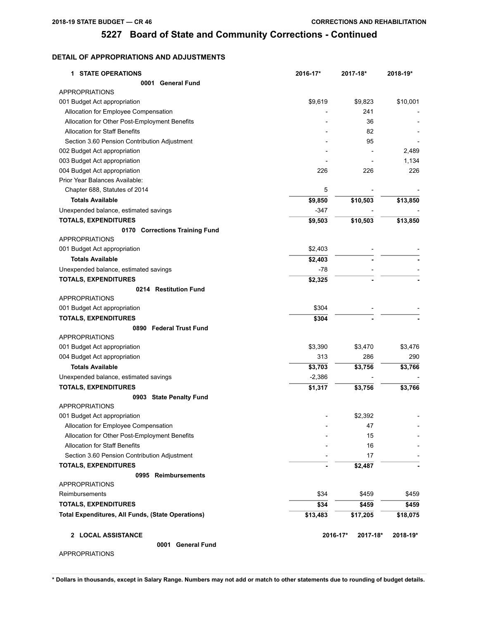### **DETAIL OF APPROPRIATIONS AND ADJUSTMENTS**

| <b>1 STATE OPERATIONS</b>                                | 2016-17* | 2017-18*             | 2018-19* |
|----------------------------------------------------------|----------|----------------------|----------|
| 0001 General Fund                                        |          |                      |          |
| <b>APPROPRIATIONS</b>                                    |          |                      |          |
| 001 Budget Act appropriation                             | \$9,619  | \$9,823              | \$10,001 |
| Allocation for Employee Compensation                     |          | 241                  |          |
| Allocation for Other Post-Employment Benefits            |          | 36                   |          |
| <b>Allocation for Staff Benefits</b>                     |          | 82                   |          |
| Section 3.60 Pension Contribution Adjustment             |          | 95                   |          |
| 002 Budget Act appropriation                             |          |                      | 2,489    |
| 003 Budget Act appropriation                             |          |                      | 1,134    |
| 004 Budget Act appropriation                             | 226      | 226                  | 226      |
| Prior Year Balances Available:                           |          |                      |          |
| Chapter 688, Statutes of 2014                            | 5        |                      |          |
| <b>Totals Available</b>                                  | \$9,850  | \$10,503             | \$13,850 |
| Unexpended balance, estimated savings                    | $-347$   |                      |          |
| <b>TOTALS, EXPENDITURES</b>                              | \$9,503  | \$10,503             | \$13,850 |
| 0170 Corrections Training Fund                           |          |                      |          |
| <b>APPROPRIATIONS</b>                                    |          |                      |          |
| 001 Budget Act appropriation                             | \$2,403  |                      |          |
| <b>Totals Available</b>                                  | \$2,403  |                      |          |
| Unexpended balance, estimated savings                    | -78      |                      |          |
| <b>TOTALS, EXPENDITURES</b>                              | \$2,325  |                      |          |
| 0214 Restitution Fund                                    |          |                      |          |
| <b>APPROPRIATIONS</b>                                    |          |                      |          |
| 001 Budget Act appropriation                             | \$304    |                      |          |
| <b>TOTALS, EXPENDITURES</b>                              | \$304    |                      |          |
| 0890 Federal Trust Fund                                  |          |                      |          |
| <b>APPROPRIATIONS</b>                                    |          |                      |          |
| 001 Budget Act appropriation                             | \$3,390  | \$3,470              | \$3,476  |
| 004 Budget Act appropriation                             | 313      | 286                  | 290      |
| <b>Totals Available</b>                                  | \$3,703  | \$3,756              | \$3,766  |
| Unexpended balance, estimated savings                    | $-2,386$ |                      |          |
| <b>TOTALS, EXPENDITURES</b>                              | \$1,317  | \$3,756              | \$3,766  |
| 0903 State Penalty Fund                                  |          |                      |          |
| <b>APPROPRIATIONS</b>                                    |          |                      |          |
| 001 Budget Act appropriation                             |          | \$2,392              |          |
| Allocation for Employee Compensation                     |          | 47                   |          |
| Allocation for Other Post-Employment Benefits            |          | 15                   |          |
| <b>Allocation for Staff Benefits</b>                     |          | 16                   |          |
| Section 3.60 Pension Contribution Adjustment             |          | 17                   |          |
| <b>TOTALS, EXPENDITURES</b>                              |          | \$2,487              |          |
| 0995 Reimbursements                                      |          |                      |          |
| <b>APPROPRIATIONS</b>                                    |          |                      |          |
| Reimbursements                                           | \$34     | \$459                | \$459    |
| <b>TOTALS, EXPENDITURES</b>                              | \$34     | \$459                | \$459    |
| <b>Total Expenditures, All Funds, (State Operations)</b> | \$13,483 | \$17,205             | \$18,075 |
|                                                          |          |                      |          |
| 2 LOCAL ASSISTANCE                                       |          | 2016-17*<br>2017-18* | 2018-19* |
| 0001 General Fund                                        |          |                      |          |
| <b>APPROPRIATIONS</b>                                    |          |                      |          |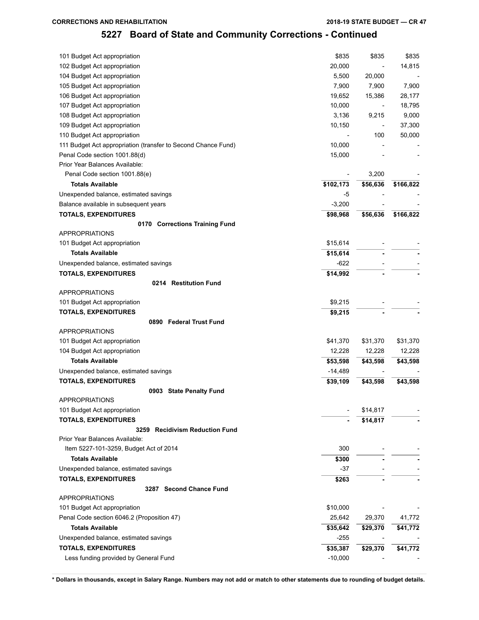| 101 Budget Act appropriation                                  | \$835     | \$835    | \$835     |
|---------------------------------------------------------------|-----------|----------|-----------|
| 102 Budget Act appropriation                                  | 20,000    |          | 14,815    |
| 104 Budget Act appropriation                                  | 5,500     | 20,000   |           |
| 105 Budget Act appropriation                                  | 7,900     | 7,900    | 7,900     |
| 106 Budget Act appropriation                                  | 19,652    | 15,386   | 28,177    |
| 107 Budget Act appropriation                                  | 10,000    |          | 18,795    |
| 108 Budget Act appropriation                                  | 3,136     | 9,215    | 9,000     |
| 109 Budget Act appropriation                                  | 10,150    |          | 37,300    |
| 110 Budget Act appropriation                                  |           | 100      | 50,000    |
| 111 Budget Act appropriation (transfer to Second Chance Fund) | 10,000    |          |           |
| Penal Code section 1001.88(d)                                 | 15,000    |          |           |
| Prior Year Balances Available:                                |           |          |           |
| Penal Code section 1001.88(e)                                 |           | 3,200    |           |
| <b>Totals Available</b>                                       | \$102,173 | \$56,636 | \$166,822 |
| Unexpended balance, estimated savings                         | $-5$      |          |           |
| Balance available in subsequent years                         | $-3,200$  |          |           |
| <b>TOTALS, EXPENDITURES</b>                                   | \$98,968  | \$56,636 | \$166,822 |
| 0170 Corrections Training Fund                                |           |          |           |
| <b>APPROPRIATIONS</b>                                         |           |          |           |
| 101 Budget Act appropriation                                  | \$15,614  |          |           |
| <b>Totals Available</b>                                       | \$15,614  |          |           |
| Unexpended balance, estimated savings                         | -622      |          |           |
| <b>TOTALS, EXPENDITURES</b>                                   | \$14,992  |          |           |
| 0214 Restitution Fund                                         |           |          |           |
| <b>APPROPRIATIONS</b>                                         |           |          |           |
| 101 Budget Act appropriation                                  | \$9,215   |          |           |
| <b>TOTALS, EXPENDITURES</b>                                   | \$9,215   |          |           |
| 0890 Federal Trust Fund                                       |           |          |           |
| <b>APPROPRIATIONS</b>                                         |           |          |           |
| 101 Budget Act appropriation                                  | \$41,370  | \$31,370 | \$31,370  |
| 104 Budget Act appropriation                                  | 12,228    | 12,228   | 12,228    |
| <b>Totals Available</b>                                       | \$53,598  | \$43,598 | \$43,598  |
| Unexpended balance, estimated savings                         | $-14,489$ |          |           |
| <b>TOTALS, EXPENDITURES</b>                                   | \$39,109  | \$43,598 | \$43,598  |
| 0903 State Penalty Fund                                       |           |          |           |
| <b>APPROPRIATIONS</b>                                         |           |          |           |
| 101 Budget Act appropriation                                  |           | \$14,817 |           |
| <b>TOTALS, EXPENDITURES</b>                                   |           | \$14,817 |           |
| 3259 Recidivism Reduction Fund                                |           |          |           |
| Prior Year Balances Available:                                |           |          |           |
| Item 5227-101-3259, Budget Act of 2014                        | 300       |          |           |
| <b>Totals Available</b>                                       | \$300     |          |           |
| Unexpended balance, estimated savings                         | -37       |          |           |
| <b>TOTALS, EXPENDITURES</b>                                   | \$263     |          |           |
| 3287 Second Chance Fund                                       |           |          |           |
| <b>APPROPRIATIONS</b>                                         |           |          |           |
| 101 Budget Act appropriation                                  | \$10,000  |          |           |
| Penal Code section 6046.2 (Proposition 47)                    | 25,642    | 29,370   | 41,772    |
| <b>Totals Available</b>                                       | \$35,642  | \$29,370 | \$41,772  |
| Unexpended balance, estimated savings                         | $-255$    |          |           |
| <b>TOTALS, EXPENDITURES</b>                                   | \$35,387  | \$29,370 | \$41,772  |
| Less funding provided by General Fund                         | $-10,000$ |          |           |
|                                                               |           |          |           |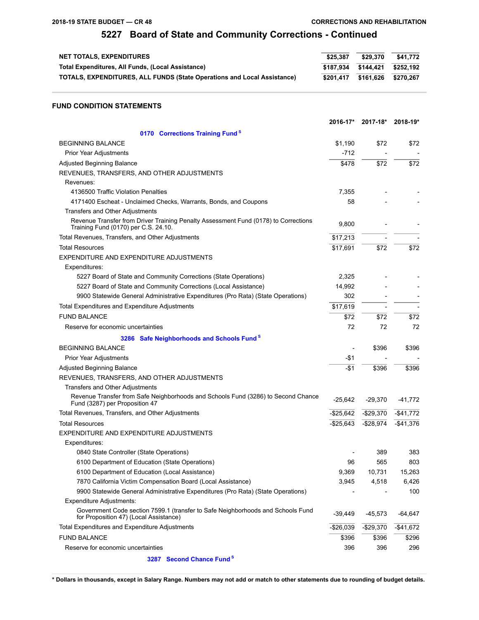| NET TOTALS. EXPENDITURES                                                       | \$25.387  | \$29.370            | \$41.772  |
|--------------------------------------------------------------------------------|-----------|---------------------|-----------|
| Total Expenditures, All Funds, (Local Assistance)                              |           | \$187.934 \$144.421 | \$252.192 |
| <b>TOTALS, EXPENDITURES, ALL FUNDS (State Operations and Local Assistance)</b> | \$201.417 | \$161.626 \$270.267 |           |

#### **FUND CONDITION STATEMENTS**

|                                                                                                                             | 2016-17*   | 2017-18*   | 2018-19*     |
|-----------------------------------------------------------------------------------------------------------------------------|------------|------------|--------------|
| 0170 Corrections Training Fund <sup>S</sup>                                                                                 |            |            |              |
| <b>BEGINNING BALANCE</b>                                                                                                    | \$1,190    | \$72       | \$72         |
| Prior Year Adjustments                                                                                                      | $-712$     |            |              |
| Adjusted Beginning Balance                                                                                                  | \$478      | \$72       | \$72         |
| REVENUES, TRANSFERS, AND OTHER ADJUSTMENTS                                                                                  |            |            |              |
| Revenues:                                                                                                                   |            |            |              |
| 4136500 Traffic Violation Penalties                                                                                         | 7,355      |            |              |
| 4171400 Escheat - Unclaimed Checks, Warrants, Bonds, and Coupons                                                            | 58         |            |              |
| Transfers and Other Adjustments                                                                                             |            |            |              |
| Revenue Transfer from Driver Training Penalty Assessment Fund (0178) to Corrections<br>Training Fund (0170) per C.S. 24.10. | 9,800      |            |              |
| Total Revenues, Transfers, and Other Adjustments                                                                            | \$17,213   |            |              |
| <b>Total Resources</b>                                                                                                      | \$17,691   | \$72       | \$72         |
| EXPENDITURE AND EXPENDITURE ADJUSTMENTS                                                                                     |            |            |              |
| Expenditures:                                                                                                               |            |            |              |
| 5227 Board of State and Community Corrections (State Operations)                                                            | 2,325      |            |              |
| 5227 Board of State and Community Corrections (Local Assistance)                                                            | 14,992     |            |              |
| 9900 Statewide General Administrative Expenditures (Pro Rata) (State Operations)                                            | 302        |            |              |
| Total Expenditures and Expenditure Adjustments                                                                              | \$17,619   |            |              |
| <b>FUND BALANCE</b>                                                                                                         | \$72       | \$72       | \$72         |
| Reserve for economic uncertainties                                                                                          | 72         | 72         | 72           |
| 3286 Safe Neighborhoods and Schools Fund <sup>S</sup>                                                                       |            |            |              |
| <b>BEGINNING BALANCE</b>                                                                                                    |            | \$396      | \$396        |
| Prior Year Adjustments                                                                                                      | -\$1       |            |              |
| Adjusted Beginning Balance                                                                                                  | $-$1$      | \$396      | \$396        |
| REVENUES, TRANSFERS, AND OTHER ADJUSTMENTS                                                                                  |            |            |              |
| Transfers and Other Adjustments                                                                                             |            |            |              |
| Revenue Transfer from Safe Neighborhoods and Schools Fund (3286) to Second Chance<br>Fund (3287) per Proposition 47         | $-25,642$  | -29,370    | $-41,772$    |
| Total Revenues, Transfers, and Other Adjustments                                                                            | $-$25,642$ | $-$29,370$ | $-$41,772$   |
| <b>Total Resources</b>                                                                                                      | $-$25,643$ | $-$28,974$ | $-$41,376$   |
| EXPENDITURE AND EXPENDITURE ADJUSTMENTS                                                                                     |            |            |              |
| Expenditures:                                                                                                               |            |            |              |
| 0840 State Controller (State Operations)                                                                                    |            | 389        | 383          |
| 6100 Department of Education (State Operations)                                                                             | 96         | 565        | 803          |
| 6100 Department of Education (Local Assistance)                                                                             | 9,369      | 10,731     | 15,263       |
| 7870 California Victim Compensation Board (Local Assistance)                                                                | 3,945      | 4,518      | 6,426        |
| 9900 Statewide General Administrative Expenditures (Pro Rata) (State Operations)                                            |            |            | 100          |
| Expenditure Adjustments:                                                                                                    |            |            |              |
| Government Code section 7599.1 (transfer to Safe Neighborhoods and Schools Fund<br>for Proposition 47) (Local Assistance)   | $-39,449$  | $-45,573$  | $-64,647$    |
| Total Expenditures and Expenditure Adjustments                                                                              | $-$26,039$ | $-$29,370$ | $-$ \$41,672 |
| <b>FUND BALANCE</b>                                                                                                         | \$396      | \$396      | \$296        |
| Reserve for economic uncertainties                                                                                          | 396        | 396        | 296          |
| 3287 Second Chance Fund <sup>S</sup>                                                                                        |            |            |              |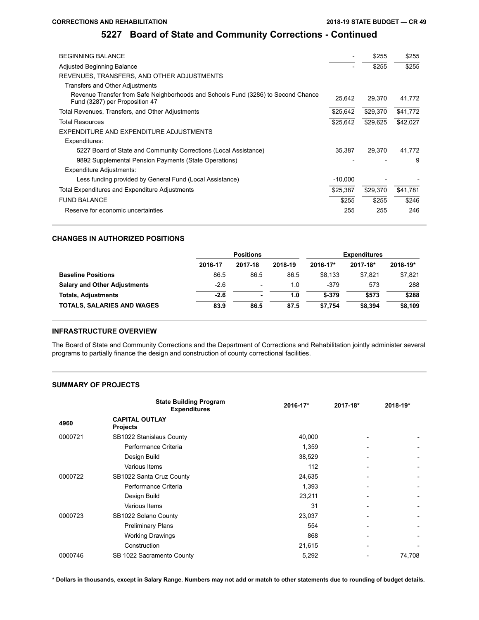#### **CORRECTIONS AND REHABILITATION**

# **5227 Board of State and Community Corrections - Continued**

| <b>BEGINNING BALANCE</b>                                                                                            |           | \$255    | \$255    |
|---------------------------------------------------------------------------------------------------------------------|-----------|----------|----------|
| Adjusted Beginning Balance                                                                                          |           | \$255    | \$255    |
| REVENUES, TRANSFERS, AND OTHER ADJUSTMENTS                                                                          |           |          |          |
| Transfers and Other Adjustments                                                                                     |           |          |          |
| Revenue Transfer from Safe Neighborhoods and Schools Fund (3286) to Second Chance<br>Fund (3287) per Proposition 47 | 25.642    | 29.370   | 41,772   |
| Total Revenues, Transfers, and Other Adjustments                                                                    | \$25,642  | \$29,370 | \$41,772 |
| <b>Total Resources</b>                                                                                              | \$25,642  | \$29,625 | \$42,027 |
| EXPENDITURE AND EXPENDITURE ADJUSTMENTS                                                                             |           |          |          |
| Expenditures:                                                                                                       |           |          |          |
| 5227 Board of State and Community Corrections (Local Assistance)                                                    | 35,387    | 29,370   | 41,772   |
| 9892 Supplemental Pension Payments (State Operations)                                                               |           |          | 9        |
| Expenditure Adjustments:                                                                                            |           |          |          |
| Less funding provided by General Fund (Local Assistance)                                                            | $-10,000$ |          |          |
| Total Expenditures and Expenditure Adjustments                                                                      | \$25,387  | \$29,370 | \$41,781 |
| <b>FUND BALANCE</b>                                                                                                 | \$255     | \$255    | \$246    |
| Reserve for economic uncertainties                                                                                  | 255       | 255      | 246      |

#### **CHANGES IN AUTHORIZED POSITIONS**

|                                     | <b>Positions</b><br><b>Expenditures</b> |                          |         |          |          |          |
|-------------------------------------|-----------------------------------------|--------------------------|---------|----------|----------|----------|
|                                     | 2016-17                                 | 2017-18                  | 2018-19 | 2016-17* | 2017-18* | 2018-19* |
| <b>Baseline Positions</b>           | 86.5                                    | 86.5                     | 86.5    | \$8.133  | \$7.821  | \$7,821  |
| <b>Salary and Other Adjustments</b> | $-2.6$                                  | $\overline{\phantom{0}}$ | 1.0     | $-379$   | 573      | 288      |
| <b>Totals, Adjustments</b>          | $-2.6$                                  | ۰                        | 1.0     | $$-379$  | \$573    | \$288    |
| <b>TOTALS, SALARIES AND WAGES</b>   | 83.9                                    | 86.5                     | 87.5    | \$7.754  | \$8,394  | \$8,109  |

#### **INFRASTRUCTURE OVERVIEW**

The Board of State and Community Corrections and the Department of Corrections and Rehabilitation jointly administer several programs to partially finance the design and construction of county correctional facilities.

#### **SUMMARY OF PROJECTS**

|         | <b>State Building Program</b><br><b>Expenditures</b> | 2016-17* | 2017-18* | 2018-19* |
|---------|------------------------------------------------------|----------|----------|----------|
| 4960    | <b>CAPITAL OUTLAY</b><br><b>Projects</b>             |          |          |          |
| 0000721 | SB1022 Stanislaus County                             | 40,000   |          |          |
|         | Performance Criteria                                 | 1,359    |          |          |
|         | Design Build                                         | 38,529   |          |          |
|         | Various Items                                        | 112      |          |          |
| 0000722 | SB1022 Santa Cruz County                             | 24,635   |          |          |
|         | Performance Criteria                                 | 1,393    |          |          |
|         | Design Build                                         | 23,211   |          |          |
|         | Various Items                                        | 31       |          |          |
| 0000723 | SB1022 Solano County                                 | 23,037   |          |          |
|         | <b>Preliminary Plans</b>                             | 554      |          |          |
|         | <b>Working Drawings</b>                              | 868      |          |          |
|         | Construction                                         | 21,615   |          |          |
| 0000746 | SB 1022 Sacramento County                            | 5,292    |          | 74,708   |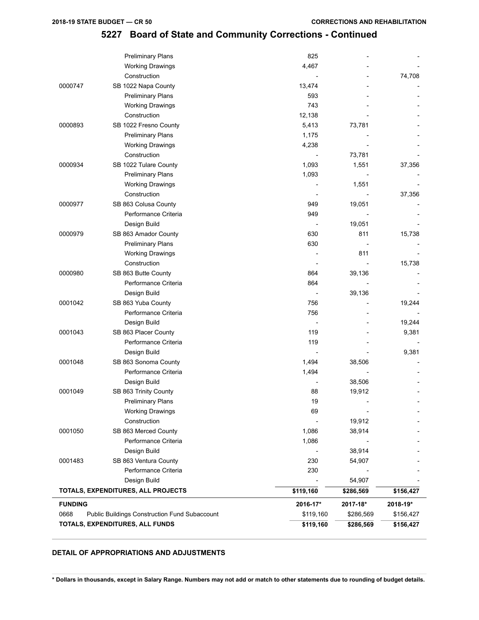|                | <b>Preliminary Plans</b>                             | 825       |           |           |
|----------------|------------------------------------------------------|-----------|-----------|-----------|
|                | <b>Working Drawings</b>                              | 4,467     |           |           |
|                | Construction                                         |           |           | 74,708    |
| 0000747        | SB 1022 Napa County                                  | 13,474    |           |           |
|                | <b>Preliminary Plans</b>                             | 593       |           |           |
|                | <b>Working Drawings</b>                              | 743       |           |           |
|                | Construction                                         | 12,138    |           |           |
| 0000893        | SB 1022 Fresno County                                | 5,413     | 73,781    |           |
|                | <b>Preliminary Plans</b>                             | 1,175     |           |           |
|                | <b>Working Drawings</b>                              | 4,238     |           |           |
|                | Construction                                         |           | 73,781    |           |
| 0000934        | SB 1022 Tulare County                                | 1,093     | 1,551     | 37,356    |
|                | <b>Preliminary Plans</b>                             | 1,093     |           |           |
|                | <b>Working Drawings</b>                              |           | 1,551     |           |
|                | Construction                                         |           |           | 37,356    |
| 0000977        | SB 863 Colusa County                                 | 949       | 19,051    |           |
|                | Performance Criteria                                 | 949       |           |           |
|                | Design Build                                         |           | 19,051    |           |
| 0000979        | SB 863 Amador County                                 | 630       | 811       | 15,738    |
|                | <b>Preliminary Plans</b>                             | 630       |           |           |
|                | <b>Working Drawings</b>                              |           | 811       |           |
|                | Construction                                         |           |           | 15,738    |
| 0000980        | SB 863 Butte County                                  | 864       | 39,136    |           |
|                | Performance Criteria                                 | 864       |           |           |
|                | Design Build                                         |           | 39,136    |           |
| 0001042        | SB 863 Yuba County                                   | 756       |           | 19,244    |
|                | Performance Criteria                                 | 756       |           |           |
|                | Design Build                                         |           |           | 19,244    |
| 0001043        | SB 863 Placer County                                 | 119       |           | 9,381     |
|                | Performance Criteria                                 | 119       |           |           |
|                | Design Build                                         |           |           | 9,381     |
| 0001048        | SB 863 Sonoma County                                 | 1,494     | 38,506    |           |
|                | Performance Criteria                                 | 1,494     |           |           |
|                | Design Build                                         |           | 38,506    |           |
| 0001049        | SB 863 Trinity County                                | 88        | 19,912    |           |
|                | Preliminary Plans                                    | 19        |           |           |
|                | <b>Working Drawings</b>                              | 69        |           |           |
|                | Construction                                         |           | 19,912    |           |
| 0001050        | SB 863 Merced County                                 | 1,086     | 38,914    |           |
|                | Performance Criteria                                 | 1,086     |           |           |
|                | Design Build                                         |           | 38,914    |           |
| 0001483        | SB 863 Ventura County                                | 230       | 54,907    |           |
|                | Performance Criteria                                 | 230       |           |           |
|                | Design Build                                         |           | 54,907    |           |
|                | TOTALS, EXPENDITURES, ALL PROJECTS                   | \$119,160 | \$286,569 | \$156,427 |
| <b>FUNDING</b> |                                                      | 2016-17*  | 2017-18*  | 2018-19*  |
| 0668           | <b>Public Buildings Construction Fund Subaccount</b> | \$119,160 | \$286,569 | \$156,427 |
|                | TOTALS, EXPENDITURES, ALL FUNDS                      | \$119,160 | \$286,569 | \$156,427 |
|                |                                                      |           |           |           |

#### **DETAIL OF APPROPRIATIONS AND ADJUSTMENTS**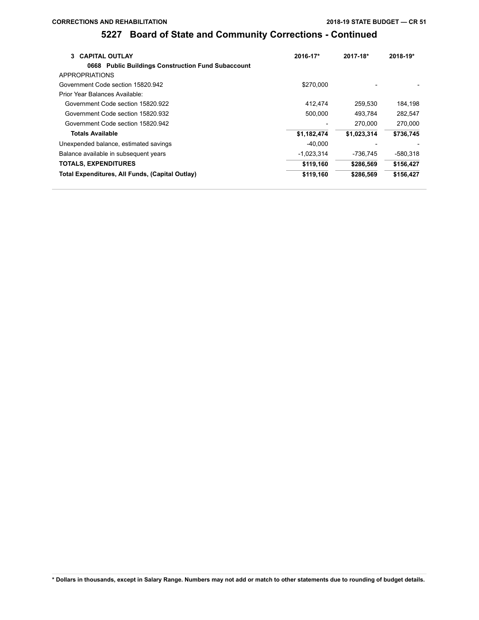| 3 CAPITAL OUTLAY                                   | 2016-17*     | 2017-18*    | 2018-19*  |
|----------------------------------------------------|--------------|-------------|-----------|
| 0668 Public Buildings Construction Fund Subaccount |              |             |           |
| <b>APPROPRIATIONS</b>                              |              |             |           |
| Government Code section 15820.942                  | \$270,000    |             |           |
| Prior Year Balances Available:                     |              |             |           |
| Government Code section 15820.922                  | 412,474      | 259.530     | 184,198   |
| Government Code section 15820.932                  | 500.000      | 493.784     | 282.547   |
| Government Code section 15820.942                  |              | 270,000     | 270,000   |
| <b>Totals Available</b>                            | \$1,182,474  | \$1,023,314 | \$736,745 |
| Unexpended balance, estimated savings              | -40.000      |             |           |
| Balance available in subsequent years              | $-1,023,314$ | -736,745    | -580,318  |
| <b>TOTALS, EXPENDITURES</b>                        | \$119,160    | \$286.569   | \$156,427 |
| Total Expenditures, All Funds, (Capital Outlay)    | \$119,160    | \$286,569   | \$156,427 |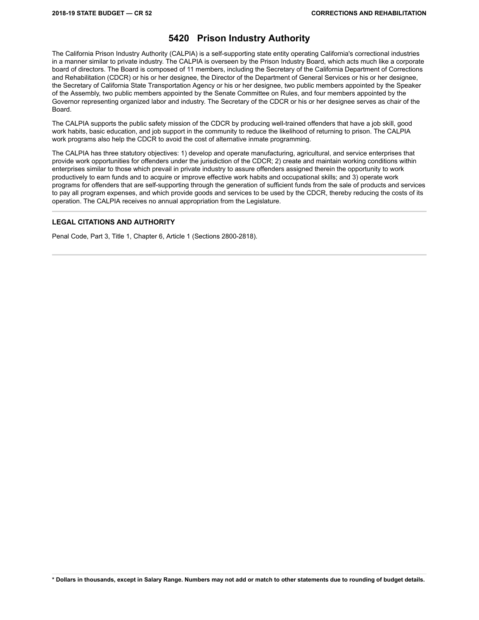#### **5420 Prison Industry Authority**

The California Prison Industry Authority (CALPIA) is a self-supporting state entity operating California's correctional industries in a manner similar to private industry. The CALPIA is overseen by the Prison Industry Board, which acts much like a corporate board of directors. The Board is composed of 11 members, including the Secretary of the California Department of Corrections and Rehabilitation (CDCR) or his or her designee, the Director of the Department of General Services or his or her designee, the Secretary of California State Transportation Agency or his or her designee, two public members appointed by the Speaker of the Assembly, two public members appointed by the Senate Committee on Rules, and four members appointed by the Governor representing organized labor and industry. The Secretary of the CDCR or his or her designee serves as chair of the Board.

The CALPIA supports the public safety mission of the CDCR by producing well-trained offenders that have a job skill, good work habits, basic education, and job support in the community to reduce the likelihood of returning to prison. The CALPIA work programs also help the CDCR to avoid the cost of alternative inmate programming.

The CALPIA has three statutory objectives: 1) develop and operate manufacturing, agricultural, and service enterprises that provide work opportunities for offenders under the jurisdiction of the CDCR; 2) create and maintain working conditions within enterprises similar to those which prevail in private industry to assure offenders assigned therein the opportunity to work productively to earn funds and to acquire or improve effective work habits and occupational skills; and 3) operate work programs for offenders that are self-supporting through the generation of sufficient funds from the sale of products and services to pay all program expenses, and which provide goods and services to be used by the CDCR, thereby reducing the costs of its operation. The CALPIA receives no annual appropriation from the Legislature.

#### **LEGAL CITATIONS AND AUTHORITY**

Penal Code, Part 3, Title 1, Chapter 6, Article 1 (Sections 2800-2818).